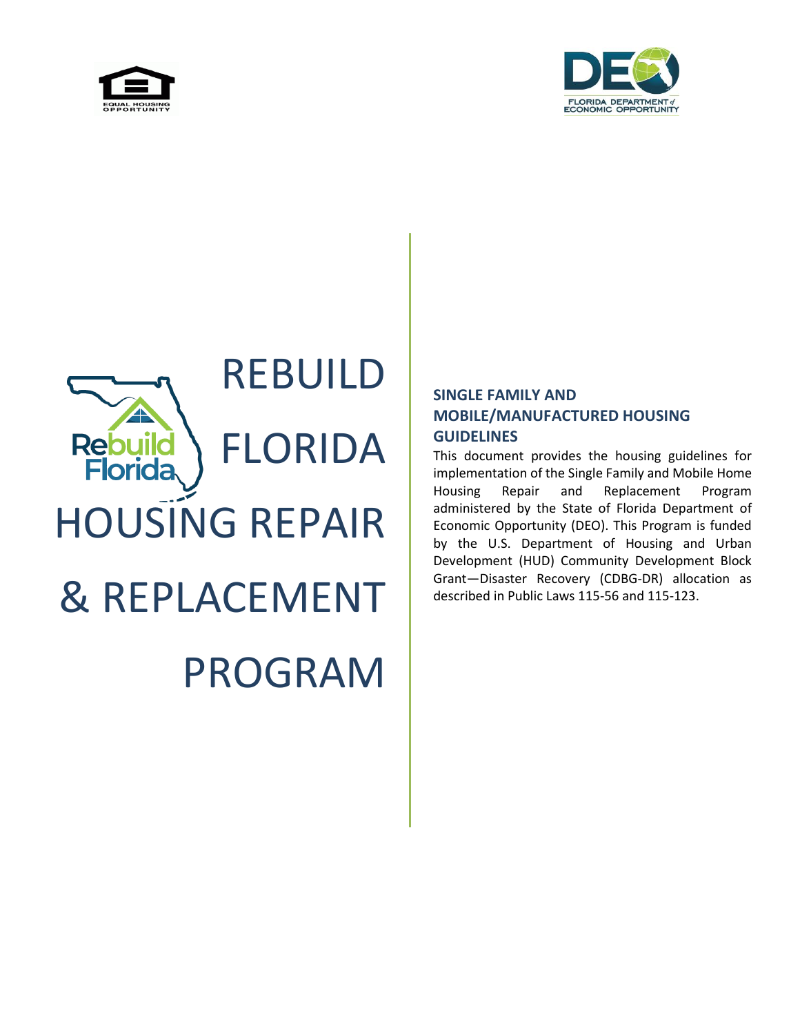



# REBUILD FLORIDA **Rebui lorida** HOUSING REPAIR & REPLACEMENT PROGRAM

## **SINGLE FAMILY AND MOBILE/MANUFACTURED HOUSING GUIDELINES**

This document provides the housing guidelines for implementation of the Single Family and Mobile Home Housing Repair and Replacement Program administered by the State of Florida Department of Economic Opportunity (DEO). This Program is funded by the U.S. Department of Housing and Urban Development (HUD) Community Development Block Grant—Disaster Recovery (CDBG-DR) allocation as described in Public Laws 115-56 and 115-123.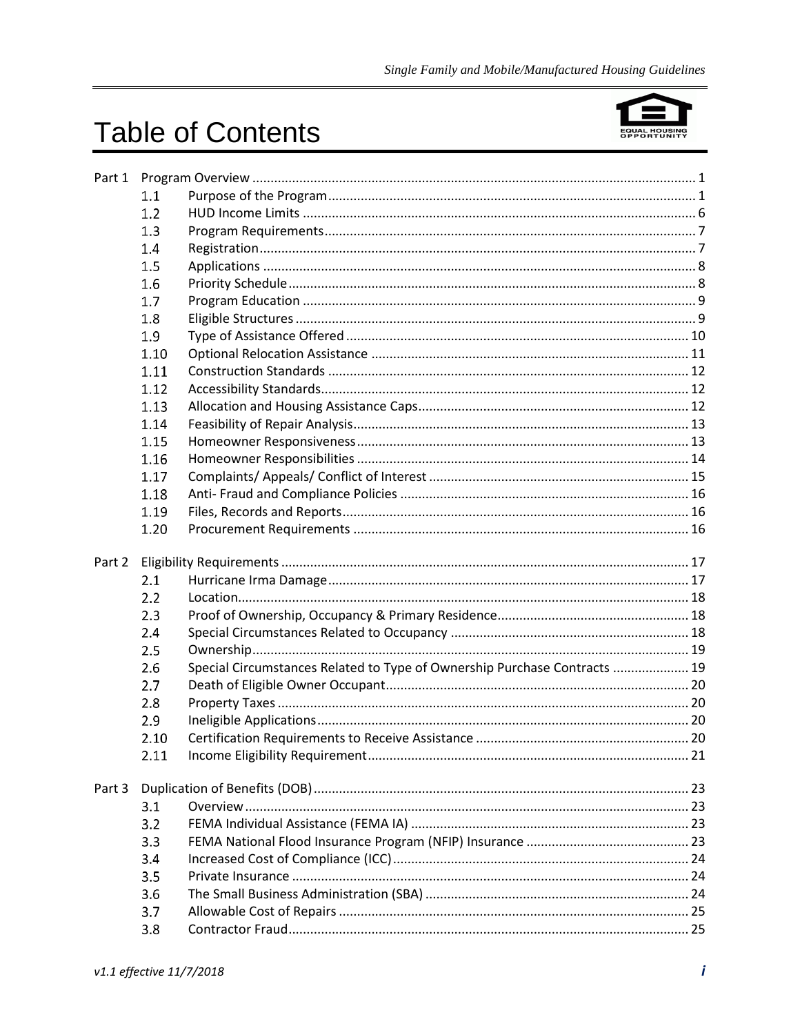## **Table of Contents**



|        | 1.1          |                                                                           |  |
|--------|--------------|---------------------------------------------------------------------------|--|
|        | 1.2          |                                                                           |  |
|        | 1.3          |                                                                           |  |
|        | 1.4          |                                                                           |  |
|        | 1.5          |                                                                           |  |
|        | 1.6          |                                                                           |  |
|        | 1.7          |                                                                           |  |
|        | 1.8          |                                                                           |  |
|        | 1.9          |                                                                           |  |
|        | 1.10         |                                                                           |  |
|        | 1.11         |                                                                           |  |
|        | 1.12         |                                                                           |  |
|        | 1.13         |                                                                           |  |
|        | 1.14         |                                                                           |  |
|        | 1.15         |                                                                           |  |
|        | 1.16         |                                                                           |  |
|        | 1.17         |                                                                           |  |
|        | 1.18         |                                                                           |  |
|        | 1.19         |                                                                           |  |
|        | 1.20         |                                                                           |  |
|        |              |                                                                           |  |
| Part 2 |              |                                                                           |  |
|        | 2.1          |                                                                           |  |
|        | 2.2          |                                                                           |  |
|        | 2.3          |                                                                           |  |
|        | 2.4          |                                                                           |  |
|        | 2.5          |                                                                           |  |
|        | 2.6          | Special Circumstances Related to Type of Ownership Purchase Contracts  19 |  |
|        | 2.7          |                                                                           |  |
|        | 2.8          |                                                                           |  |
|        | 2.9          |                                                                           |  |
|        | 2.10<br>2.11 |                                                                           |  |
|        |              |                                                                           |  |
| Part 3 |              |                                                                           |  |
|        | 3.1          |                                                                           |  |
|        | 3.2          |                                                                           |  |
|        | 3.3          |                                                                           |  |
|        | 3.4          |                                                                           |  |
|        | 3.5          |                                                                           |  |
|        | 3.6          |                                                                           |  |
|        | 3.7          |                                                                           |  |
|        | 3.8          |                                                                           |  |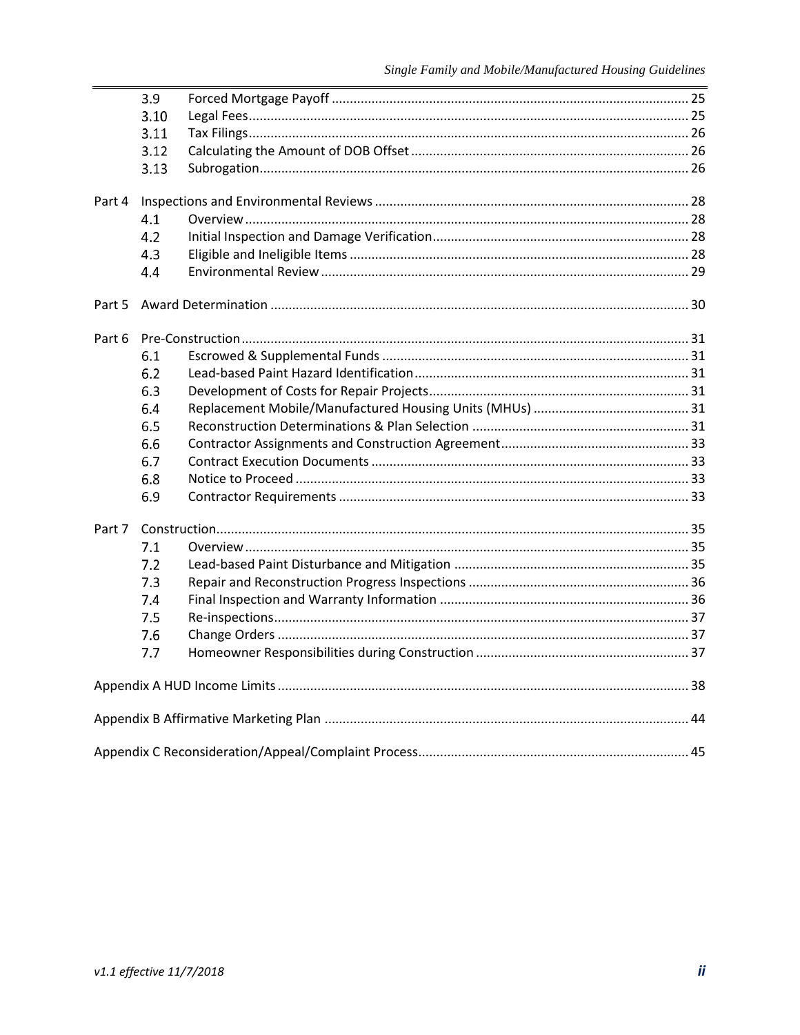|        | 3.9  |  |
|--------|------|--|
|        | 3.10 |  |
|        | 3.11 |  |
|        | 3.12 |  |
|        | 3.13 |  |
| Part 4 |      |  |
|        | 4.1  |  |
|        | 4.2  |  |
|        | 4.3  |  |
|        | 4.4  |  |
|        |      |  |
| Part 5 |      |  |
| Part 6 |      |  |
|        | 6.1  |  |
|        | 6.2  |  |
|        | 6.3  |  |
|        | 6.4  |  |
|        | 6.5  |  |
|        | 6.6  |  |
|        | 6.7  |  |
|        | 6.8  |  |
|        | 6.9  |  |
| Part 7 |      |  |
|        | 7.1  |  |
|        | 7.2  |  |
|        | 7.3  |  |
|        | 7.4  |  |
|        | 7.5  |  |
|        | 7.6  |  |
|        | 7.7  |  |
|        |      |  |
|        |      |  |
|        |      |  |
|        |      |  |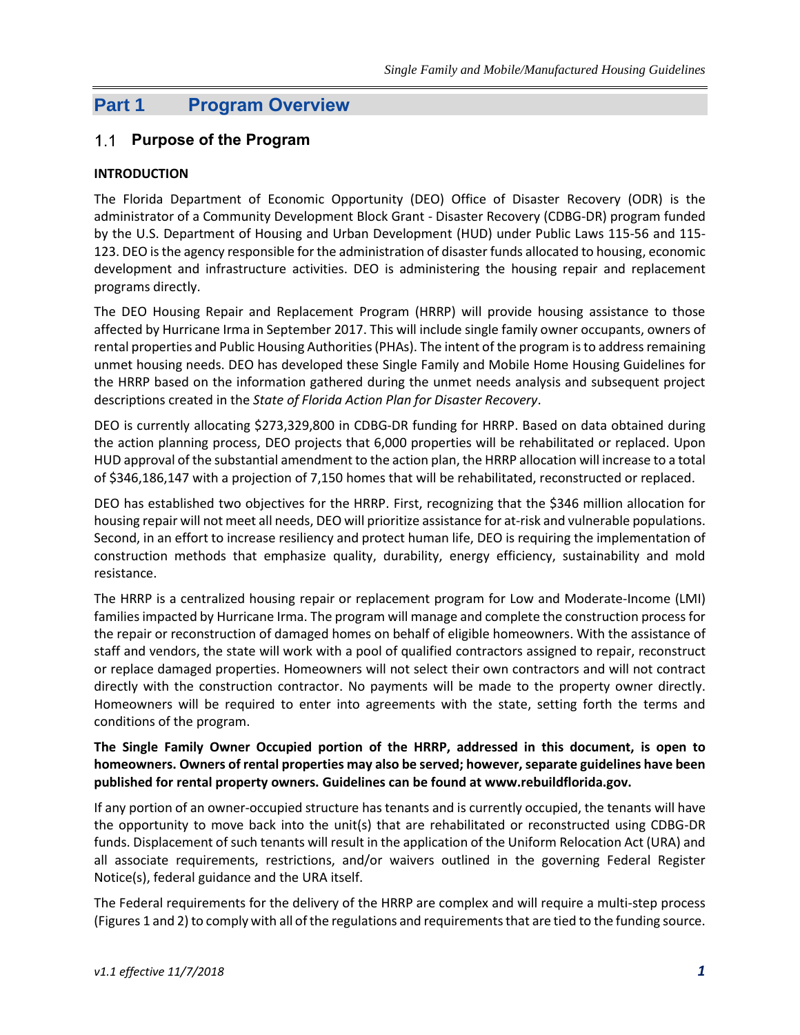## **Part 1 Program Overview**

#### **Purpose of the Program**

#### **INTRODUCTION**

The Florida Department of Economic Opportunity (DEO) Office of Disaster Recovery (ODR) is the administrator of a Community Development Block Grant - Disaster Recovery (CDBG-DR) program funded by the U.S. Department of Housing and Urban Development (HUD) under Public Laws 115-56 and 115- 123. DEO is the agency responsible for the administration of disaster funds allocated to housing, economic development and infrastructure activities. DEO is administering the housing repair and replacement programs directly.

The DEO Housing Repair and Replacement Program (HRRP) will provide housing assistance to those affected by Hurricane Irma in September 2017. This will include single family owner occupants, owners of rental properties and Public Housing Authorities (PHAs). The intent of the program is to address remaining unmet housing needs. DEO has developed these Single Family and Mobile Home Housing Guidelines for the HRRP based on the information gathered during the unmet needs analysis and subsequent project descriptions created in the *State of Florida Action Plan for Disaster Recovery*.

DEO is currently allocating \$273,329,800 in CDBG-DR funding for HRRP. Based on data obtained during the action planning process, DEO projects that 6,000 properties will be rehabilitated or replaced. Upon HUD approval of the substantial amendment to the action plan, the HRRP allocation will increase to a total of \$346,186,147 with a projection of 7,150 homes that will be rehabilitated, reconstructed or replaced.

DEO has established two objectives for the HRRP. First, recognizing that the \$346 million allocation for housing repair will not meet all needs, DEO will prioritize assistance for at-risk and vulnerable populations. Second, in an effort to increase resiliency and protect human life, DEO is requiring the implementation of construction methods that emphasize quality, durability, energy efficiency, sustainability and mold resistance.

The HRRP is a centralized housing repair or replacement program for Low and Moderate-Income (LMI) families impacted by Hurricane Irma. The program will manage and complete the construction process for the repair or reconstruction of damaged homes on behalf of eligible homeowners. With the assistance of staff and vendors, the state will work with a pool of qualified contractors assigned to repair, reconstruct or replace damaged properties. Homeowners will not select their own contractors and will not contract directly with the construction contractor. No payments will be made to the property owner directly. Homeowners will be required to enter into agreements with the state, setting forth the terms and conditions of the program.

#### **The Single Family Owner Occupied portion of the HRRP, addressed in this document, is open to homeowners. Owners of rental properties may also be served; however, separate guidelines have been published for rental property owners. Guidelines can be found at www.rebuildflorida.gov.**

If any portion of an owner-occupied structure has tenants and is currently occupied, the tenants will have the opportunity to move back into the unit(s) that are rehabilitated or reconstructed using CDBG-DR funds. Displacement of such tenants will result in the application of the Uniform Relocation Act (URA) and all associate requirements, restrictions, and/or waivers outlined in the governing Federal Register Notice(s), federal guidance and the URA itself.

The Federal requirements for the delivery of the HRRP are complex and will require a multi-step process (Figures 1 and 2) to comply with all of the regulations and requirements that are tied to the funding source.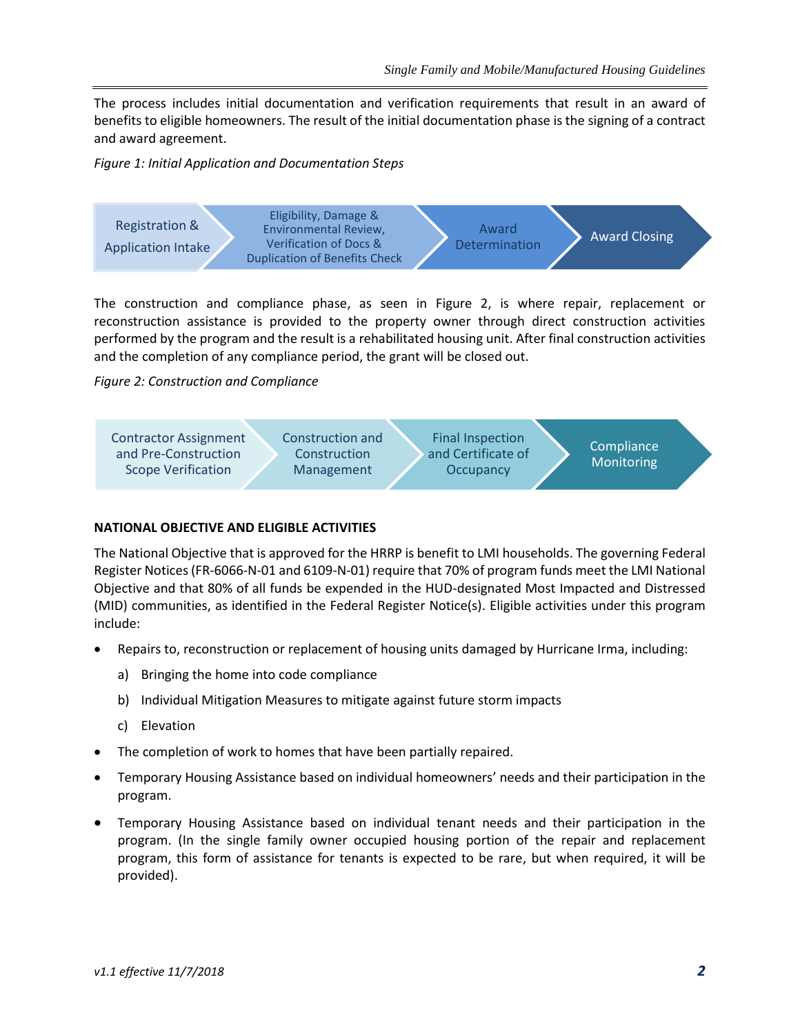The process includes initial documentation and verification requirements that result in an award of benefits to eligible homeowners. The result of the initial documentation phase is the signing of a contract and award agreement.

*Figure 1: Initial Application and Documentation Steps*



The construction and compliance phase, as seen in Figure 2, is where repair, replacement or reconstruction assistance is provided to the property owner through direct construction activities performed by the program and the result is a rehabilitated housing unit. After final construction activities and the completion of any compliance period, the grant will be closed out.

*Figure 2: Construction and Compliance*



#### **NATIONAL OBJECTIVE AND ELIGIBLE ACTIVITIES**

The National Objective that is approved for the HRRP is benefit to LMI households. The governing Federal Register Notices(FR-6066-N-01 and 6109-N-01) require that 70% of program funds meet the LMI National Objective and that 80% of all funds be expended in the HUD-designated Most Impacted and Distressed (MID) communities, as identified in the Federal Register Notice(s). Eligible activities under this program include:

- Repairs to, reconstruction or replacement of housing units damaged by Hurricane Irma, including:
	- a) Bringing the home into code compliance
	- b) Individual Mitigation Measures to mitigate against future storm impacts
	- c) Elevation
- The completion of work to homes that have been partially repaired.
- Temporary Housing Assistance based on individual homeowners' needs and their participation in the program.
- Temporary Housing Assistance based on individual tenant needs and their participation in the program. (In the single family owner occupied housing portion of the repair and replacement program, this form of assistance for tenants is expected to be rare, but when required, it will be provided).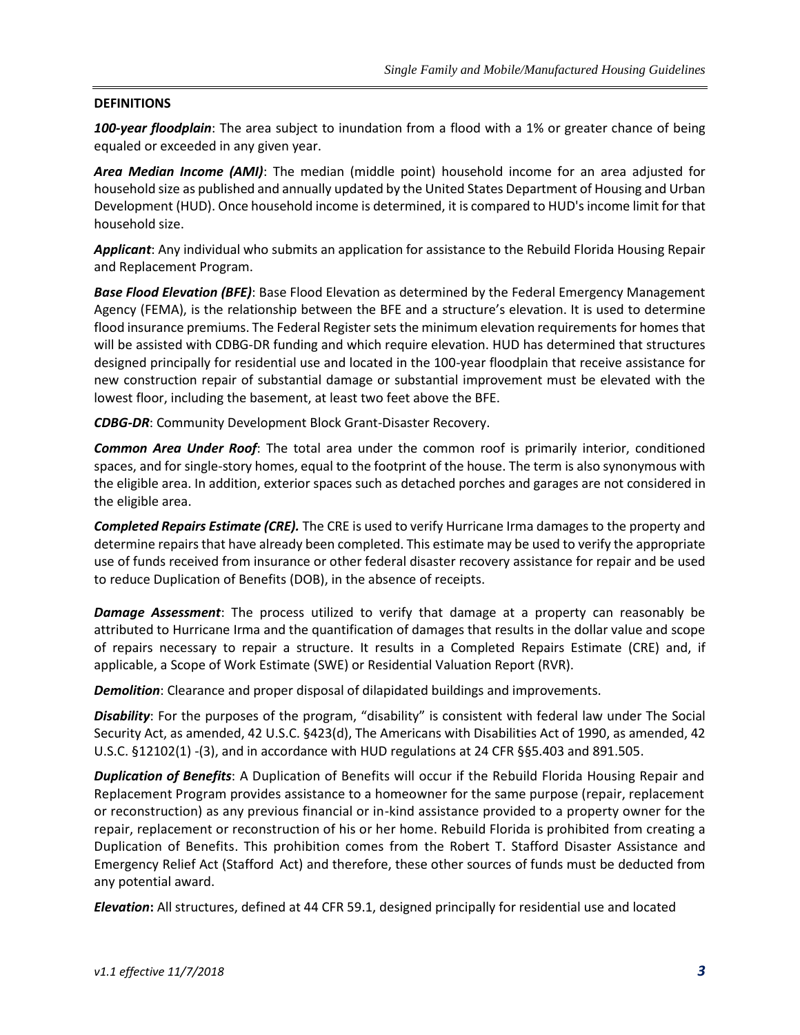#### **DEFINITIONS**

*100-year floodplain*: The area subject to inundation from a flood with a 1% or greater chance of being equaled or exceeded in any given year.

*Area Median Income (AMI)*: The median (middle point) household income for an area adjusted for household size as published and annually updated by the United States Department of Housing and Urban Development (HUD). Once household income is determined, it is compared to HUD's income limit for that household size.

*Applicant*: Any individual who submits an application for assistance to the Rebuild Florida Housing Repair and Replacement Program.

*Base Flood Elevation (BFE)*: Base Flood Elevation as determined by the Federal Emergency Management Agency (FEMA), is the relationship between the BFE and a structure's elevation. It is used to determine flood insurance premiums. The Federal Register sets the minimum elevation requirements for homes that will be assisted with CDBG-DR funding and which require elevation. HUD has determined that structures designed principally for residential use and located in the 100-year floodplain that receive assistance for new construction repair of substantial damage or substantial improvement must be elevated with the lowest floor, including the basement, at least two feet above the BFE.

*CDBG-DR*: Community Development Block Grant-Disaster Recovery.

*Common Area Under Roof*: The total area under the common roof is primarily interior, conditioned spaces, and for single-story homes, equal to the footprint of the house. The term is also synonymous with the eligible area. In addition, exterior spaces such as detached porches and garages are not considered in the eligible area.

*Completed Repairs Estimate (CRE).* The CRE is used to verify Hurricane Irma damages to the property and determine repairs that have already been completed. This estimate may be used to verify the appropriate use of funds received from insurance or other federal disaster recovery assistance for repair and be used to reduce Duplication of Benefits (DOB), in the absence of receipts.

*Damage Assessment*: The process utilized to verify that damage at a property can reasonably be attributed to Hurricane Irma and the quantification of damages that results in the dollar value and scope of repairs necessary to repair a structure. It results in a Completed Repairs Estimate (CRE) and, if applicable, a Scope of Work Estimate (SWE) or Residential Valuation Report (RVR).

*Demolition*: Clearance and proper disposal of dilapidated buildings and improvements.

*Disability*: For the purposes of the program, "disability" is consistent with federal law under The Social Security Act, as amended, 42 U.S.C. §423(d), The Americans with Disabilities Act of 1990, as amended, 42 U.S.C. §12102(1) -(3), and in accordance with HUD regulations at 24 CFR §§5.403 and 891.505.

*Duplication of Benefits*: A Duplication of Benefits will occur if the Rebuild Florida Housing Repair and Replacement Program provides assistance to a homeowner for the same purpose (repair, replacement or reconstruction) as any previous financial or in-kind assistance provided to a property owner for the repair, replacement or reconstruction of his or her home. Rebuild Florida is prohibited from creating a Duplication of Benefits. This prohibition comes from the Robert T. Stafford Disaster Assistance and Emergency Relief Act (Stafford Act) and therefore, these other sources of funds must be deducted from any potential award.

*Elevation***:** All structures, defined at 44 CFR 59.1, designed principally for residential use and located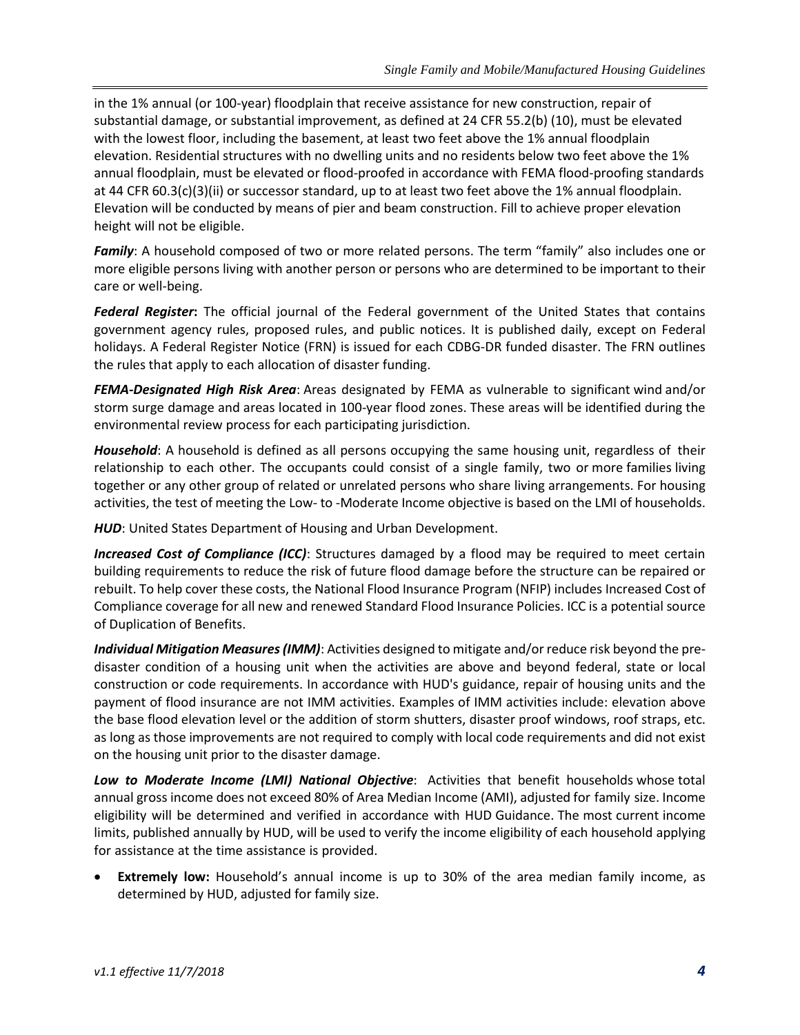in the 1% annual (or 100-year) floodplain that receive assistance for new construction, repair of substantial damage, or substantial improvement, as defined at 24 CFR 55.2(b) (10), must be elevated with the lowest floor, including the basement, at least two feet above the 1% annual floodplain elevation. Residential structures with no dwelling units and no residents below two feet above the 1% annual floodplain, must be elevated or flood-proofed in accordance with FEMA flood-proofing standards at 44 CFR 60.3(c)(3)(ii) or successor standard, up to at least two feet above the 1% annual floodplain. Elevation will be conducted by means of pier and beam construction. Fill to achieve proper elevation height will not be eligible.

*Family*: A household composed of two or more related persons. The term "family" also includes one or more eligible persons living with another person or persons who are determined to be important to their care or well-being.

*Federal Register***:** The official journal of the Federal government of the United States that contains government agency rules, proposed rules, and public notices. It is published daily, except on Federal holidays. A Federal Register Notice (FRN) is issued for each CDBG-DR funded disaster. The FRN outlines the rules that apply to each allocation of disaster funding.

*FEMA-Designated High Risk Area*: Areas designated by FEMA as vulnerable to significant wind and/or storm surge damage and areas located in 100-year flood zones. These areas will be identified during the environmental review process for each participating jurisdiction.

*Household*: A household is defined as all persons occupying the same housing unit, regardless of their relationship to each other. The occupants could consist of a single family, two or more families living together or any other group of related or unrelated persons who share living arrangements. For housing activities, the test of meeting the Low- to -Moderate Income objective is based on the LMI of households.

*HUD*: United States Department of Housing and Urban Development.

**Increased Cost of Compliance (ICC)**: Structures damaged by a flood may be required to meet certain building requirements to reduce the risk of future flood damage before the structure can be repaired or rebuilt. To help cover these costs, the National Flood Insurance Program (NFIP) includes Increased Cost of Compliance coverage for all new and renewed Standard Flood Insurance Policies. ICC is a potential source of Duplication of Benefits.

*Individual Mitigation Measures (IMM)*: Activities designed to mitigate and/or reduce risk beyond the predisaster condition of a housing unit when the activities are above and beyond federal, state or local construction or code requirements. In accordance with HUD's guidance, repair of housing units and the payment of flood insurance are not IMM activities. Examples of IMM activities include: elevation above the base flood elevation level or the addition of storm shutters, disaster proof windows, roof straps, etc. as long as those improvements are not required to comply with local code requirements and did not exist on the housing unit prior to the disaster damage.

*Low to Moderate Income (LMI) National Objective*: Activities that benefit households whose total annual gross income does not exceed 80% of Area Median Income (AMI), adjusted for family size. Income eligibility will be determined and verified in accordance with HUD Guidance. The most current income limits, published annually by HUD, will be used to verify the income eligibility of each household applying for assistance at the time assistance is provided.

• **Extremely low:** Household's annual income is up to 30% of the area median family income, as determined by HUD, adjusted for family size.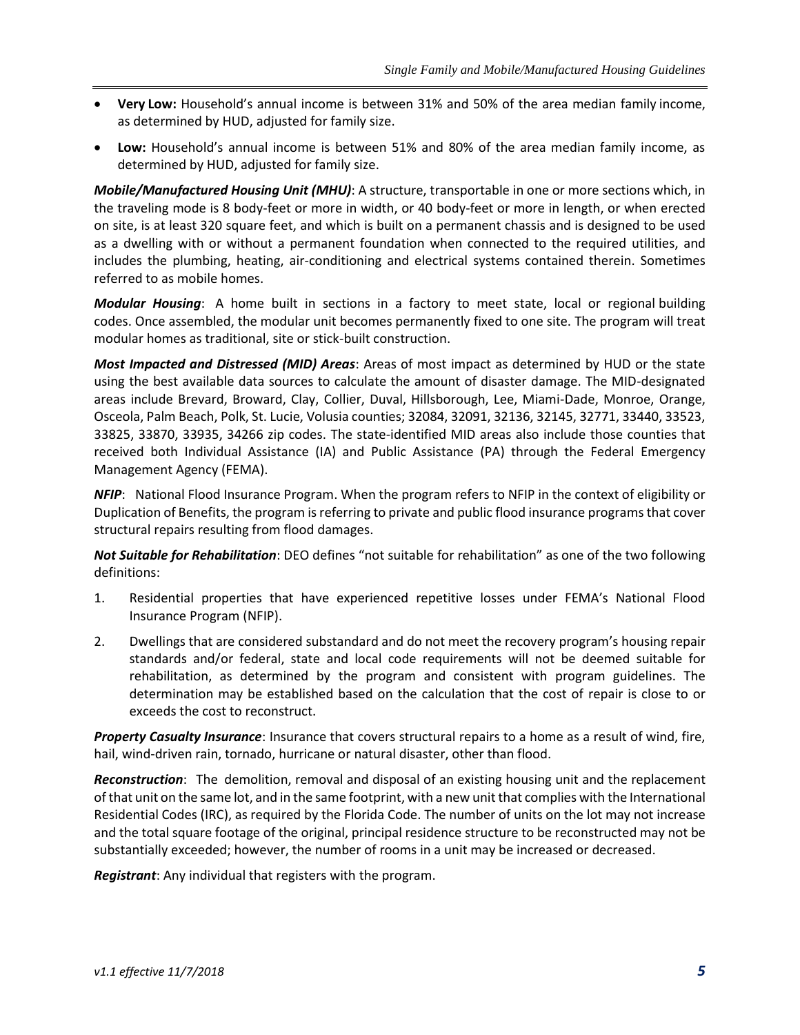- **Very Low:** Household's annual income is between 31% and 50% of the area median family income, as determined by HUD, adjusted for family size.
- **Low:** Household's annual income is between 51% and 80% of the area median family income, as determined by HUD, adjusted for family size.

*Mobile/Manufactured Housing Unit (MHU)*: A structure, transportable in one or more sections which, in the traveling mode is 8 body-feet or more in width, or 40 body-feet or more in length, or when erected on site, is at least 320 square feet, and which is built on a permanent chassis and is designed to be used as a dwelling with or without a permanent foundation when connected to the required utilities, and includes the plumbing, heating, air-conditioning and electrical systems contained therein. Sometimes referred to as mobile homes.

*Modular Housing*: A home built in sections in a factory to meet state, local or regional building codes. Once assembled, the modular unit becomes permanently fixed to one site. The program will treat modular homes as traditional, site or stick-built construction.

*Most Impacted and Distressed (MID) Areas*: Areas of most impact as determined by HUD or the state using the best available data sources to calculate the amount of disaster damage. The MID-designated areas include Brevard, Broward, Clay, Collier, Duval, Hillsborough, Lee, Miami-Dade, Monroe, Orange, Osceola, Palm Beach, Polk, St. Lucie, Volusia counties; 32084, 32091, 32136, 32145, 32771, 33440, 33523, 33825, 33870, 33935, 34266 zip codes. The state-identified MID areas also include those counties that received both Individual Assistance (IA) and Public Assistance (PA) through the Federal Emergency Management Agency (FEMA).

*NFIP*: National Flood Insurance Program. When the program refers to NFIP in the context of eligibility or Duplication of Benefits, the program is referring to private and public flood insurance programs that cover structural repairs resulting from flood damages.

*Not Suitable for Rehabilitation*: DEO defines "not suitable for rehabilitation" as one of the two following definitions:

- 1. Residential properties that have experienced repetitive losses under FEMA's National Flood Insurance Program (NFIP).
- 2. Dwellings that are considered substandard and do not meet the recovery program's housing repair standards and/or federal, state and local code requirements will not be deemed suitable for rehabilitation, as determined by the program and consistent with program guidelines. The determination may be established based on the calculation that the cost of repair is close to or exceeds the cost to reconstruct.

*Property Casualty Insurance*: Insurance that covers structural repairs to a home as a result of wind, fire, hail, wind-driven rain, tornado, hurricane or natural disaster, other than flood.

*Reconstruction*: The demolition, removal and disposal of an existing housing unit and the replacement of that unit on the same lot, and in the same footprint, with a new unit that complies with the International Residential Codes (IRC), as required by the Florida Code. The number of units on the lot may not increase and the total square footage of the original, principal residence structure to be reconstructed may not be substantially exceeded; however, the number of rooms in a unit may be increased or decreased.

*Registrant*: Any individual that registers with the program.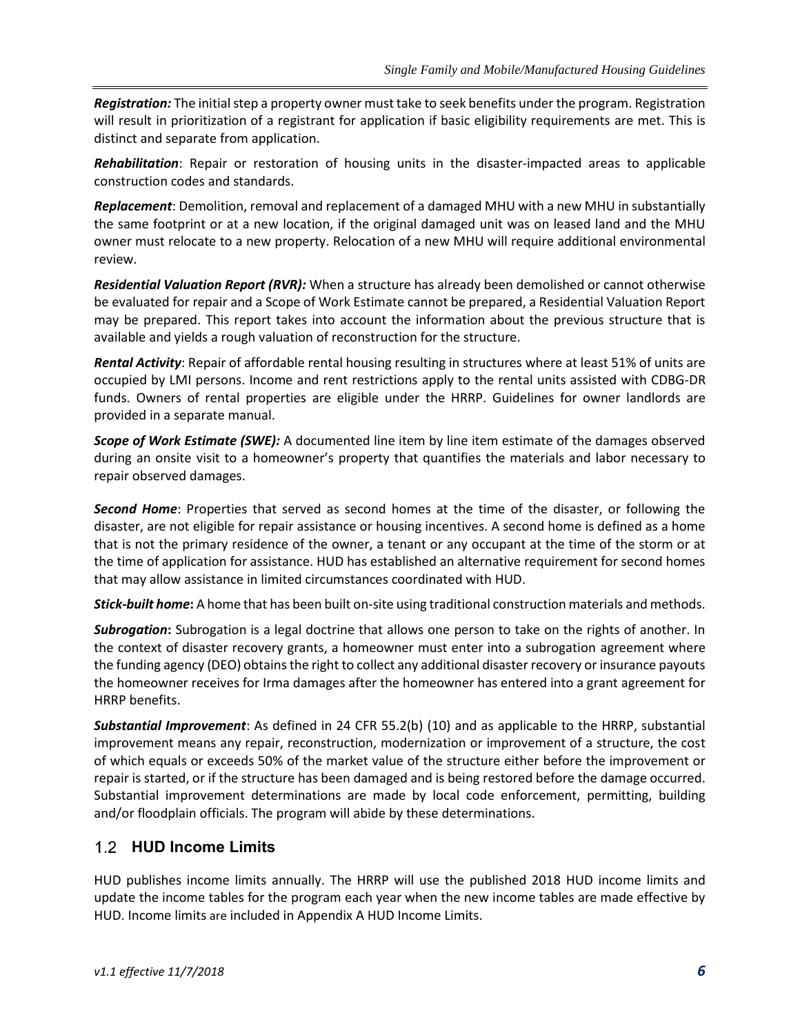*Registration:* The initial step a property owner must take to seek benefits under the program. Registration will result in prioritization of a registrant for application if basic eligibility requirements are met. This is distinct and separate from application.

*Rehabilitation*: Repair or restoration of housing units in the disaster-impacted areas to applicable construction codes and standards.

*Replacement*: Demolition, removal and replacement of a damaged MHU with a new MHU in substantially the same footprint or at a new location, if the original damaged unit was on leased land and the MHU owner must relocate to a new property. Relocation of a new MHU will require additional environmental review.

*Residential Valuation Report (RVR):* When a structure has already been demolished or cannot otherwise be evaluated for repair and a Scope of Work Estimate cannot be prepared, a Residential Valuation Report may be prepared. This report takes into account the information about the previous structure that is available and yields a rough valuation of reconstruction for the structure.

*Rental Activity*: Repair of affordable rental housing resulting in structures where at least 51% of units are occupied by LMI persons. Income and rent restrictions apply to the rental units assisted with CDBG-DR funds. Owners of rental properties are eligible under the HRRP. Guidelines for owner landlords are provided in a separate manual.

*Scope of Work Estimate (SWE):* A documented line item by line item estimate of the damages observed during an onsite visit to a homeowner's property that quantifies the materials and labor necessary to repair observed damages.

*Second Home*: Properties that served as second homes at the time of the disaster, or following the disaster, are not eligible for repair assistance or housing incentives. A second home is defined as a home that is not the primary residence of the owner, a tenant or any occupant at the time of the storm or at the time of application for assistance. HUD has established an alternative requirement for second homes that may allow assistance in limited circumstances coordinated with HUD.

*Stick-built home***:** A home that has been built on-site using traditional construction materials and methods.

*Subrogation***:** Subrogation is a legal doctrine that allows one person to take on the rights of another. In the context of disaster recovery grants, a homeowner must enter into a subrogation agreement where the funding agency (DEO) obtains the right to collect any additional disaster recovery or insurance payouts the homeowner receives for Irma damages after the homeowner has entered into a grant agreement for HRRP benefits.

*Substantial Improvement*: As defined in 24 CFR 55.2(b) (10) and as applicable to the HRRP, substantial improvement means any repair, reconstruction, modernization or improvement of a structure, the cost of which equals or exceeds 50% of the market value of the structure either before the improvement or repair is started, or if the structure has been damaged and is being restored before the damage occurred. Substantial improvement determinations are made by local code enforcement, permitting, building and/or floodplain officials. The program will abide by these determinations.

## **HUD Income Limits**

HUD publishes income limits annually. The HRRP will use the published 2018 HUD income limits and update the income tables for the program each year when the new income tables are made effective by HUD. Income limits are included in Appendix A [HUD Income Limits.](#page-40-0)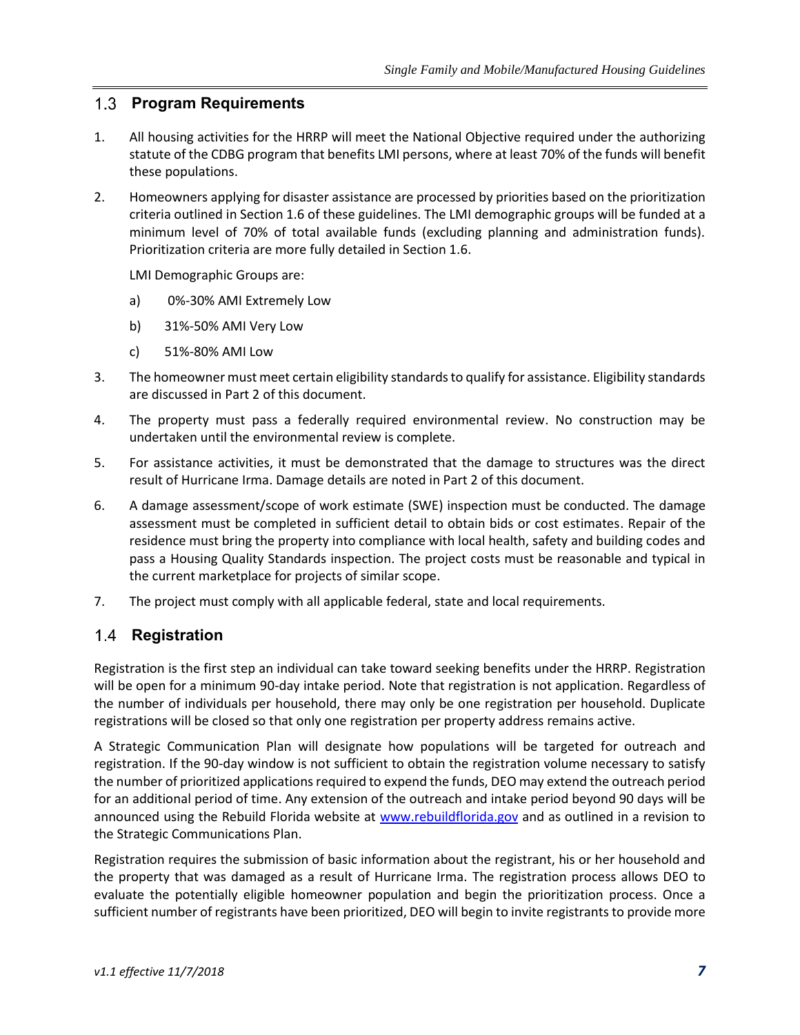#### **Program Requirements**

- 1. All housing activities for the HRRP will meet the National Objective required under the authorizing statute of the CDBG program that benefits LMI persons, where at least 70% of the funds will benefit these populations.
- 2. Homeowners applying for disaster assistance are processed by priorities based on the prioritization criteria outlined in Section 1.6 of these guidelines. The LMI demographic groups will be funded at a minimum level of 70% of total available funds (excluding planning and administration funds). Prioritization criteria are more fully detailed in Section 1.6.

LMI Demographic Groups are:

- a) 0%-30% AMI Extremely Low
- b) 31%-50% AMI Very Low
- c) 51%-80% AMI Low
- 3. The homeowner must meet certain eligibility standards to qualify for assistance. Eligibility standards are discussed in Part 2 of this document.
- 4. The property must pass a federally required environmental review. No construction may be undertaken until the environmental review is complete.
- 5. For assistance activities, it must be demonstrated that the damage to structures was the direct result of Hurricane Irma. Damage details are noted in Part 2 of this document.
- 6. A damage assessment/scope of work estimate (SWE) inspection must be conducted. The damage assessment must be completed in sufficient detail to obtain bids or cost estimates. Repair of the residence must bring the property into compliance with local health, safety and building codes and pass a Housing Quality Standards inspection. The project costs must be reasonable and typical in the current marketplace for projects of similar scope.
- 7. The project must comply with all applicable federal, state and local requirements.

#### 1.4 **Registration**

Registration is the first step an individual can take toward seeking benefits under the HRRP. Registration will be open for a minimum 90-day intake period. Note that registration is not application. Regardless of the number of individuals per household, there may only be one registration per household. Duplicate registrations will be closed so that only one registration per property address remains active.

A Strategic Communication Plan will designate how populations will be targeted for outreach and registration. If the 90-day window is not sufficient to obtain the registration volume necessary to satisfy the number of prioritized applications required to expend the funds, DEO may extend the outreach period for an additional period of time. Any extension of the outreach and intake period beyond 90 days will be announced using the Rebuild Florida website at [www.rebuildflorida.gov](file:///C:/Users/callawa/AppData/Local/Microsoft/Windows/INetCache/Content.Outlook/LBS191SR/www.rebuildflorida.gov) and as outlined in a revision to the Strategic Communications Plan.

Registration requires the submission of basic information about the registrant, his or her household and the property that was damaged as a result of Hurricane Irma. The registration process allows DEO to evaluate the potentially eligible homeowner population and begin the prioritization process. Once a sufficient number of registrants have been prioritized, DEO will begin to invite registrants to provide more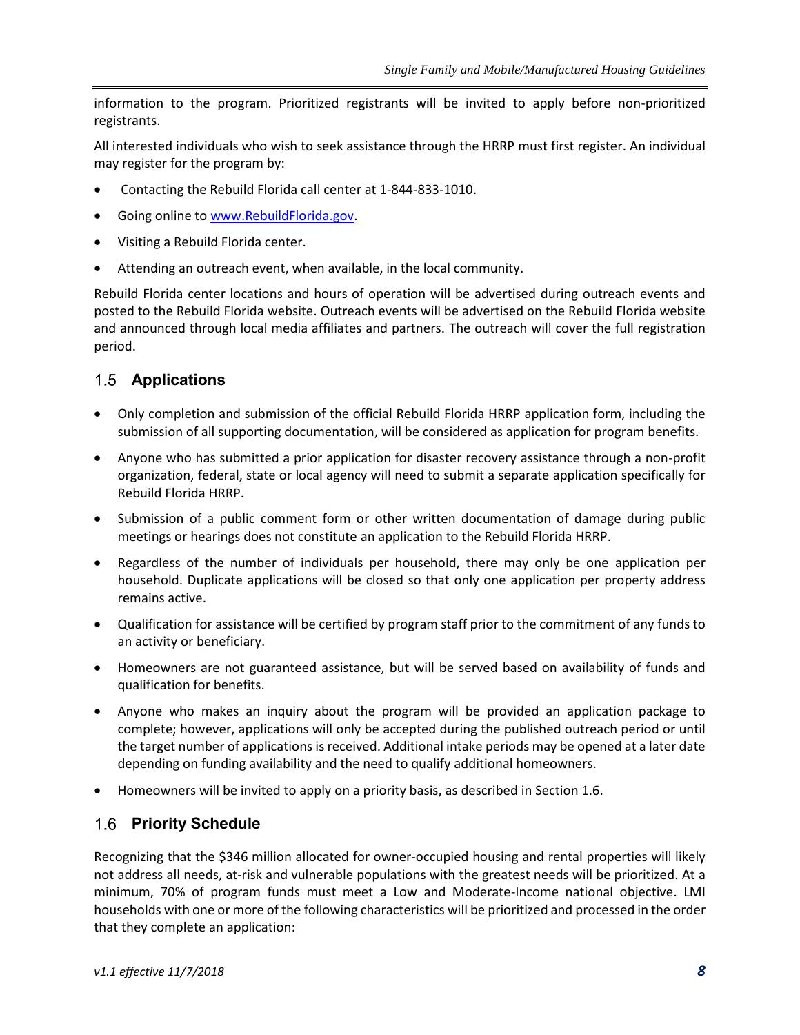information to the program. Prioritized registrants will be invited to apply before non-prioritized registrants.

All interested individuals who wish to seek assistance through the HRRP must first register. An individual may register for the program by:

- Contacting the Rebuild Florida call center at 1-844-833-1010.
- Going online to [www.RebuildFlorida.gov.](http://www.rebuildflorida.gov/)
- Visiting a Rebuild Florida center.
- Attending an outreach event, when available, in the local community.

Rebuild Florida center locations and hours of operation will be advertised during outreach events and posted to the Rebuild Florida website. Outreach events will be advertised on the Rebuild Florida website and announced through local media affiliates and partners. The outreach will cover the full registration period.

#### **Applications**

- Only completion and submission of the official Rebuild Florida HRRP application form, including the submission of all supporting documentation, will be considered as application for program benefits.
- Anyone who has submitted a prior application for disaster recovery assistance through a non-profit organization, federal, state or local agency will need to submit a separate application specifically for Rebuild Florida HRRP.
- Submission of a public comment form or other written documentation of damage during public meetings or hearings does not constitute an application to the Rebuild Florida HRRP.
- Regardless of the number of individuals per household, there may only be one application per household. Duplicate applications will be closed so that only one application per property address remains active.
- Qualification for assistance will be certified by program staff prior to the commitment of any funds to an activity or beneficiary.
- Homeowners are not guaranteed assistance, but will be served based on availability of funds and qualification for benefits.
- Anyone who makes an inquiry about the program will be provided an application package to complete; however, applications will only be accepted during the published outreach period or until the target number of applications is received. Additional intake periods may be opened at a later date depending on funding availability and the need to qualify additional homeowners.
- Homeowners will be invited to apply on a priority basis, as described in Section 1.6.

#### **Priority Schedule**

Recognizing that the \$346 million allocated for owner-occupied housing and rental properties will likely not address all needs, at-risk and vulnerable populations with the greatest needs will be prioritized. At a minimum, 70% of program funds must meet a Low and Moderate-Income national objective. LMI households with one or more of the following characteristics will be prioritized and processed in the order that they complete an application: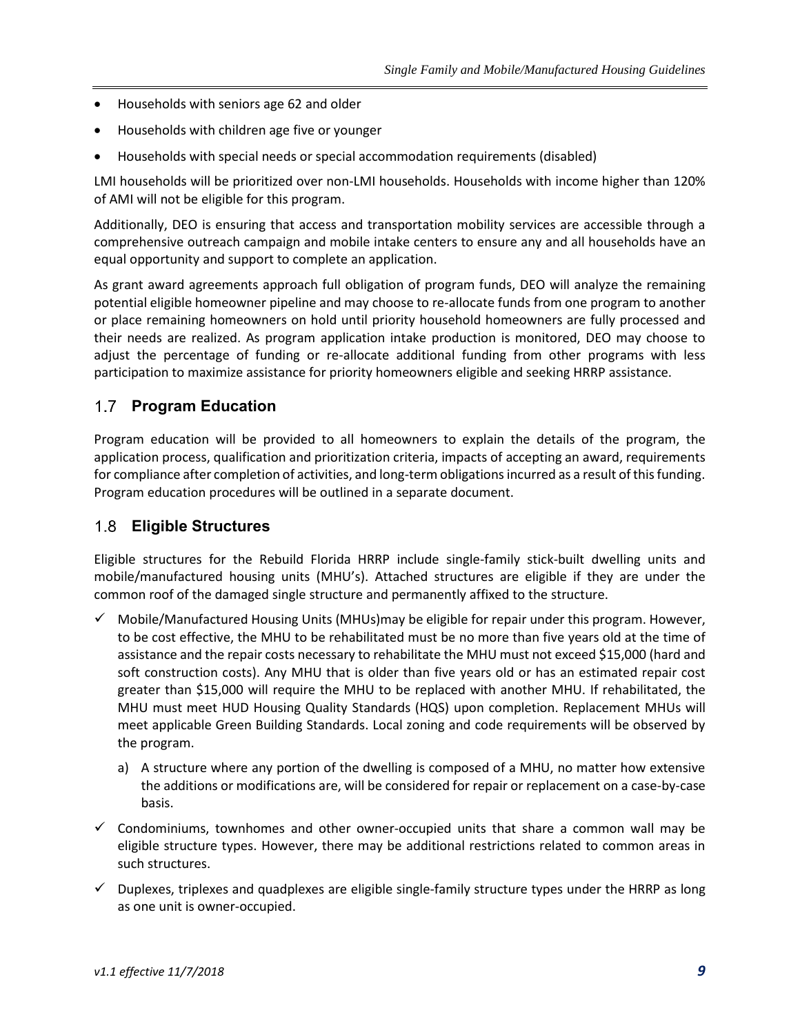- Households with seniors age 62 and older
- Households with children age five or younger
- Households with special needs or special accommodation requirements (disabled)

LMI households will be prioritized over non-LMI households. Households with income higher than 120% of AMI will not be eligible for this program.

Additionally, DEO is ensuring that access and transportation mobility services are accessible through a comprehensive outreach campaign and mobile intake centers to ensure any and all households have an equal opportunity and support to complete an application.

As grant award agreements approach full obligation of program funds, DEO will analyze the remaining potential eligible homeowner pipeline and may choose to re-allocate funds from one program to another or place remaining homeowners on hold until priority household homeowners are fully processed and their needs are realized. As program application intake production is monitored, DEO may choose to adjust the percentage of funding or re-allocate additional funding from other programs with less participation to maximize assistance for priority homeowners eligible and seeking HRRP assistance.

#### **Program Education**

Program education will be provided to all homeowners to explain the details of the program, the application process, qualification and prioritization criteria, impacts of accepting an award, requirements for compliance after completion of activities, and long-term obligations incurred as a result of this funding. Program education procedures will be outlined in a separate document.

#### **Eligible Structures**

Eligible structures for the Rebuild Florida HRRP include single-family stick-built dwelling units and mobile/manufactured housing units (MHU's). Attached structures are eligible if they are under the common roof of the damaged single structure and permanently affixed to the structure.

- $\checkmark$  Mobile/Manufactured Housing Units (MHUs)may be eligible for repair under this program. However, to be cost effective, the MHU to be rehabilitated must be no more than five years old at the time of assistance and the repair costs necessary to rehabilitate the MHU must not exceed \$15,000 (hard and soft construction costs). Any MHU that is older than five years old or has an estimated repair cost greater than \$15,000 will require the MHU to be replaced with another MHU. If rehabilitated, the MHU must meet HUD Housing Quality Standards (HQS) upon completion. Replacement MHUs will meet applicable Green Building Standards. Local zoning and code requirements will be observed by the program.
	- a) A structure where any portion of the dwelling is composed of a MHU, no matter how extensive the additions or modifications are, will be considered for repair or replacement on a case-by-case basis.
- $\checkmark$  Condominiums, townhomes and other owner-occupied units that share a common wall may be eligible structure types. However, there may be additional restrictions related to common areas in such structures.
- $\checkmark$  Duplexes, triplexes and quadplexes are eligible single-family structure types under the HRRP as long as one unit is owner-occupied.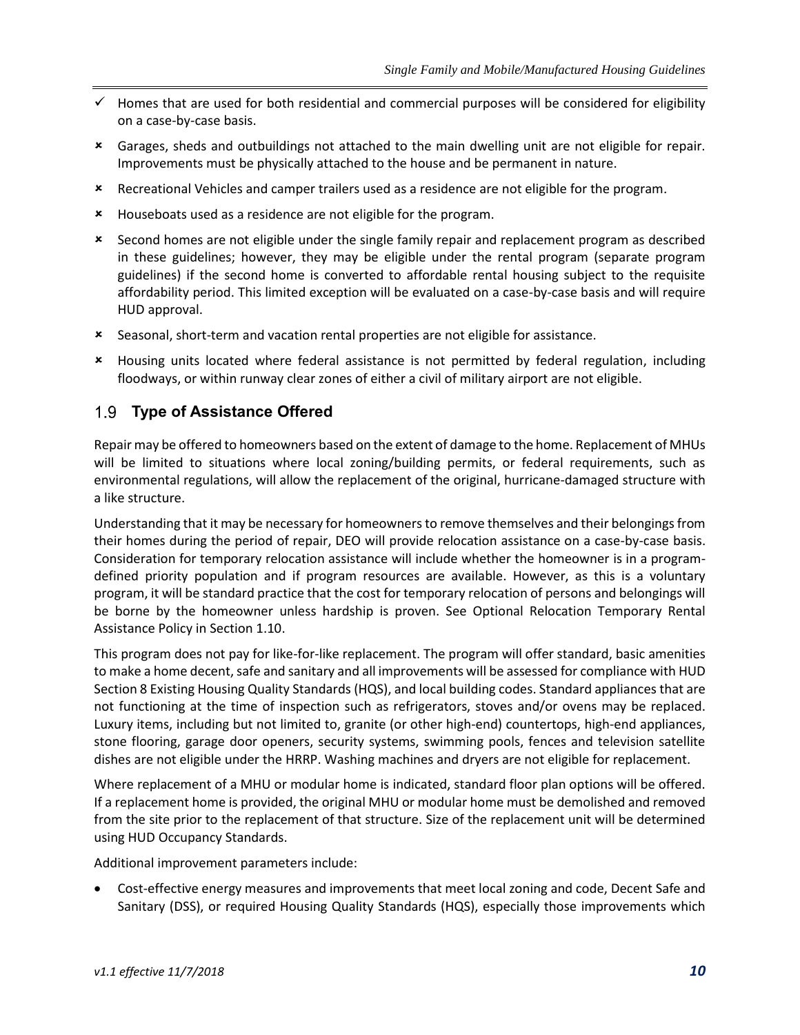- ✓ Homes that are used for both residential and commercial purposes will be considered for eligibility on a case-by-case basis.
- Garages, sheds and outbuildings not attached to the main dwelling unit are not eligible for repair. Improvements must be physically attached to the house and be permanent in nature.
- Recreational Vehicles and camper trailers used as a residence are not eligible for the program.
- Houseboats used as a residence are not eligible for the program.
- Second homes are not eligible under the single family repair and replacement program as described in these guidelines; however, they may be eligible under the rental program (separate program guidelines) if the second home is converted to affordable rental housing subject to the requisite affordability period. This limited exception will be evaluated on a case-by-case basis and will require HUD approval.
- Seasonal, short-term and vacation rental properties are not eligible for assistance.
- Housing units located where federal assistance is not permitted by federal regulation, including floodways, or within runway clear zones of either a civil of military airport are not eligible.

#### **Type of Assistance Offered**

Repair may be offered to homeowners based on the extent of damage to the home. Replacement of MHUs will be limited to situations where local zoning/building permits, or federal requirements, such as environmental regulations, will allow the replacement of the original, hurricane-damaged structure with a like structure.

Understanding that it may be necessary for homeowners to remove themselves and their belongings from their homes during the period of repair, DEO will provide relocation assistance on a case-by-case basis. Consideration for temporary relocation assistance will include whether the homeowner is in a programdefined priority population and if program resources are available. However, as this is a voluntary program, it will be standard practice that the cost for temporary relocation of persons and belongings will be borne by the homeowner unless hardship is proven. See Optional Relocation Temporary Rental Assistance Policy in Section 1.10.

This program does not pay for like-for-like replacement. The program will offer standard, basic amenities to make a home decent, safe and sanitary and all improvements will be assessed for compliance with HUD Section 8 Existing Housing Quality Standards (HQS), and local building codes. Standard appliances that are not functioning at the time of inspection such as refrigerators, stoves and/or ovens may be replaced. Luxury items, including but not limited to, granite (or other high-end) countertops, high-end appliances, stone flooring, garage door openers, security systems, swimming pools, fences and television satellite dishes are not eligible under the HRRP. Washing machines and dryers are not eligible for replacement.

Where replacement of a MHU or modular home is indicated, standard floor plan options will be offered. If a replacement home is provided, the original MHU or modular home must be demolished and removed from the site prior to the replacement of that structure. Size of the replacement unit will be determined using HUD Occupancy Standards.

Additional improvement parameters include:

• Cost-effective energy measures and improvements that meet local zoning and code, Decent Safe and Sanitary (DSS), or required Housing Quality Standards (HQS), especially those improvements which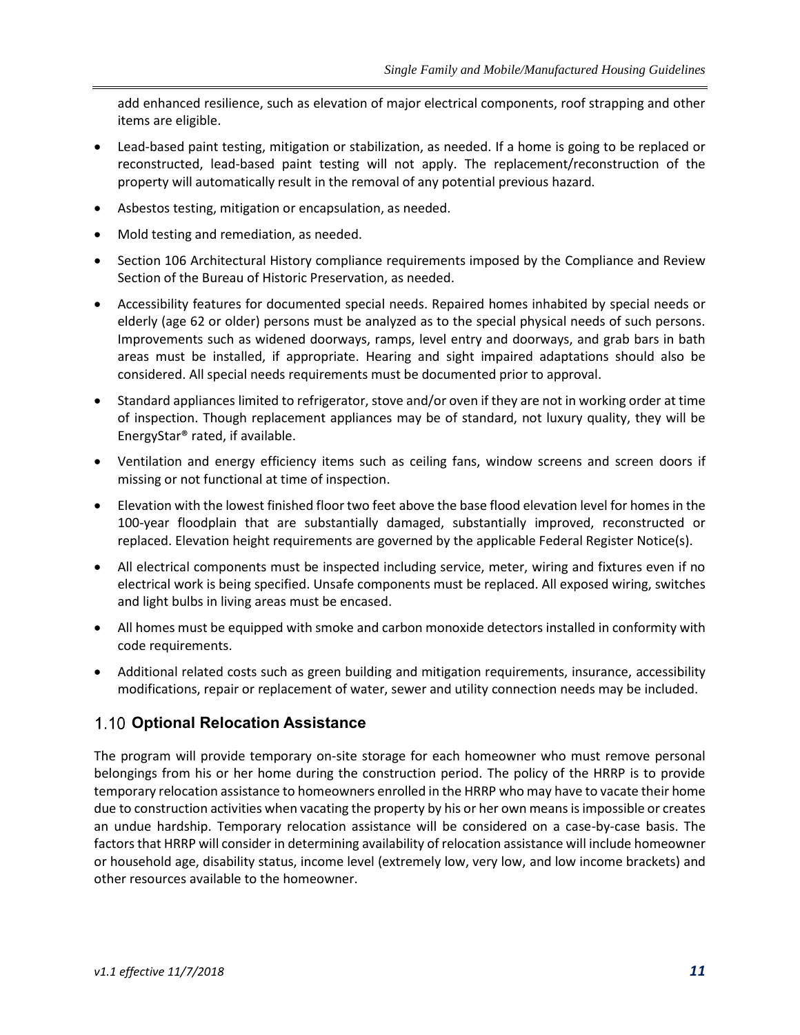add enhanced resilience, such as elevation of major electrical components, roof strapping and other items are eligible.

- Lead-based paint testing, mitigation or stabilization, as needed. If a home is going to be replaced or reconstructed, lead-based paint testing will not apply. The replacement/reconstruction of the property will automatically result in the removal of any potential previous hazard.
- Asbestos testing, mitigation or encapsulation, as needed.
- Mold testing and remediation, as needed.
- Section 106 Architectural History compliance requirements imposed by the Compliance and Review Section of the Bureau of Historic Preservation, as needed.
- Accessibility features for documented special needs. Repaired homes inhabited by special needs or elderly (age 62 or older) persons must be analyzed as to the special physical needs of such persons. Improvements such as widened doorways, ramps, level entry and doorways, and grab bars in bath areas must be installed, if appropriate. Hearing and sight impaired adaptations should also be considered. All special needs requirements must be documented prior to approval.
- Standard appliances limited to refrigerator, stove and/or oven if they are not in working order at time of inspection. Though replacement appliances may be of standard, not luxury quality, they will be EnergyStar® rated, if available.
- Ventilation and energy efficiency items such as ceiling fans, window screens and screen doors if missing or not functional at time of inspection.
- Elevation with the lowest finished floor two feet above the base flood elevation level for homes in the 100-year floodplain that are substantially damaged, substantially improved, reconstructed or replaced. Elevation height requirements are governed by the applicable Federal Register Notice(s).
- All electrical components must be inspected including service, meter, wiring and fixtures even if no electrical work is being specified. Unsafe components must be replaced. All exposed wiring, switches and light bulbs in living areas must be encased.
- All homes must be equipped with smoke and carbon monoxide detectors installed in conformity with code requirements.
- Additional related costs such as green building and mitigation requirements, insurance, accessibility modifications, repair or replacement of water, sewer and utility connection needs may be included.

## **Optional Relocation Assistance**

The program will provide temporary on-site storage for each homeowner who must remove personal belongings from his or her home during the construction period. The policy of the HRRP is to provide temporary relocation assistance to homeowners enrolled in the HRRP who may have to vacate their home due to construction activities when vacating the property by his or her own means is impossible or creates an undue hardship. Temporary relocation assistance will be considered on a case-by-case basis. The factors that HRRP will consider in determining availability of relocation assistance will include homeowner or household age, disability status, income level (extremely low, very low, and low income brackets) and other resources available to the homeowner.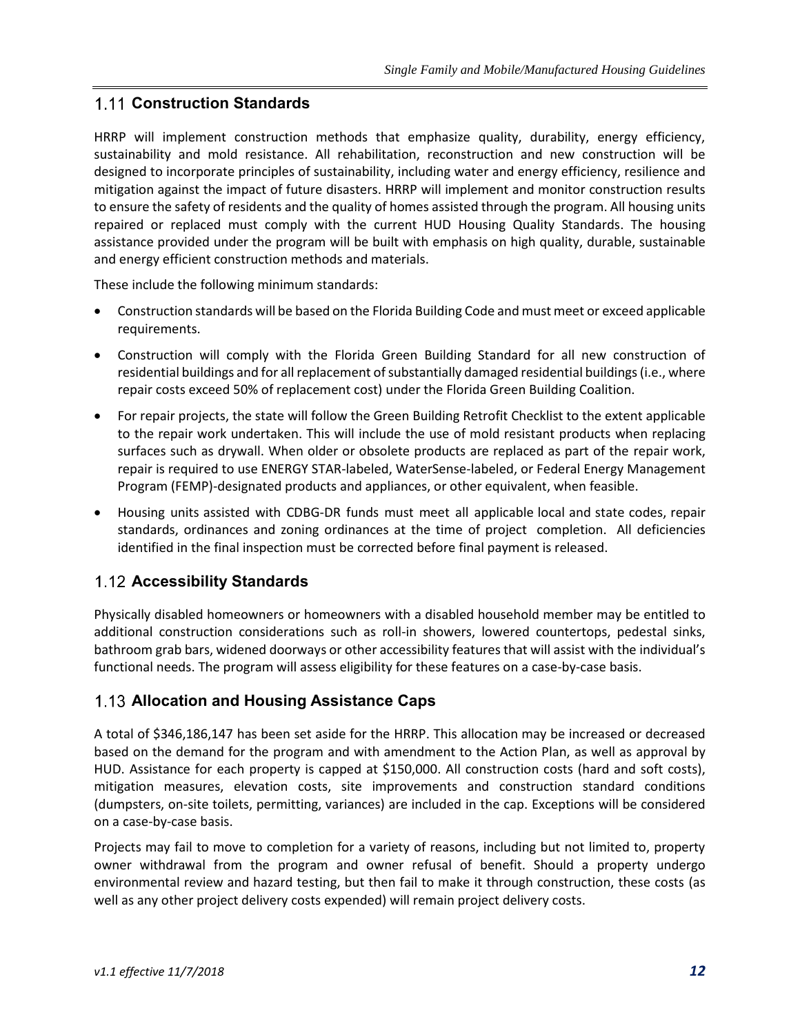#### **Construction Standards**

HRRP will implement construction methods that emphasize quality, durability, energy efficiency, sustainability and mold resistance. All rehabilitation, reconstruction and new construction will be designed to incorporate principles of sustainability, including water and energy efficiency, resilience and mitigation against the impact of future disasters. HRRP will implement and monitor construction results to ensure the safety of residents and the quality of homes assisted through the program. All housing units repaired or replaced must comply with the current HUD Housing Quality Standards. The housing assistance provided under the program will be built with emphasis on high quality, durable, sustainable and energy efficient construction methods and materials.

These include the following minimum standards:

- Construction standards will be based on the Florida Building Code and must meet or exceed applicable requirements.
- Construction will comply with the Florida Green Building Standard for all new construction of residential buildings and for all replacement of substantially damaged residential buildings (i.e., where repair costs exceed 50% of replacement cost) under the Florida Green Building Coalition.
- For repair projects, the state will follow the Green Building Retrofit Checklist to the extent applicable to the repair work undertaken. This will include the use of mold resistant products when replacing surfaces such as drywall. When older or obsolete products are replaced as part of the repair work, repair is required to use ENERGY STAR-labeled, WaterSense-labeled, or Federal Energy Management Program (FEMP)-designated products and appliances, or other equivalent, when feasible.
- Housing units assisted with CDBG-DR funds must meet all applicable local and state codes, repair standards, ordinances and zoning ordinances at the time of project completion. All deficiencies identified in the final inspection must be corrected before final payment is released.

#### **Accessibility Standards**

Physically disabled homeowners or homeowners with a disabled household member may be entitled to additional construction considerations such as roll-in showers, lowered countertops, pedestal sinks, bathroom grab bars, widened doorways or other accessibility features that will assist with the individual's functional needs. The program will assess eligibility for these features on a case-by-case basis.

#### **Allocation and Housing Assistance Caps**

A total of \$346,186,147 has been set aside for the HRRP. This allocation may be increased or decreased based on the demand for the program and with amendment to the Action Plan, as well as approval by HUD. Assistance for each property is capped at \$150,000. All construction costs (hard and soft costs), mitigation measures, elevation costs, site improvements and construction standard conditions (dumpsters, on-site toilets, permitting, variances) are included in the cap. Exceptions will be considered on a case-by-case basis.

Projects may fail to move to completion for a variety of reasons, including but not limited to, property owner withdrawal from the program and owner refusal of benefit. Should a property undergo environmental review and hazard testing, but then fail to make it through construction, these costs (as well as any other project delivery costs expended) will remain project delivery costs.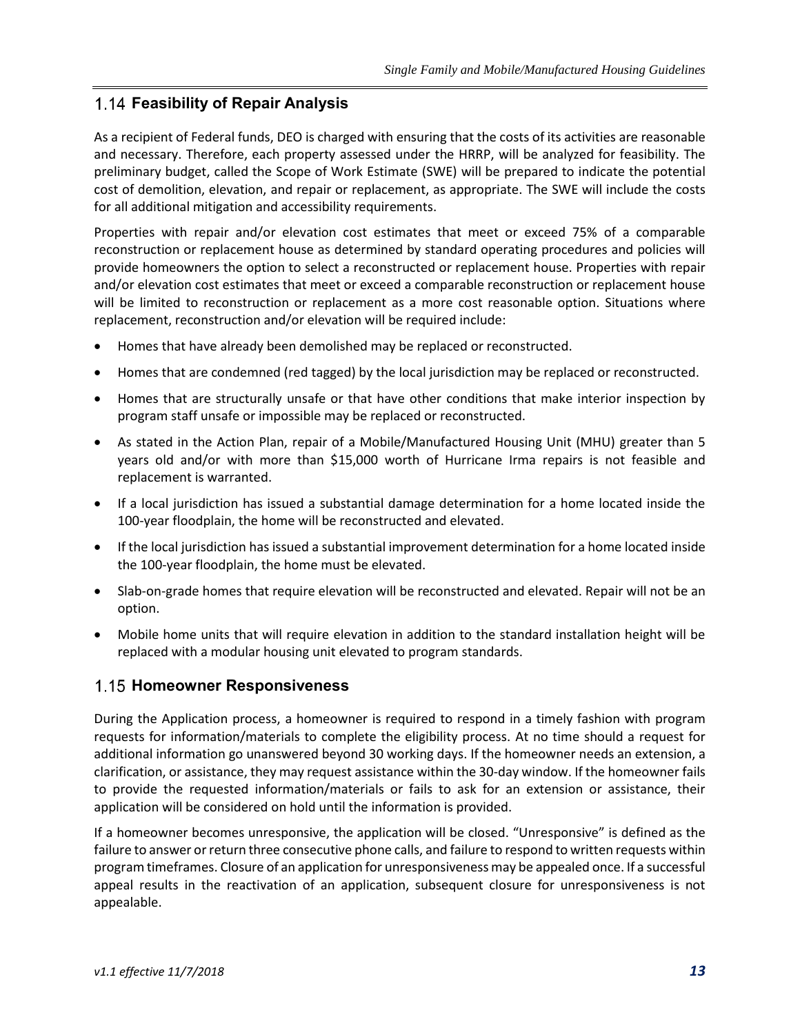#### **Feasibility of Repair Analysis**

As a recipient of Federal funds, DEO is charged with ensuring that the costs of its activities are reasonable and necessary. Therefore, each property assessed under the HRRP, will be analyzed for feasibility. The preliminary budget, called the Scope of Work Estimate (SWE) will be prepared to indicate the potential cost of demolition, elevation, and repair or replacement, as appropriate. The SWE will include the costs for all additional mitigation and accessibility requirements.

Properties with repair and/or elevation cost estimates that meet or exceed 75% of a comparable reconstruction or replacement house as determined by standard operating procedures and policies will provide homeowners the option to select a reconstructed or replacement house. Properties with repair and/or elevation cost estimates that meet or exceed a comparable reconstruction or replacement house will be limited to reconstruction or replacement as a more cost reasonable option. Situations where replacement, reconstruction and/or elevation will be required include:

- Homes that have already been demolished may be replaced or reconstructed.
- Homes that are condemned (red tagged) by the local jurisdiction may be replaced or reconstructed.
- Homes that are structurally unsafe or that have other conditions that make interior inspection by program staff unsafe or impossible may be replaced or reconstructed.
- As stated in the Action Plan, repair of a Mobile/Manufactured Housing Unit (MHU) greater than 5 years old and/or with more than \$15,000 worth of Hurricane Irma repairs is not feasible and replacement is warranted.
- If a local jurisdiction has issued a substantial damage determination for a home located inside the 100-year floodplain, the home will be reconstructed and elevated.
- If the local jurisdiction has issued a substantial improvement determination for a home located inside the 100-year floodplain, the home must be elevated.
- Slab-on-grade homes that require elevation will be reconstructed and elevated. Repair will not be an option.
- Mobile home units that will require elevation in addition to the standard installation height will be replaced with a modular housing unit elevated to program standards.

#### **Homeowner Responsiveness**

During the Application process, a homeowner is required to respond in a timely fashion with program requests for information/materials to complete the eligibility process. At no time should a request for additional information go unanswered beyond 30 working days. If the homeowner needs an extension, a clarification, or assistance, they may request assistance within the 30-day window. If the homeowner fails to provide the requested information/materials or fails to ask for an extension or assistance, their application will be considered on hold until the information is provided.

If a homeowner becomes unresponsive, the application will be closed. "Unresponsive" is defined as the failure to answer or return three consecutive phone calls, and failure to respond to written requests within program timeframes. Closure of an application for unresponsiveness may be appealed once. If a successful appeal results in the reactivation of an application, subsequent closure for unresponsiveness is not appealable.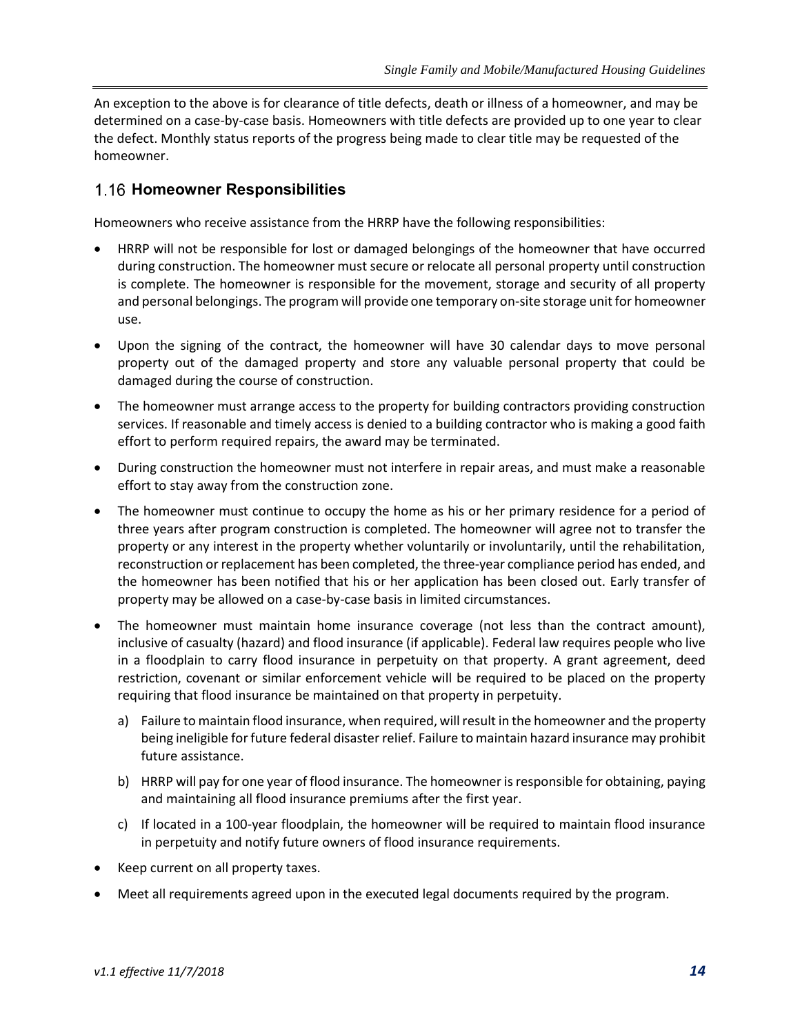An exception to the above is for clearance of title defects, death or illness of a homeowner, and may be determined on a case-by-case basis. Homeowners with title defects are provided up to one year to clear the defect. Monthly status reports of the progress being made to clear title may be requested of the homeowner.

#### **Homeowner Responsibilities**

Homeowners who receive assistance from the HRRP have the following responsibilities:

- HRRP will not be responsible for lost or damaged belongings of the homeowner that have occurred during construction. The homeowner must secure or relocate all personal property until construction is complete. The homeowner is responsible for the movement, storage and security of all property and personal belongings. The program will provide one temporary on-site storage unit for homeowner use.
- Upon the signing of the contract, the homeowner will have 30 calendar days to move personal property out of the damaged property and store any valuable personal property that could be damaged during the course of construction.
- The homeowner must arrange access to the property for building contractors providing construction services. If reasonable and timely access is denied to a building contractor who is making a good faith effort to perform required repairs, the award may be terminated.
- During construction the homeowner must not interfere in repair areas, and must make a reasonable effort to stay away from the construction zone.
- The homeowner must continue to occupy the home as his or her primary residence for a period of three years after program construction is completed. The homeowner will agree not to transfer the property or any interest in the property whether voluntarily or involuntarily, until the rehabilitation, reconstruction or replacement has been completed, the three-year compliance period has ended, and the homeowner has been notified that his or her application has been closed out. Early transfer of property may be allowed on a case-by-case basis in limited circumstances.
- The homeowner must maintain home insurance coverage (not less than the contract amount), inclusive of casualty (hazard) and flood insurance (if applicable). Federal law requires people who live in a floodplain to carry flood insurance in perpetuity on that property. A grant agreement, deed restriction, covenant or similar enforcement vehicle will be required to be placed on the property requiring that flood insurance be maintained on that property in perpetuity.
	- a) Failure to maintain flood insurance, when required, will result in the homeowner and the property being ineligible for future federal disaster relief. Failure to maintain hazard insurance may prohibit future assistance.
	- b) HRRP will pay for one year of flood insurance. The homeowner is responsible for obtaining, paying and maintaining all flood insurance premiums after the first year.
	- c) If located in a 100-year floodplain, the homeowner will be required to maintain flood insurance in perpetuity and notify future owners of flood insurance requirements.
- Keep current on all property taxes.
- Meet all requirements agreed upon in the executed legal documents required by the program.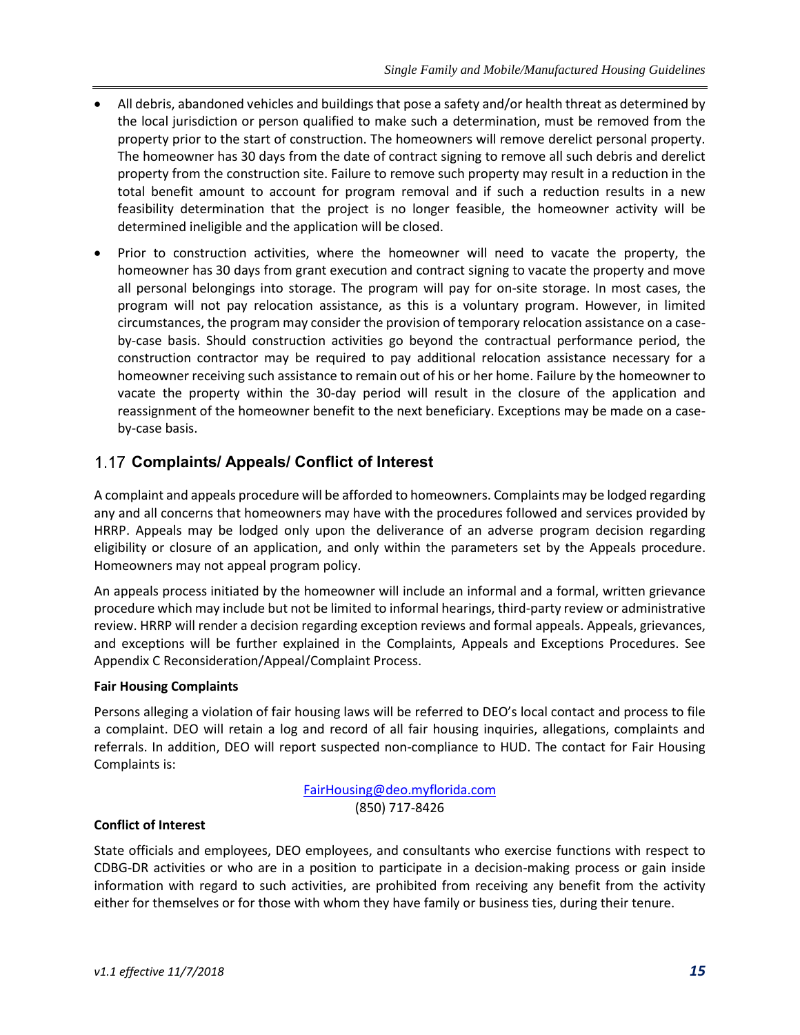- All debris, abandoned vehicles and buildings that pose a safety and/or health threat as determined by the local jurisdiction or person qualified to make such a determination, must be removed from the property prior to the start of construction. The homeowners will remove derelict personal property. The homeowner has 30 days from the date of contract signing to remove all such debris and derelict property from the construction site. Failure to remove such property may result in a reduction in the total benefit amount to account for program removal and if such a reduction results in a new feasibility determination that the project is no longer feasible, the homeowner activity will be determined ineligible and the application will be closed.
- Prior to construction activities, where the homeowner will need to vacate the property, the homeowner has 30 days from grant execution and contract signing to vacate the property and move all personal belongings into storage. The program will pay for on-site storage. In most cases, the program will not pay relocation assistance, as this is a voluntary program. However, in limited circumstances, the program may consider the provision of temporary relocation assistance on a caseby-case basis. Should construction activities go beyond the contractual performance period, the construction contractor may be required to pay additional relocation assistance necessary for a homeowner receiving such assistance to remain out of his or her home. Failure by the homeowner to vacate the property within the 30-day period will result in the closure of the application and reassignment of the homeowner benefit to the next beneficiary. Exceptions may be made on a caseby-case basis.

## **Complaints/ Appeals/ Conflict of Interest**

A complaint and appeals procedure will be afforded to homeowners. Complaints may be lodged regarding any and all concerns that homeowners may have with the procedures followed and services provided by HRRP. Appeals may be lodged only upon the deliverance of an adverse program decision regarding eligibility or closure of an application, and only within the parameters set by the Appeals procedure. Homeowners may not appeal program policy.

An appeals process initiated by the homeowner will include an informal and a formal, written grievance procedure which may include but not be limited to informal hearings, third-party review or administrative review. HRRP will render a decision regarding exception reviews and formal appeals. Appeals, grievances, and exceptions will be further explained in the Complaints, Appeals and Exceptions Procedures. See Appendix C [Reconsideration/Appeal/Complaint](#page-47-0) Process.

#### **Fair Housing Complaints**

Persons alleging a violation of fair housing laws will be referred to DEO's local contact and process to file a complaint. DEO will retain a log and record of all fair housing inquiries, allegations, complaints and referrals. In addition, DEO will report suspected non-compliance to HUD. The contact for Fair Housing Complaints is:

> [FairHousing@deo.myflorida.com](mailto:FairHousing@deo.myflorida.com) (850) 717-8426

#### **Conflict of Interest**

State officials and employees, DEO employees, and consultants who exercise functions with respect to CDBG-DR activities or who are in a position to participate in a decision-making process or gain inside information with regard to such activities, are prohibited from receiving any benefit from the activity either for themselves or for those with whom they have family or business ties, during their tenure.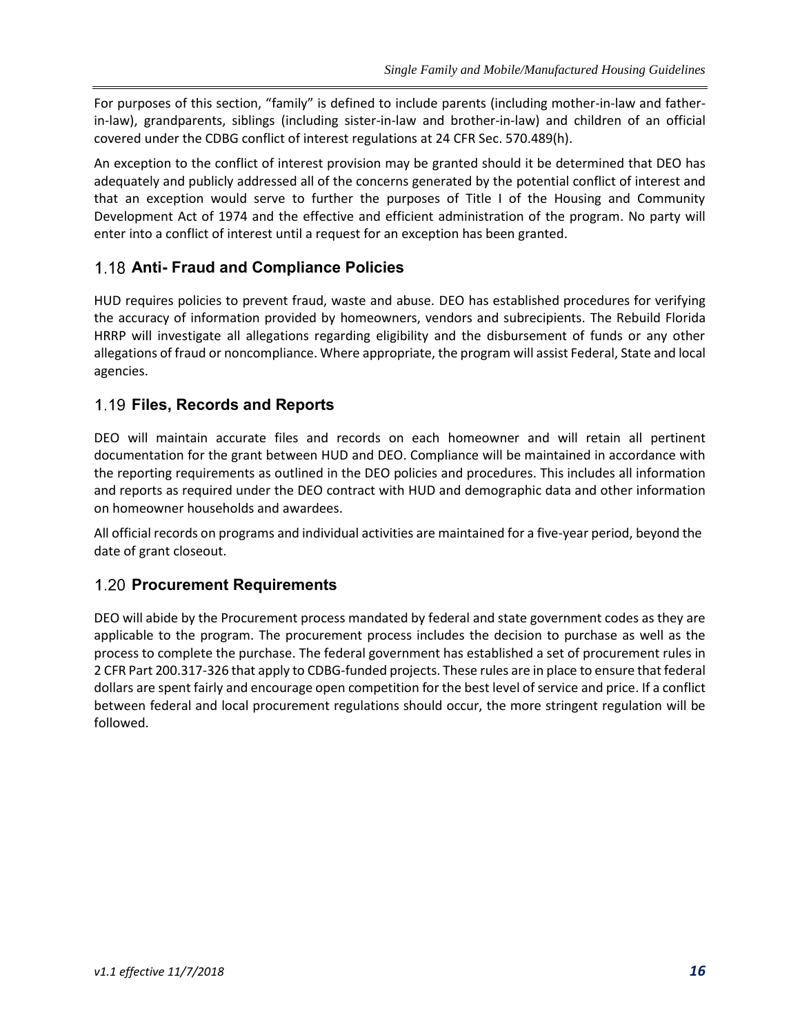For purposes of this section, "family" is defined to include parents (including mother-in-law and fatherin-law), grandparents, siblings (including sister-in-law and brother-in-law) and children of an official covered under the CDBG conflict of interest regulations at 24 CFR Sec. 570.489(h).

An exception to the conflict of interest provision may be granted should it be determined that DEO has adequately and publicly addressed all of the concerns generated by the potential conflict of interest and that an exception would serve to further the purposes of Title I of the Housing and Community Development Act of 1974 and the effective and efficient administration of the program. No party will enter into a conflict of interest until a request for an exception has been granted.

## **Anti- Fraud and Compliance Policies**

HUD requires policies to prevent fraud, waste and abuse. DEO has established procedures for verifying the accuracy of information provided by homeowners, vendors and subrecipients. The Rebuild Florida HRRP will investigate all allegations regarding eligibility and the disbursement of funds or any other allegations of fraud or noncompliance. Where appropriate, the program will assist Federal, State and local agencies.

#### **Files, Records and Reports**

DEO will maintain accurate files and records on each homeowner and will retain all pertinent documentation for the grant between HUD and DEO. Compliance will be maintained in accordance with the reporting requirements as outlined in the DEO policies and procedures. This includes all information and reports as required under the DEO contract with HUD and demographic data and other information on homeowner households and awardees.

All official records on programs and individual activities are maintained for a five-year period, beyond the date of grant closeout.

#### **Procurement Requirements**

DEO will abide by the Procurement process mandated by federal and state government codes as they are applicable to the program. The procurement process includes the decision to purchase as well as the process to complete the purchase. The federal government has established a set of procurement rules in 2 CFR Part 200.317-326 that apply to CDBG-funded projects. These rules are in place to ensure that federal dollars are spent fairly and encourage open competition for the best level of service and price. If a conflict between federal and local procurement regulations should occur, the more stringent regulation will be followed.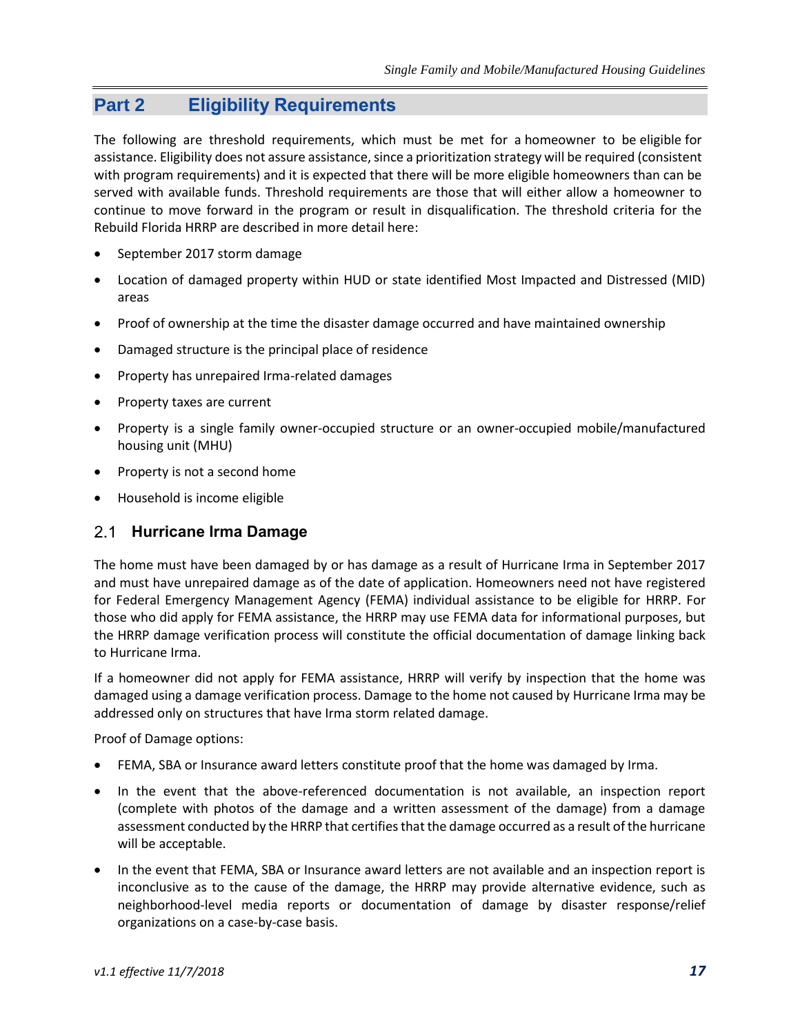## **Part 2 Eligibility Requirements**

The following are threshold requirements, which must be met for a homeowner to be eligible for assistance. Eligibility does not assure assistance, since a prioritization strategy will be required (consistent with program requirements) and it is expected that there will be more eligible homeowners than can be served with available funds. Threshold requirements are those that will either allow a homeowner to continue to move forward in the program or result in disqualification. The threshold criteria for the Rebuild Florida HRRP are described in more detail here:

- September 2017 storm damage
- Location of damaged property within HUD or state identified Most Impacted and Distressed (MID) areas
- Proof of ownership at the time the disaster damage occurred and have maintained ownership
- Damaged structure is the principal place of residence
- Property has unrepaired Irma-related damages
- Property taxes are current
- Property is a single family owner-occupied structure or an owner-occupied mobile/manufactured housing unit (MHU)
- Property is not a second home
- Household is income eligible

#### **Hurricane Irma Damage**

The home must have been damaged by or has damage as a result of Hurricane Irma in September 2017 and must have unrepaired damage as of the date of application. Homeowners need not have registered for Federal Emergency Management Agency (FEMA) individual assistance to be eligible for HRRP. For those who did apply for FEMA assistance, the HRRP may use FEMA data for informational purposes, but the HRRP damage verification process will constitute the official documentation of damage linking back to Hurricane Irma.

If a homeowner did not apply for FEMA assistance, HRRP will verify by inspection that the home was damaged using a damage verification process. Damage to the home not caused by Hurricane Irma may be addressed only on structures that have Irma storm related damage.

Proof of Damage options:

- FEMA, SBA or Insurance award letters constitute proof that the home was damaged by Irma.
- In the event that the above-referenced documentation is not available, an inspection report (complete with photos of the damage and a written assessment of the damage) from a damage assessment conducted by the HRRP that certifies that the damage occurred as a result of the hurricane will be acceptable.
- In the event that FEMA, SBA or Insurance award letters are not available and an inspection report is inconclusive as to the cause of the damage, the HRRP may provide alternative evidence, such as neighborhood-level media reports or documentation of damage by disaster response/relief organizations on a case-by-case basis.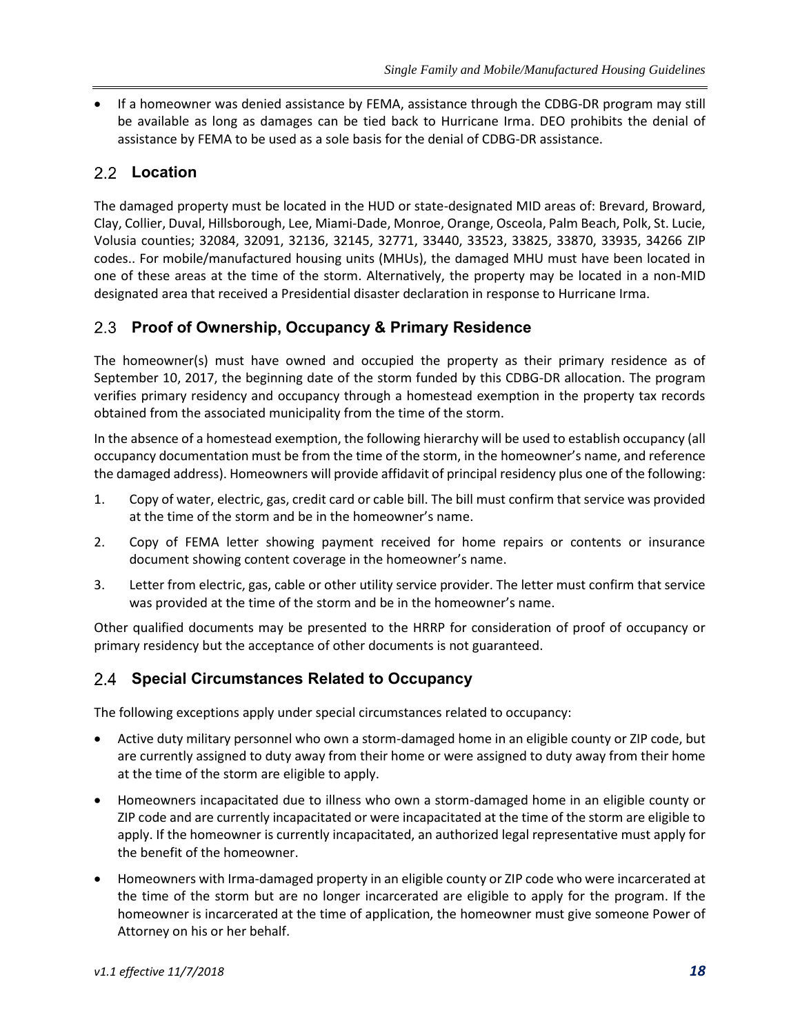• If a homeowner was denied assistance by FEMA, assistance through the CDBG-DR program may still be available as long as damages can be tied back to Hurricane Irma. DEO prohibits the denial of assistance by FEMA to be used as a sole basis for the denial of CDBG-DR assistance.

## 2.2 **Location**

The damaged property must be located in the HUD or state-designated MID areas of: Brevard, Broward, Clay, Collier, Duval, Hillsborough, Lee, Miami-Dade, Monroe, Orange, Osceola, Palm Beach, Polk, St. Lucie, Volusia counties; 32084, 32091, 32136, 32145, 32771, 33440, 33523, 33825, 33870, 33935, 34266 ZIP codes.. For mobile/manufactured housing units (MHUs), the damaged MHU must have been located in one of these areas at the time of the storm. Alternatively, the property may be located in a non-MID designated area that received a Presidential disaster declaration in response to Hurricane Irma.

#### **Proof of Ownership, Occupancy & Primary Residence**

The homeowner(s) must have owned and occupied the property as their primary residence as of September 10, 2017, the beginning date of the storm funded by this CDBG-DR allocation. The program verifies primary residency and occupancy through a homestead exemption in the property tax records obtained from the associated municipality from the time of the storm.

In the absence of a homestead exemption, the following hierarchy will be used to establish occupancy (all occupancy documentation must be from the time of the storm, in the homeowner's name, and reference the damaged address). Homeowners will provide affidavit of principal residency plus one of the following:

- 1. Copy of water, electric, gas, credit card or cable bill. The bill must confirm that service was provided at the time of the storm and be in the homeowner's name.
- 2. Copy of FEMA letter showing payment received for home repairs or contents or insurance document showing content coverage in the homeowner's name.
- 3. Letter from electric, gas, cable or other utility service provider. The letter must confirm that service was provided at the time of the storm and be in the homeowner's name.

Other qualified documents may be presented to the HRRP for consideration of proof of occupancy or primary residency but the acceptance of other documents is not guaranteed.

#### **Special Circumstances Related to Occupancy**

The following exceptions apply under special circumstances related to occupancy:

- Active duty military personnel who own a storm-damaged home in an eligible county or ZIP code, but are currently assigned to duty away from their home or were assigned to duty away from their home at the time of the storm are eligible to apply.
- Homeowners incapacitated due to illness who own a storm-damaged home in an eligible county or ZIP code and are currently incapacitated or were incapacitated at the time of the storm are eligible to apply. If the homeowner is currently incapacitated, an authorized legal representative must apply for the benefit of the homeowner.
- Homeowners with Irma-damaged property in an eligible county or ZIP code who were incarcerated at the time of the storm but are no longer incarcerated are eligible to apply for the program. If the homeowner is incarcerated at the time of application, the homeowner must give someone Power of Attorney on his or her behalf.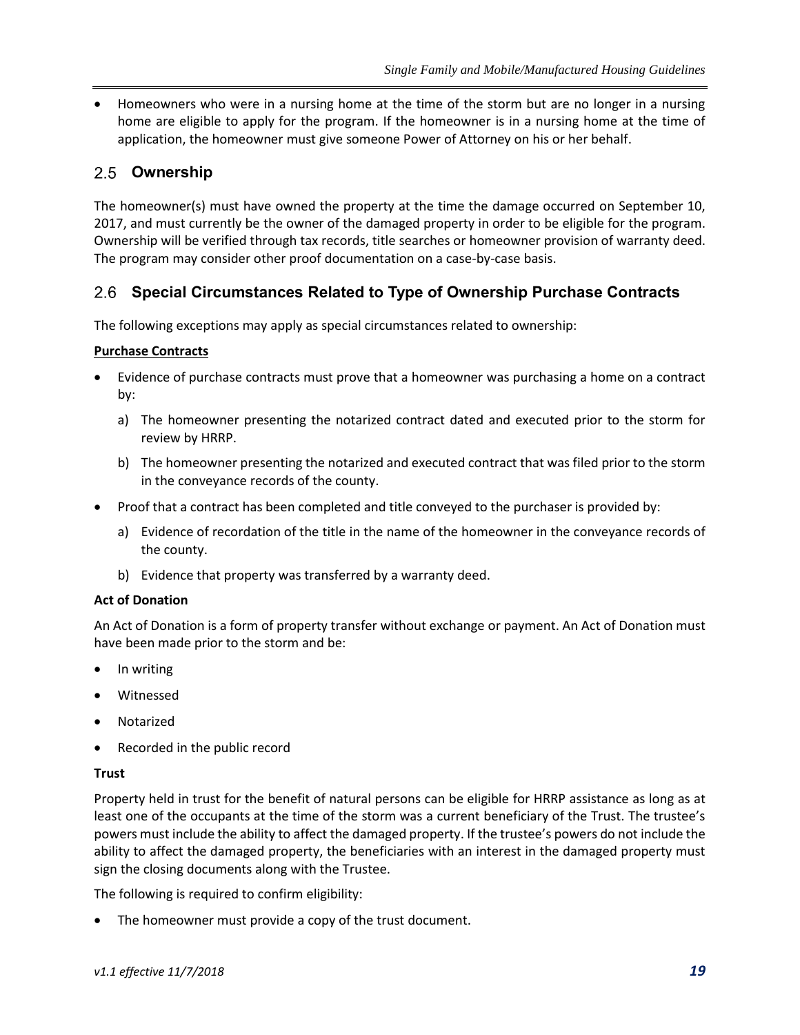• Homeowners who were in a nursing home at the time of the storm but are no longer in a nursing home are eligible to apply for the program. If the homeowner is in a nursing home at the time of application, the homeowner must give someone Power of Attorney on his or her behalf.

## **Ownership**

The homeowner(s) must have owned the property at the time the damage occurred on September 10, 2017, and must currently be the owner of the damaged property in order to be eligible for the program. Ownership will be verified through tax records, title searches or homeowner provision of warranty deed. The program may consider other proof documentation on a case-by-case basis.

#### **Special Circumstances Related to Type of Ownership Purchase Contracts**

The following exceptions may apply as special circumstances related to ownership:

#### **Purchase Contracts**

- Evidence of purchase contracts must prove that a homeowner was purchasing a home on a contract by:
	- a) The homeowner presenting the notarized contract dated and executed prior to the storm for review by HRRP.
	- b) The homeowner presenting the notarized and executed contract that was filed prior to the storm in the conveyance records of the county.
- Proof that a contract has been completed and title conveyed to the purchaser is provided by:
	- a) Evidence of recordation of the title in the name of the homeowner in the conveyance records of the county.
	- b) Evidence that property was transferred by a warranty deed.

#### **Act of Donation**

An Act of Donation is a form of property transfer without exchange or payment. An Act of Donation must have been made prior to the storm and be:

- In writing
- Witnessed
- Notarized
- Recorded in the public record

#### **Trust**

Property held in trust for the benefit of natural persons can be eligible for HRRP assistance as long as at least one of the occupants at the time of the storm was a current beneficiary of the Trust. The trustee's powers must include the ability to affect the damaged property. If the trustee's powers do not include the ability to affect the damaged property, the beneficiaries with an interest in the damaged property must sign the closing documents along with the Trustee.

The following is required to confirm eligibility:

The homeowner must provide a copy of the trust document.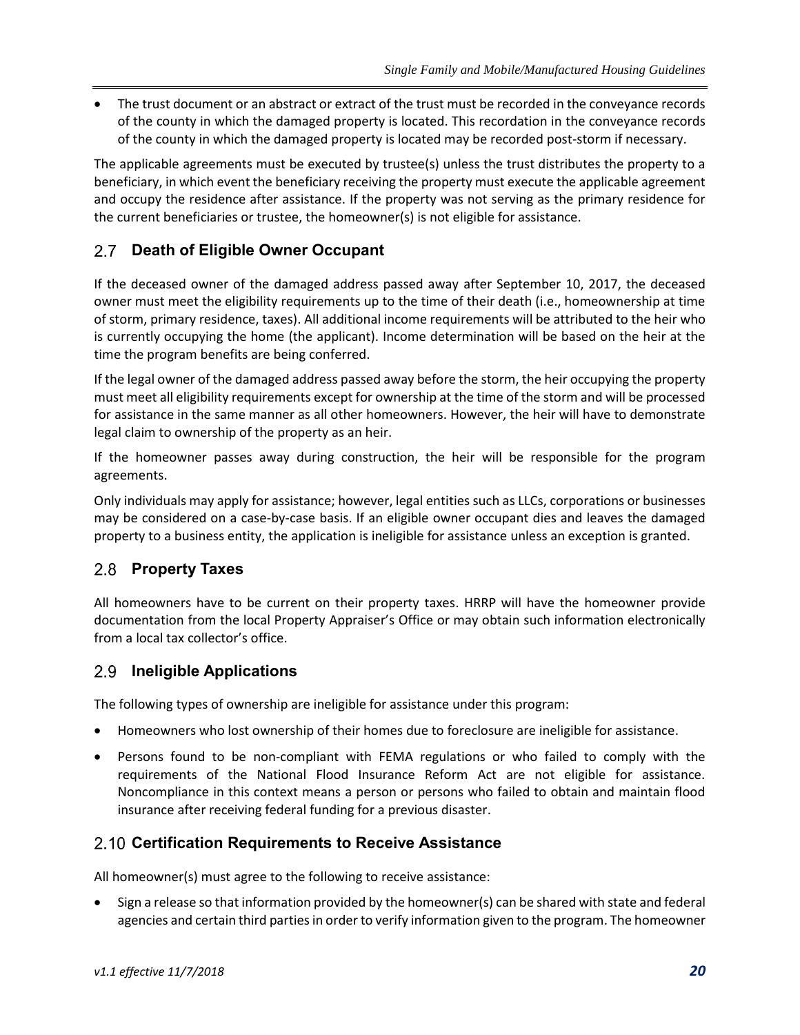• The trust document or an abstract or extract of the trust must be recorded in the conveyance records of the county in which the damaged property is located. This recordation in the conveyance records of the county in which the damaged property is located may be recorded post-storm if necessary.

The applicable agreements must be executed by trustee(s) unless the trust distributes the property to a beneficiary, in which event the beneficiary receiving the property must execute the applicable agreement and occupy the residence after assistance. If the property was not serving as the primary residence for the current beneficiaries or trustee, the homeowner(s) is not eligible for assistance.

## **Death of Eligible Owner Occupant**

If the deceased owner of the damaged address passed away after September 10, 2017, the deceased owner must meet the eligibility requirements up to the time of their death (i.e., homeownership at time of storm, primary residence, taxes). All additional income requirements will be attributed to the heir who is currently occupying the home (the applicant). Income determination will be based on the heir at the time the program benefits are being conferred.

If the legal owner of the damaged address passed away before the storm, the heir occupying the property must meet all eligibility requirements except for ownership at the time of the storm and will be processed for assistance in the same manner as all other homeowners. However, the heir will have to demonstrate legal claim to ownership of the property as an heir.

If the homeowner passes away during construction, the heir will be responsible for the program agreements.

Only individuals may apply for assistance; however, legal entities such as LLCs, corporations or businesses may be considered on a case-by-case basis. If an eligible owner occupant dies and leaves the damaged property to a business entity, the application is ineligible for assistance unless an exception is granted.

#### **Property Taxes**

All homeowners have to be current on their property taxes. HRRP will have the homeowner provide documentation from the local Property Appraiser's Office or may obtain such information electronically from a local tax collector's office.

#### **Ineligible Applications**

The following types of ownership are ineligible for assistance under this program:

- Homeowners who lost ownership of their homes due to foreclosure are ineligible for assistance.
- Persons found to be non-compliant with FEMA regulations or who failed to comply with the requirements of the National Flood Insurance Reform Act are not eligible for assistance. Noncompliance in this context means a person or persons who failed to obtain and maintain flood insurance after receiving federal funding for a previous disaster.

#### **Certification Requirements to Receive Assistance**

All homeowner(s) must agree to the following to receive assistance:

• Sign a release so that information provided by the homeowner(s) can be shared with state and federal agencies and certain third parties in order to verify information given to the program. The homeowner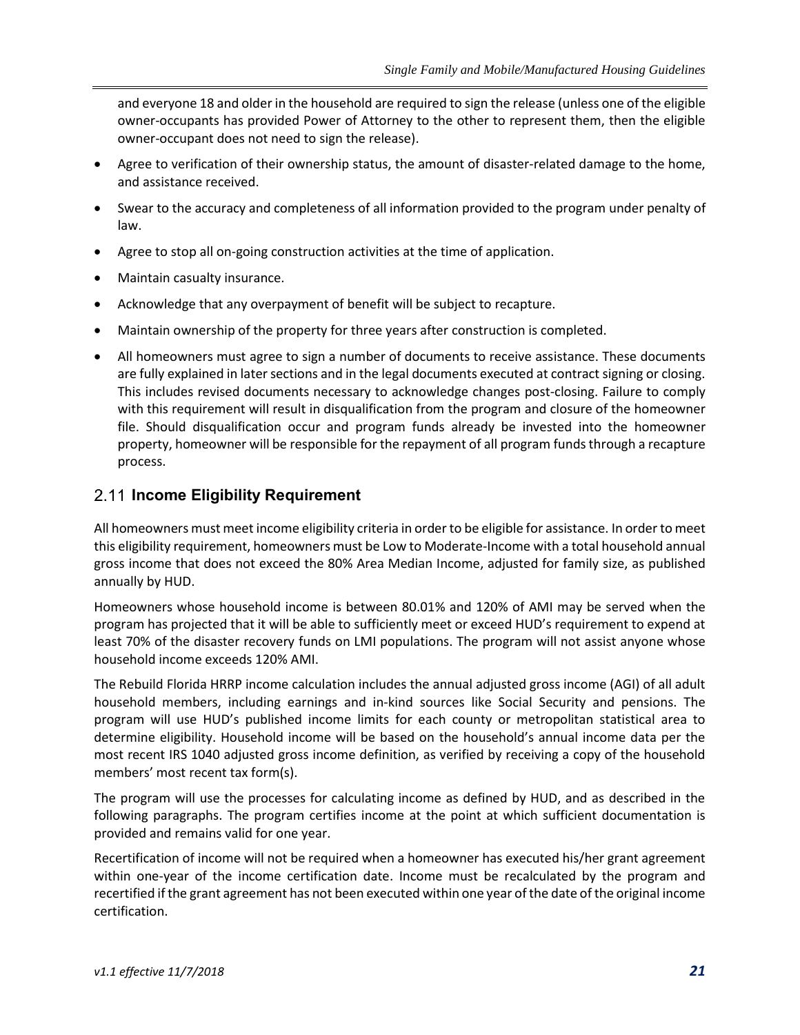and everyone 18 and older in the household are required to sign the release (unless one of the eligible owner-occupants has provided Power of Attorney to the other to represent them, then the eligible owner-occupant does not need to sign the release).

- Agree to verification of their ownership status, the amount of disaster-related damage to the home, and assistance received.
- Swear to the accuracy and completeness of all information provided to the program under penalty of law.
- Agree to stop all on-going construction activities at the time of application.
- Maintain casualty insurance.
- Acknowledge that any overpayment of benefit will be subject to recapture.
- Maintain ownership of the property for three years after construction is completed.
- All homeowners must agree to sign a number of documents to receive assistance. These documents are fully explained in later sections and in the legal documents executed at contract signing or closing. This includes revised documents necessary to acknowledge changes post-closing. Failure to comply with this requirement will result in disqualification from the program and closure of the homeowner file. Should disqualification occur and program funds already be invested into the homeowner property, homeowner will be responsible for the repayment of all program funds through a recapture process.

#### **Income Eligibility Requirement**

All homeowners must meet income eligibility criteria in order to be eligible for assistance. In order to meet this eligibility requirement, homeowners must be Low to Moderate-Income with a total household annual gross income that does not exceed the 80% Area Median Income, adjusted for family size, as published annually by HUD.

Homeowners whose household income is between 80.01% and 120% of AMI may be served when the program has projected that it will be able to sufficiently meet or exceed HUD's requirement to expend at least 70% of the disaster recovery funds on LMI populations. The program will not assist anyone whose household income exceeds 120% AMI.

The Rebuild Florida HRRP income calculation includes the annual adjusted gross income (AGI) of all adult household members, including earnings and in-kind sources like Social Security and pensions. The program will use HUD's published income limits for each county or metropolitan statistical area to determine eligibility. Household income will be based on the household's annual income data per the most recent IRS 1040 adjusted gross income definition, as verified by receiving a copy of the household members' most recent tax form(s).

The program will use the processes for calculating income as defined by HUD, and as described in the following paragraphs. The program certifies income at the point at which sufficient documentation is provided and remains valid for one year.

Recertification of income will not be required when a homeowner has executed his/her grant agreement within one-year of the income certification date. Income must be recalculated by the program and recertified if the grant agreement has not been executed within one year of the date of the original income certification.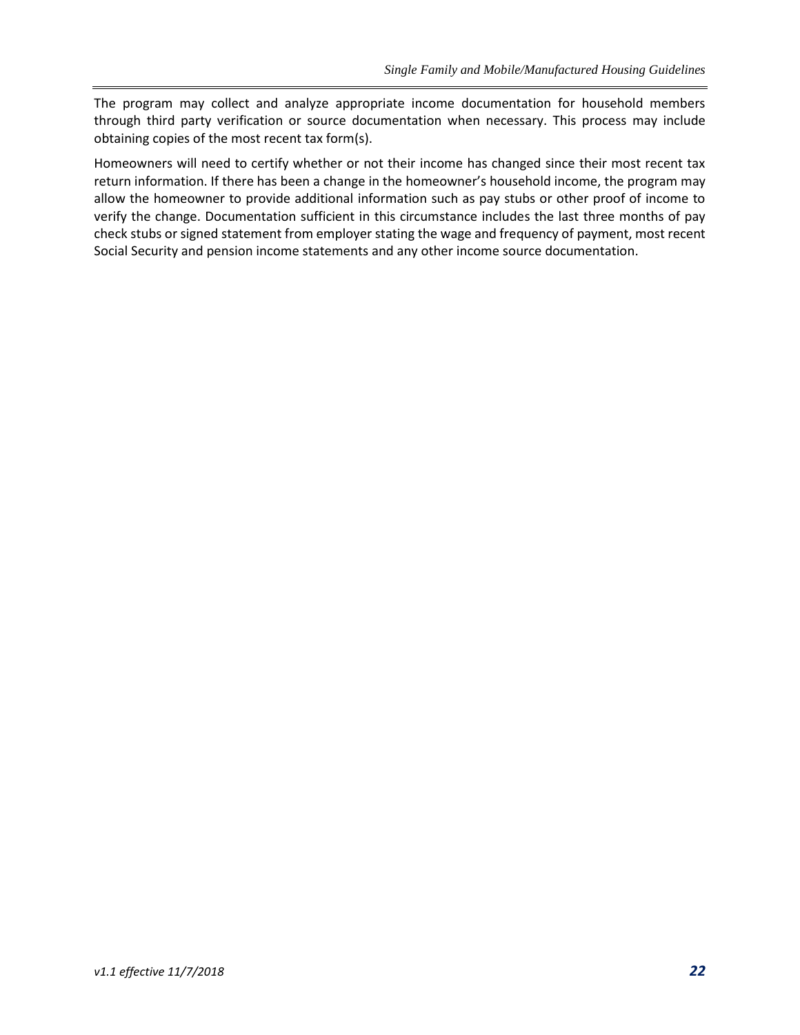The program may collect and analyze appropriate income documentation for household members through third party verification or source documentation when necessary. This process may include obtaining copies of the most recent tax form(s).

Homeowners will need to certify whether or not their income has changed since their most recent tax return information. If there has been a change in the homeowner's household income, the program may allow the homeowner to provide additional information such as pay stubs or other proof of income to verify the change. Documentation sufficient in this circumstance includes the last three months of pay check stubs or signed statement from employer stating the wage and frequency of payment, most recent Social Security and pension income statements and any other income source documentation.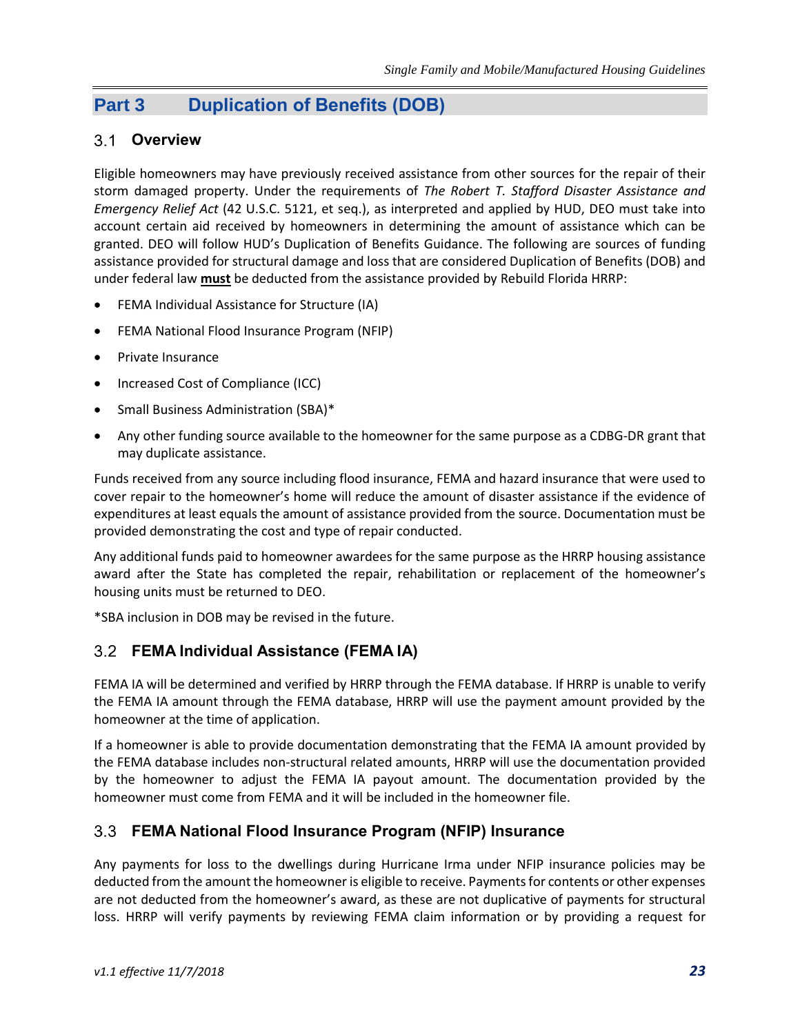## **Part 3 Duplication of Benefits (DOB)**

## **Overview**

Eligible homeowners may have previously received assistance from other sources for the repair of their storm damaged property. Under the requirements of *The Robert T. Stafford Disaster Assistance and Emergency Relief Act* (42 U.S.C. 5121, et seq.), as interpreted and applied by HUD, DEO must take into account certain aid received by homeowners in determining the amount of assistance which can be granted. DEO will follow HUD's Duplication of Benefits Guidance. The following are sources of funding assistance provided for structural damage and loss that are considered Duplication of Benefits (DOB) and under federal law **must** be deducted from the assistance provided by Rebuild Florida HRRP:

- FEMA Individual Assistance for Structure (IA)
- FEMA National Flood Insurance Program (NFIP)
- Private Insurance
- Increased Cost of Compliance (ICC)
- Small Business Administration (SBA)\*
- Any other funding source available to the homeowner for the same purpose as a CDBG-DR grant that may duplicate assistance.

Funds received from any source including flood insurance, FEMA and hazard insurance that were used to cover repair to the homeowner's home will reduce the amount of disaster assistance if the evidence of expenditures at least equals the amount of assistance provided from the source. Documentation must be provided demonstrating the cost and type of repair conducted.

Any additional funds paid to homeowner awardees for the same purpose as the HRRP housing assistance award after the State has completed the repair, rehabilitation or replacement of the homeowner's housing units must be returned to DEO.

\*SBA inclusion in DOB may be revised in the future.

#### **FEMA Individual Assistance (FEMA IA)**

FEMA IA will be determined and verified by HRRP through the FEMA database. If HRRP is unable to verify the FEMA IA amount through the FEMA database, HRRP will use the payment amount provided by the homeowner at the time of application.

If a homeowner is able to provide documentation demonstrating that the FEMA IA amount provided by the FEMA database includes non-structural related amounts, HRRP will use the documentation provided by the homeowner to adjust the FEMA IA payout amount. The documentation provided by the homeowner must come from FEMA and it will be included in the homeowner file.

#### **FEMA National Flood Insurance Program (NFIP) Insurance**

Any payments for loss to the dwellings during Hurricane Irma under NFIP insurance policies may be deducted from the amount the homeowner is eligible to receive. Payments for contents or other expenses are not deducted from the homeowner's award, as these are not duplicative of payments for structural loss. HRRP will verify payments by reviewing FEMA claim information or by providing a request for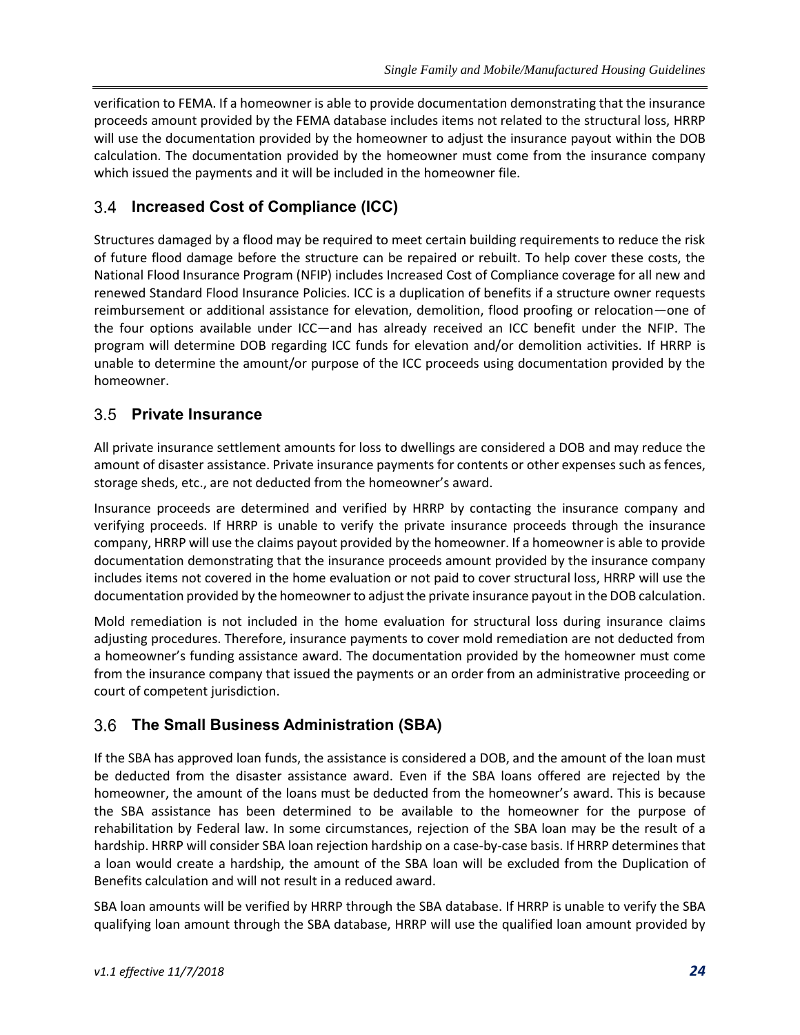verification to FEMA. If a homeowner is able to provide documentation demonstrating that the insurance proceeds amount provided by the FEMA database includes items not related to the structural loss, HRRP will use the documentation provided by the homeowner to adjust the insurance payout within the DOB calculation. The documentation provided by the homeowner must come from the insurance company which issued the payments and it will be included in the homeowner file.

## **Increased Cost of Compliance (ICC)**

Structures damaged by a flood may be required to meet certain building requirements to reduce the risk of future flood damage before the structure can be repaired or rebuilt. To help cover these costs, the National Flood Insurance Program (NFIP) includes Increased Cost of Compliance coverage for all new and renewed Standard Flood Insurance Policies. ICC is a duplication of benefits if a structure owner requests reimbursement or additional assistance for elevation, demolition, flood proofing or relocation—one of the four options available under ICC—and has already received an ICC benefit under the NFIP. The program will determine DOB regarding ICC funds for elevation and/or demolition activities. If HRRP is unable to determine the amount/or purpose of the ICC proceeds using documentation provided by the homeowner.

## **Private Insurance**

All private insurance settlement amounts for loss to dwellings are considered a DOB and may reduce the amount of disaster assistance. Private insurance payments for contents or other expenses such as fences, storage sheds, etc., are not deducted from the homeowner's award.

Insurance proceeds are determined and verified by HRRP by contacting the insurance company and verifying proceeds. If HRRP is unable to verify the private insurance proceeds through the insurance company, HRRP will use the claims payout provided by the homeowner. If a homeowner is able to provide documentation demonstrating that the insurance proceeds amount provided by the insurance company includes items not covered in the home evaluation or not paid to cover structural loss, HRRP will use the documentation provided by the homeowner to adjust the private insurance payout in the DOB calculation.

Mold remediation is not included in the home evaluation for structural loss during insurance claims adjusting procedures. Therefore, insurance payments to cover mold remediation are not deducted from a homeowner's funding assistance award. The documentation provided by the homeowner must come from the insurance company that issued the payments or an order from an administrative proceeding or court of competent jurisdiction.

## **The Small Business Administration (SBA)**

If the SBA has approved loan funds, the assistance is considered a DOB, and the amount of the loan must be deducted from the disaster assistance award. Even if the SBA loans offered are rejected by the homeowner, the amount of the loans must be deducted from the homeowner's award. This is because the SBA assistance has been determined to be available to the homeowner for the purpose of rehabilitation by Federal law. In some circumstances, rejection of the SBA loan may be the result of a hardship. HRRP will consider SBA loan rejection hardship on a case-by-case basis. If HRRP determines that a loan would create a hardship, the amount of the SBA loan will be excluded from the Duplication of Benefits calculation and will not result in a reduced award.

SBA loan amounts will be verified by HRRP through the SBA database. If HRRP is unable to verify the SBA qualifying loan amount through the SBA database, HRRP will use the qualified loan amount provided by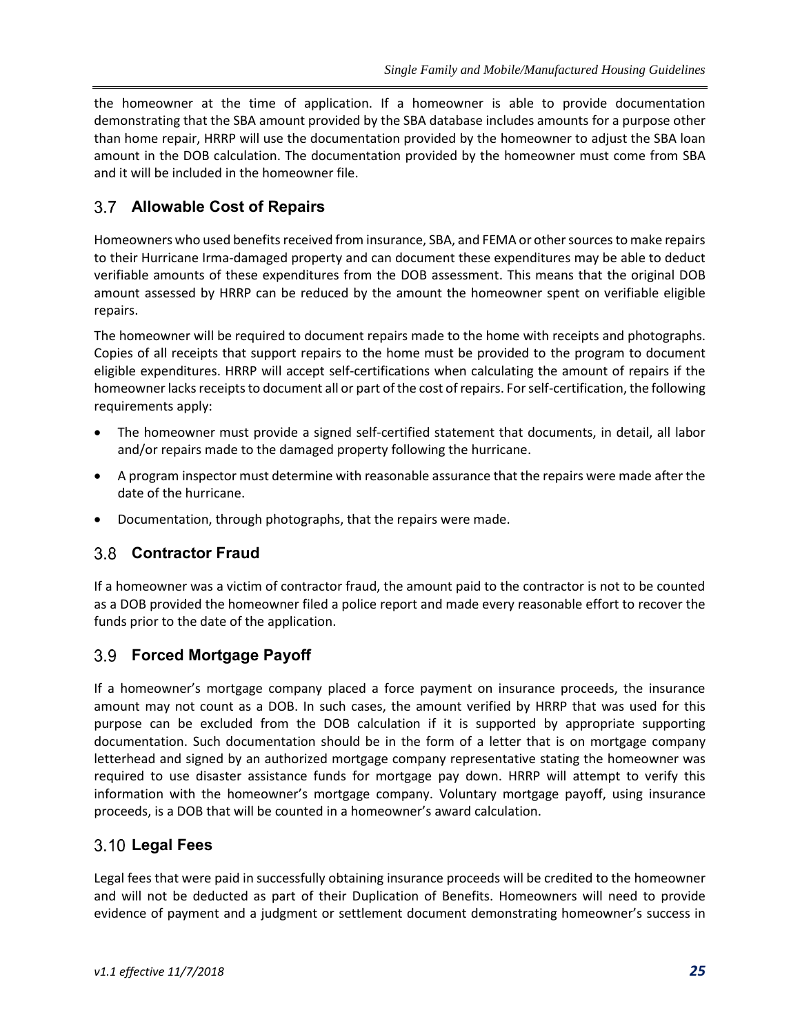the homeowner at the time of application. If a homeowner is able to provide documentation demonstrating that the SBA amount provided by the SBA database includes amounts for a purpose other than home repair, HRRP will use the documentation provided by the homeowner to adjust the SBA loan amount in the DOB calculation. The documentation provided by the homeowner must come from SBA and it will be included in the homeowner file.

## **Allowable Cost of Repairs**

Homeowners who used benefits received from insurance, SBA, and FEMA or other sources to make repairs to their Hurricane Irma-damaged property and can document these expenditures may be able to deduct verifiable amounts of these expenditures from the DOB assessment. This means that the original DOB amount assessed by HRRP can be reduced by the amount the homeowner spent on verifiable eligible repairs.

The homeowner will be required to document repairs made to the home with receipts and photographs. Copies of all receipts that support repairs to the home must be provided to the program to document eligible expenditures. HRRP will accept self-certifications when calculating the amount of repairs if the homeowner lacks receipts to document all or part of the cost of repairs. For self-certification, the following requirements apply:

- The homeowner must provide a signed self-certified statement that documents, in detail, all labor and/or repairs made to the damaged property following the hurricane.
- A program inspector must determine with reasonable assurance that the repairs were made after the date of the hurricane.
- Documentation, through photographs, that the repairs were made.

#### **Contractor Fraud**

If a homeowner was a victim of contractor fraud, the amount paid to the contractor is not to be counted as a DOB provided the homeowner filed a police report and made every reasonable effort to recover the funds prior to the date of the application.

#### **Forced Mortgage Payoff**

If a homeowner's mortgage company placed a force payment on insurance proceeds, the insurance amount may not count as a DOB. In such cases, the amount verified by HRRP that was used for this purpose can be excluded from the DOB calculation if it is supported by appropriate supporting documentation. Such documentation should be in the form of a letter that is on mortgage company letterhead and signed by an authorized mortgage company representative stating the homeowner was required to use disaster assistance funds for mortgage pay down. HRRP will attempt to verify this information with the homeowner's mortgage company. Voluntary mortgage payoff, using insurance proceeds, is a DOB that will be counted in a homeowner's award calculation.

## **Legal Fees**

Legal fees that were paid in successfully obtaining insurance proceeds will be credited to the homeowner and will not be deducted as part of their Duplication of Benefits. Homeowners will need to provide evidence of payment and a judgment or settlement document demonstrating homeowner's success in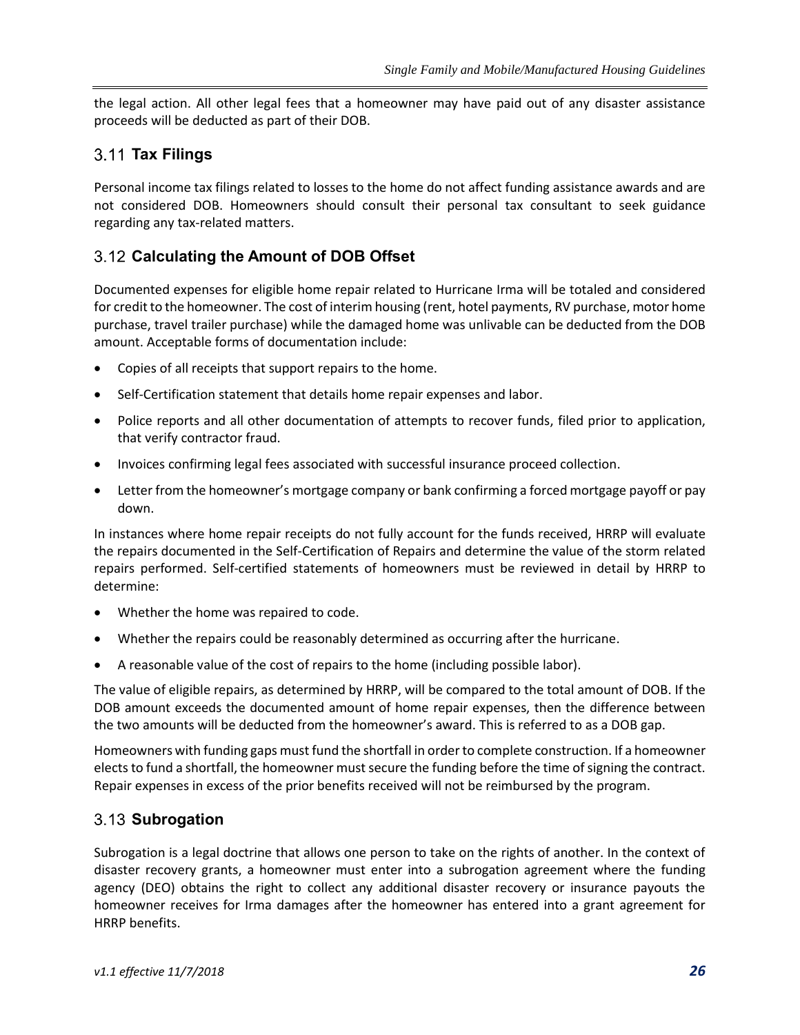the legal action. All other legal fees that a homeowner may have paid out of any disaster assistance proceeds will be deducted as part of their DOB.

#### **Tax Filings**

Personal income tax filings related to losses to the home do not affect funding assistance awards and are not considered DOB. Homeowners should consult their personal tax consultant to seek guidance regarding any tax-related matters.

#### **Calculating the Amount of DOB Offset**

Documented expenses for eligible home repair related to Hurricane Irma will be totaled and considered for credit to the homeowner. The cost of interim housing (rent, hotel payments, RV purchase, motor home purchase, travel trailer purchase) while the damaged home was unlivable can be deducted from the DOB amount. Acceptable forms of documentation include:

- Copies of all receipts that support repairs to the home.
- Self-Certification statement that details home repair expenses and labor.
- Police reports and all other documentation of attempts to recover funds, filed prior to application, that verify contractor fraud.
- Invoices confirming legal fees associated with successful insurance proceed collection.
- Letter from the homeowner's mortgage company or bank confirming a forced mortgage payoff or pay down.

In instances where home repair receipts do not fully account for the funds received, HRRP will evaluate the repairs documented in the Self-Certification of Repairs and determine the value of the storm related repairs performed. Self-certified statements of homeowners must be reviewed in detail by HRRP to determine:

- Whether the home was repaired to code.
- Whether the repairs could be reasonably determined as occurring after the hurricane.
- A reasonable value of the cost of repairs to the home (including possible labor).

The value of eligible repairs, as determined by HRRP, will be compared to the total amount of DOB. If the DOB amount exceeds the documented amount of home repair expenses, then the difference between the two amounts will be deducted from the homeowner's award. This is referred to as a DOB gap.

Homeowners with funding gaps must fund the shortfall in order to complete construction. If a homeowner elects to fund a shortfall, the homeowner must secure the funding before the time of signing the contract. Repair expenses in excess of the prior benefits received will not be reimbursed by the program.

#### **Subrogation**

Subrogation is a legal doctrine that allows one person to take on the rights of another. In the context of disaster recovery grants, a homeowner must enter into a subrogation agreement where the funding agency (DEO) obtains the right to collect any additional disaster recovery or insurance payouts the homeowner receives for Irma damages after the homeowner has entered into a grant agreement for HRRP benefits.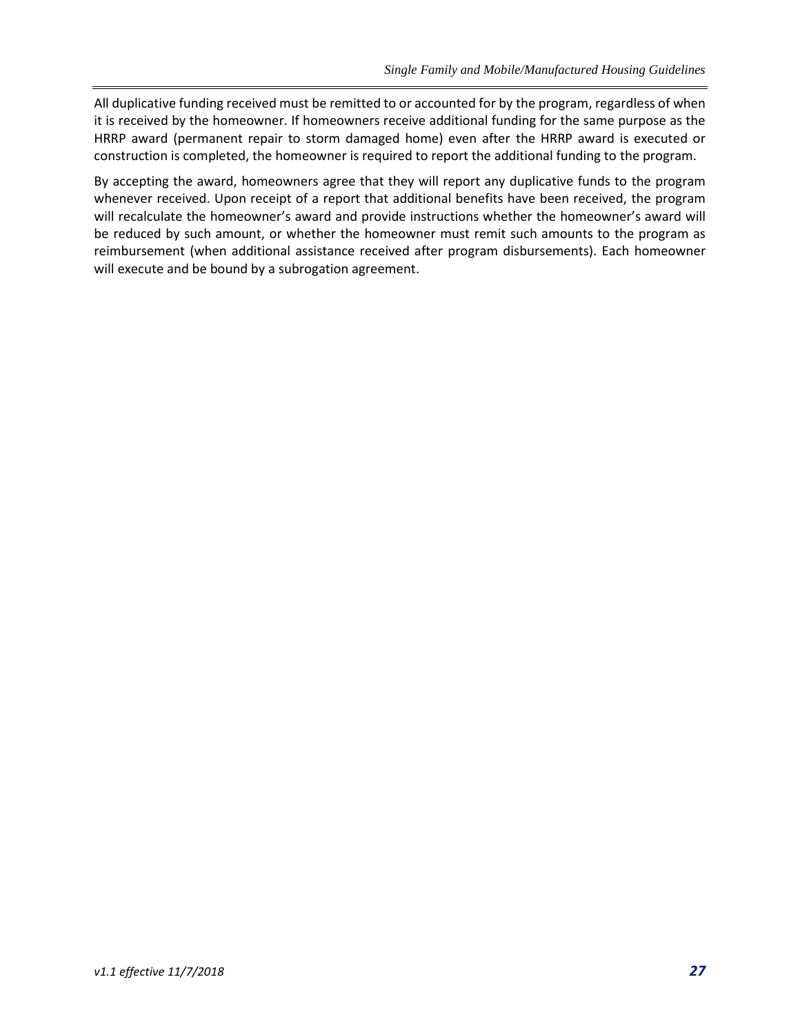All duplicative funding received must be remitted to or accounted for by the program, regardless of when it is received by the homeowner. If homeowners receive additional funding for the same purpose as the HRRP award (permanent repair to storm damaged home) even after the HRRP award is executed or construction is completed, the homeowner is required to report the additional funding to the program.

By accepting the award, homeowners agree that they will report any duplicative funds to the program whenever received. Upon receipt of a report that additional benefits have been received, the program will recalculate the homeowner's award and provide instructions whether the homeowner's award will be reduced by such amount, or whether the homeowner must remit such amounts to the program as reimbursement (when additional assistance received after program disbursements). Each homeowner will execute and be bound by a subrogation agreement.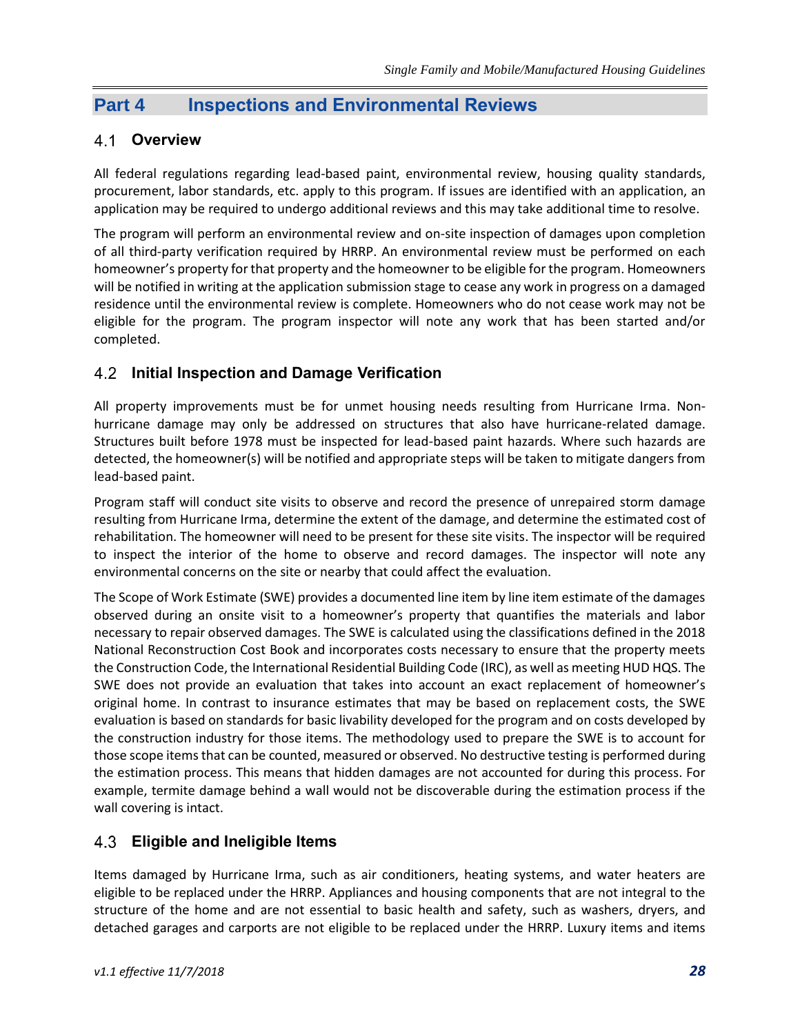## **Part 4 Inspections and Environmental Reviews**

#### **Overview**

All federal regulations regarding lead-based paint, environmental review, housing quality standards, procurement, labor standards, etc. apply to this program. If issues are identified with an application, an application may be required to undergo additional reviews and this may take additional time to resolve.

The program will perform an environmental review and on-site inspection of damages upon completion of all third-party verification required by HRRP. An environmental review must be performed on each homeowner's property for that property and the homeowner to be eligible for the program. Homeowners will be notified in writing at the application submission stage to cease any work in progress on a damaged residence until the environmental review is complete. Homeowners who do not cease work may not be eligible for the program. The program inspector will note any work that has been started and/or completed.

#### **Initial Inspection and Damage Verification**

All property improvements must be for unmet housing needs resulting from Hurricane Irma. Nonhurricane damage may only be addressed on structures that also have hurricane-related damage. Structures built before 1978 must be inspected for lead-based paint hazards. Where such hazards are detected, the homeowner(s) will be notified and appropriate steps will be taken to mitigate dangers from lead-based paint.

Program staff will conduct site visits to observe and record the presence of unrepaired storm damage resulting from Hurricane Irma, determine the extent of the damage, and determine the estimated cost of rehabilitation. The homeowner will need to be present for these site visits. The inspector will be required to inspect the interior of the home to observe and record damages. The inspector will note any environmental concerns on the site or nearby that could affect the evaluation.

The Scope of Work Estimate (SWE) provides a documented line item by line item estimate of the damages observed during an onsite visit to a homeowner's property that quantifies the materials and labor necessary to repair observed damages. The SWE is calculated using the classifications defined in the 2018 National Reconstruction Cost Book and incorporates costs necessary to ensure that the property meets the Construction Code, the International Residential Building Code (IRC), as well as meeting HUD HQS. The SWE does not provide an evaluation that takes into account an exact replacement of homeowner's original home. In contrast to insurance estimates that may be based on replacement costs, the SWE evaluation is based on standards for basic livability developed for the program and on costs developed by the construction industry for those items. The methodology used to prepare the SWE is to account for those scope items that can be counted, measured or observed. No destructive testing is performed during the estimation process. This means that hidden damages are not accounted for during this process. For example, termite damage behind a wall would not be discoverable during the estimation process if the wall covering is intact.

#### **Eligible and Ineligible Items**

Items damaged by Hurricane Irma, such as air conditioners, heating systems, and water heaters are eligible to be replaced under the HRRP. Appliances and housing components that are not integral to the structure of the home and are not essential to basic health and safety, such as washers, dryers, and detached garages and carports are not eligible to be replaced under the HRRP. Luxury items and items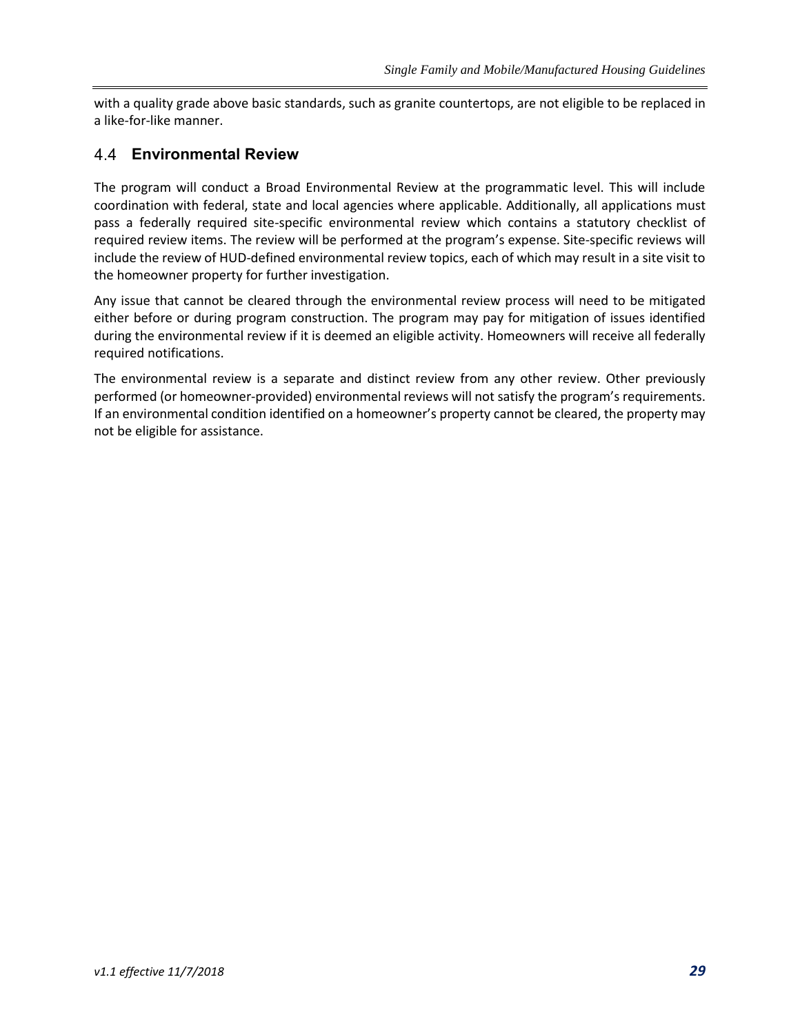with a quality grade above basic standards, such as granite countertops, are not eligible to be replaced in a like-for-like manner.

#### **Environmental Review**

The program will conduct a Broad Environmental Review at the programmatic level. This will include coordination with federal, state and local agencies where applicable. Additionally, all applications must pass a federally required site-specific environmental review which contains a statutory checklist of required review items. The review will be performed at the program's expense. Site-specific reviews will include the review of HUD-defined environmental review topics, each of which may result in a site visit to the homeowner property for further investigation.

Any issue that cannot be cleared through the environmental review process will need to be mitigated either before or during program construction. The program may pay for mitigation of issues identified during the environmental review if it is deemed an eligible activity. Homeowners will receive all federally required notifications.

The environmental review is a separate and distinct review from any other review. Other previously performed (or homeowner-provided) environmental reviews will not satisfy the program's requirements. If an environmental condition identified on a homeowner's property cannot be cleared, the property may not be eligible for assistance.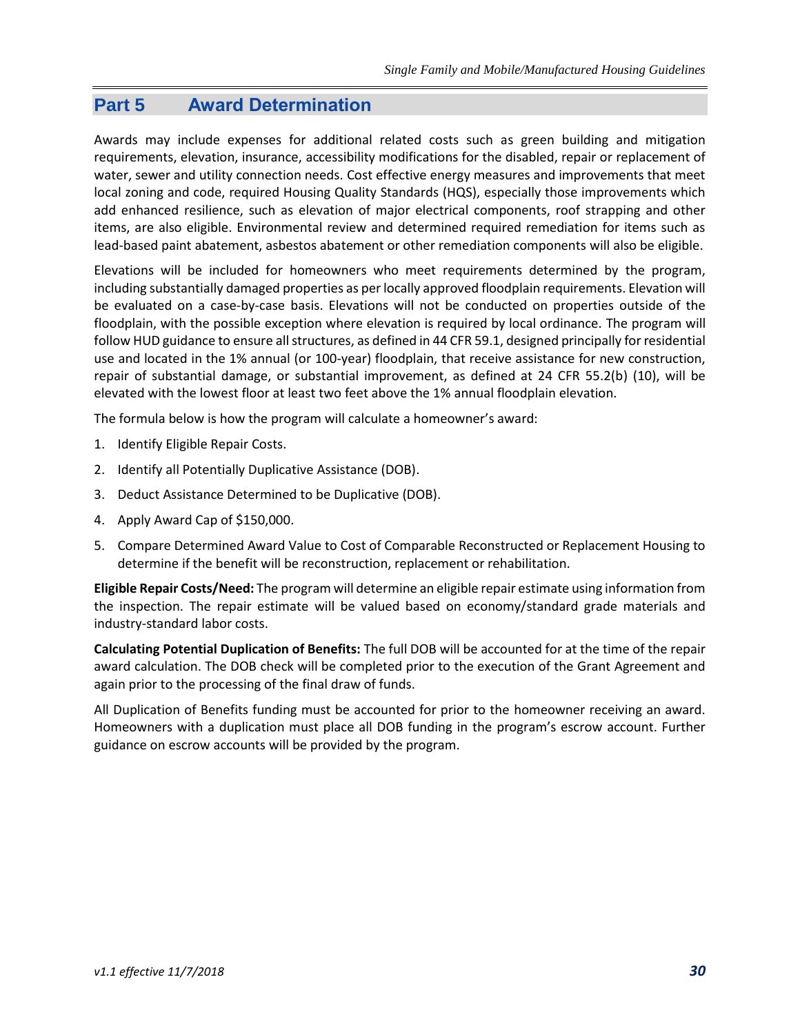## **Part 5 Award Determination**

Awards may include expenses for additional related costs such as green building and mitigation requirements, elevation, insurance, accessibility modifications for the disabled, repair or replacement of water, sewer and utility connection needs. Cost effective energy measures and improvements that meet local zoning and code, required Housing Quality Standards (HQS), especially those improvements which add enhanced resilience, such as elevation of major electrical components, roof strapping and other items, are also eligible. Environmental review and determined required remediation for items such as lead-based paint abatement, asbestos abatement or other remediation components will also be eligible.

Elevations will be included for homeowners who meet requirements determined by the program, including substantially damaged properties as per locally approved floodplain requirements. Elevation will be evaluated on a case-by-case basis. Elevations will not be conducted on properties outside of the floodplain, with the possible exception where elevation is required by local ordinance. The program will follow HUD guidance to ensure all structures, as defined in 44 CFR 59.1, designed principally for residential use and located in the 1% annual (or 100-year) floodplain, that receive assistance for new construction, repair of substantial damage, or substantial improvement, as defined at 24 CFR 55.2(b) (10), will be elevated with the lowest floor at least two feet above the 1% annual floodplain elevation.

The formula below is how the program will calculate a homeowner's award:

- 1. Identify Eligible Repair Costs.
- 2. Identify all Potentially Duplicative Assistance (DOB).
- 3. Deduct Assistance Determined to be Duplicative (DOB).
- 4. Apply Award Cap of \$150,000.
- 5. Compare Determined Award Value to Cost of Comparable Reconstructed or Replacement Housing to determine if the benefit will be reconstruction, replacement or rehabilitation.

**Eligible Repair Costs/Need:** The program will determine an eligible repair estimate using information from the inspection. The repair estimate will be valued based on economy/standard grade materials and industry-standard labor costs.

**Calculating Potential Duplication of Benefits:** The full DOB will be accounted for at the time of the repair award calculation. The DOB check will be completed prior to the execution of the Grant Agreement and again prior to the processing of the final draw of funds.

All Duplication of Benefits funding must be accounted for prior to the homeowner receiving an award. Homeowners with a duplication must place all DOB funding in the program's escrow account. Further guidance on escrow accounts will be provided by the program.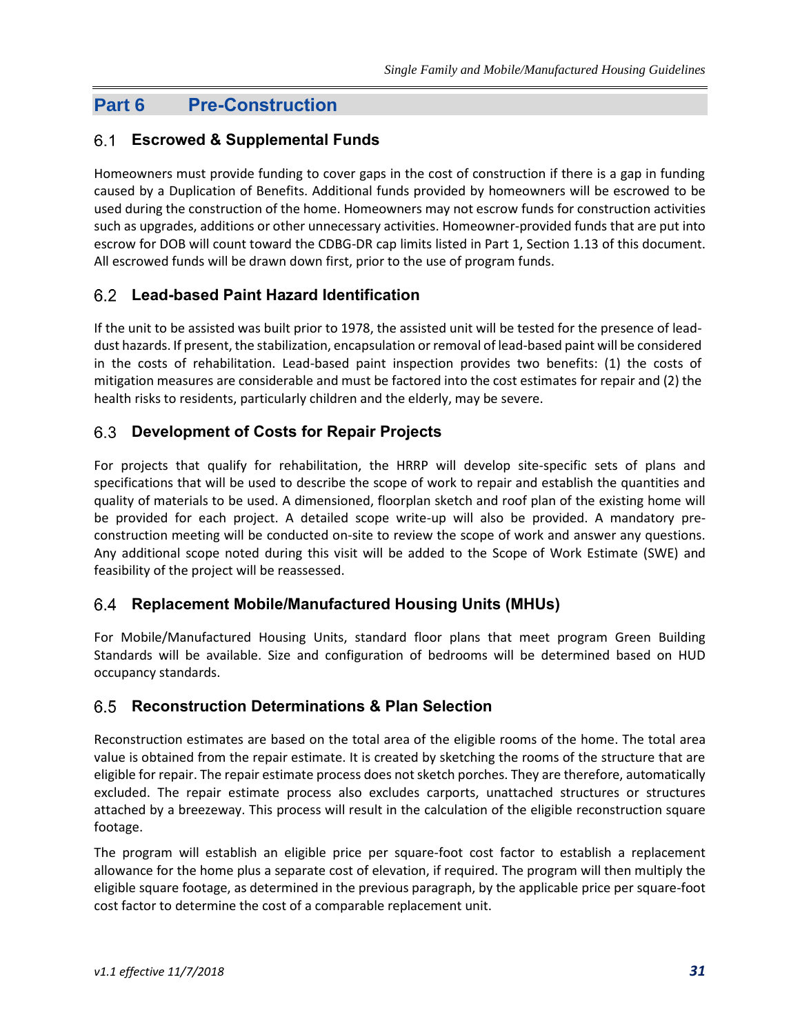## **Part 6 Pre-Construction**

## **Escrowed & Supplemental Funds**

Homeowners must provide funding to cover gaps in the cost of construction if there is a gap in funding caused by a Duplication of Benefits. Additional funds provided by homeowners will be escrowed to be used during the construction of the home. Homeowners may not escrow funds for construction activities such as upgrades, additions or other unnecessary activities. Homeowner-provided funds that are put into escrow for DOB will count toward the CDBG-DR cap limits listed in Part 1, Section 1.13 of this document. All escrowed funds will be drawn down first, prior to the use of program funds.

#### **Lead-based Paint Hazard Identification**

If the unit to be assisted was built prior to 1978, the assisted unit will be tested for the presence of leaddust hazards. If present, the stabilization, encapsulation or removal of lead-based paint will be considered in the costs of rehabilitation. Lead-based paint inspection provides two benefits: (1) the costs of mitigation measures are considerable and must be factored into the cost estimates for repair and (2) the health risks to residents, particularly children and the elderly, may be severe.

#### **Development of Costs for Repair Projects**

For projects that qualify for rehabilitation, the HRRP will develop site-specific sets of plans and specifications that will be used to describe the scope of work to repair and establish the quantities and quality of materials to be used. A dimensioned, floorplan sketch and roof plan of the existing home will be provided for each project. A detailed scope write-up will also be provided. A mandatory preconstruction meeting will be conducted on-site to review the scope of work and answer any questions. Any additional scope noted during this visit will be added to the Scope of Work Estimate (SWE) and feasibility of the project will be reassessed.

#### **Replacement Mobile/Manufactured Housing Units (MHUs)** 6.4

For Mobile/Manufactured Housing Units, standard floor plans that meet program Green Building Standards will be available. Size and configuration of bedrooms will be determined based on HUD occupancy standards.

#### **Reconstruction Determinations & Plan Selection**

Reconstruction estimates are based on the total area of the eligible rooms of the home. The total area value is obtained from the repair estimate. It is created by sketching the rooms of the structure that are eligible for repair. The repair estimate process does not sketch porches. They are therefore, automatically excluded. The repair estimate process also excludes carports, unattached structures or structures attached by a breezeway. This process will result in the calculation of the eligible reconstruction square footage.

The program will establish an eligible price per square-foot cost factor to establish a replacement allowance for the home plus a separate cost of elevation, if required. The program will then multiply the eligible square footage, as determined in the previous paragraph, by the applicable price per square-foot cost factor to determine the cost of a comparable replacement unit.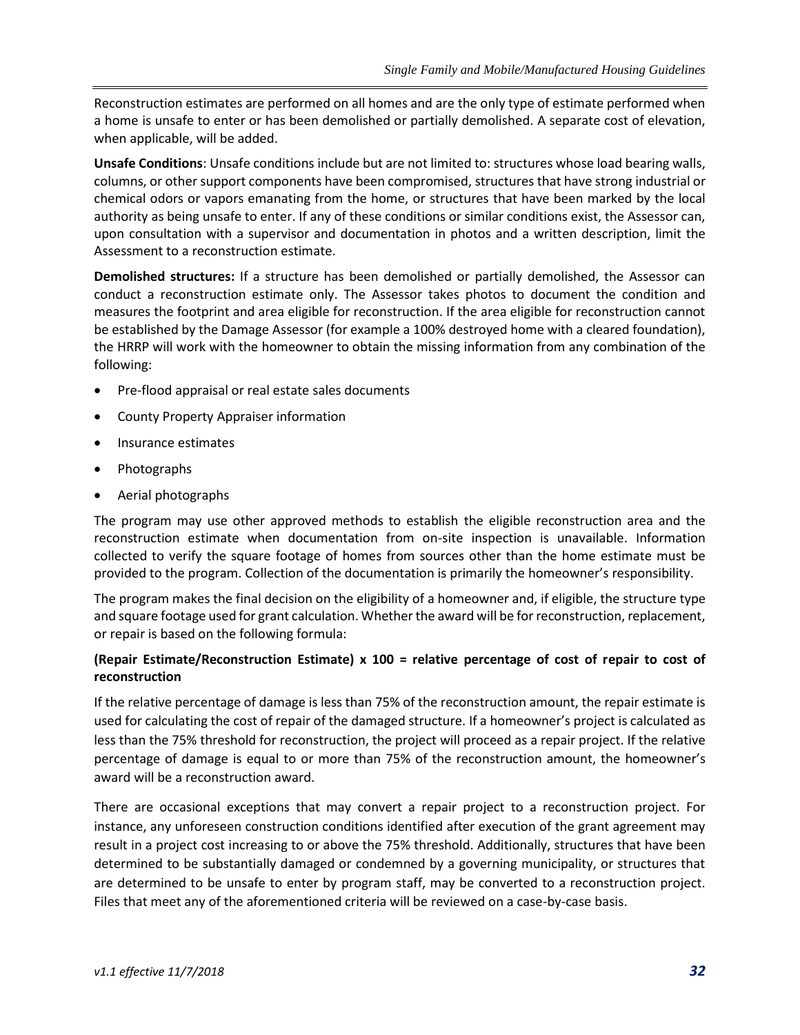Reconstruction estimates are performed on all homes and are the only type of estimate performed when a home is unsafe to enter or has been demolished or partially demolished. A separate cost of elevation, when applicable, will be added.

**Unsafe Conditions**: Unsafe conditions include but are not limited to: structures whose load bearing walls, columns, or other support components have been compromised, structures that have strong industrial or chemical odors or vapors emanating from the home, or structures that have been marked by the local authority as being unsafe to enter. If any of these conditions or similar conditions exist, the Assessor can, upon consultation with a supervisor and documentation in photos and a written description, limit the Assessment to a reconstruction estimate.

**Demolished structures:** If a structure has been demolished or partially demolished, the Assessor can conduct a reconstruction estimate only. The Assessor takes photos to document the condition and measures the footprint and area eligible for reconstruction. If the area eligible for reconstruction cannot be established by the Damage Assessor (for example a 100% destroyed home with a cleared foundation), the HRRP will work with the homeowner to obtain the missing information from any combination of the following:

- Pre-flood appraisal or real estate sales documents
- County Property Appraiser information
- Insurance estimates
- Photographs
- Aerial photographs

The program may use other approved methods to establish the eligible reconstruction area and the reconstruction estimate when documentation from on-site inspection is unavailable. Information collected to verify the square footage of homes from sources other than the home estimate must be provided to the program. Collection of the documentation is primarily the homeowner's responsibility.

The program makes the final decision on the eligibility of a homeowner and, if eligible, the structure type and square footage used for grant calculation. Whether the award will be for reconstruction, replacement, or repair is based on the following formula:

#### **(Repair Estimate/Reconstruction Estimate) x 100 = relative percentage of cost of repair to cost of reconstruction**

If the relative percentage of damage is less than 75% of the reconstruction amount, the repair estimate is used for calculating the cost of repair of the damaged structure. If a homeowner's project is calculated as less than the 75% threshold for reconstruction, the project will proceed as a repair project. If the relative percentage of damage is equal to or more than 75% of the reconstruction amount, the homeowner's award will be a reconstruction award.

There are occasional exceptions that may convert a repair project to a reconstruction project. For instance, any unforeseen construction conditions identified after execution of the grant agreement may result in a project cost increasing to or above the 75% threshold. Additionally, structures that have been determined to be substantially damaged or condemned by a governing municipality, or structures that are determined to be unsafe to enter by program staff, may be converted to a reconstruction project. Files that meet any of the aforementioned criteria will be reviewed on a case-by-case basis.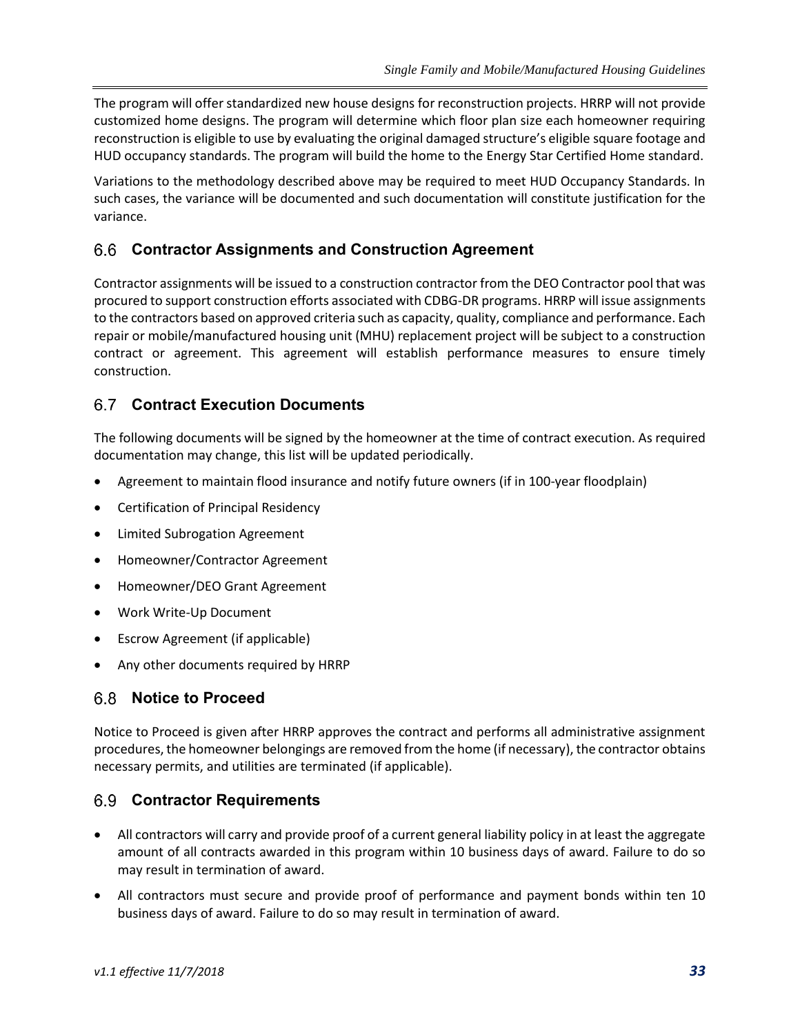The program will offer standardized new house designs for reconstruction projects. HRRP will not provide customized home designs. The program will determine which floor plan size each homeowner requiring reconstruction is eligible to use by evaluating the original damaged structure's eligible square footage and HUD occupancy standards. The program will build the home to the Energy Star Certified Home standard.

Variations to the methodology described above may be required to meet HUD Occupancy Standards. In such cases, the variance will be documented and such documentation will constitute justification for the variance.

#### **Contractor Assignments and Construction Agreement**

Contractor assignments will be issued to a construction contractor from the DEO Contractor pool that was procured to support construction efforts associated with CDBG-DR programs. HRRP will issue assignments to the contractors based on approved criteria such as capacity, quality, compliance and performance. Each repair or mobile/manufactured housing unit (MHU) replacement project will be subject to a construction contract or agreement. This agreement will establish performance measures to ensure timely construction.

#### **Contract Execution Documents**

The following documents will be signed by the homeowner at the time of contract execution. As required documentation may change, this list will be updated periodically.

- Agreement to maintain flood insurance and notify future owners (if in 100-year floodplain)
- Certification of Principal Residency
- Limited Subrogation Agreement
- Homeowner/Contractor Agreement
- Homeowner/DEO Grant Agreement
- Work Write-Up Document
- Escrow Agreement (if applicable)
- Any other documents required by HRRP

#### **Notice to Proceed**

Notice to Proceed is given after HRRP approves the contract and performs all administrative assignment procedures, the homeowner belongings are removed from the home (if necessary), the contractor obtains necessary permits, and utilities are terminated (if applicable).

#### **Contractor Requirements**

- All contractors will carry and provide proof of a current general liability policy in at least the aggregate amount of all contracts awarded in this program within 10 business days of award. Failure to do so may result in termination of award.
- All contractors must secure and provide proof of performance and payment bonds within ten 10 business days of award. Failure to do so may result in termination of award.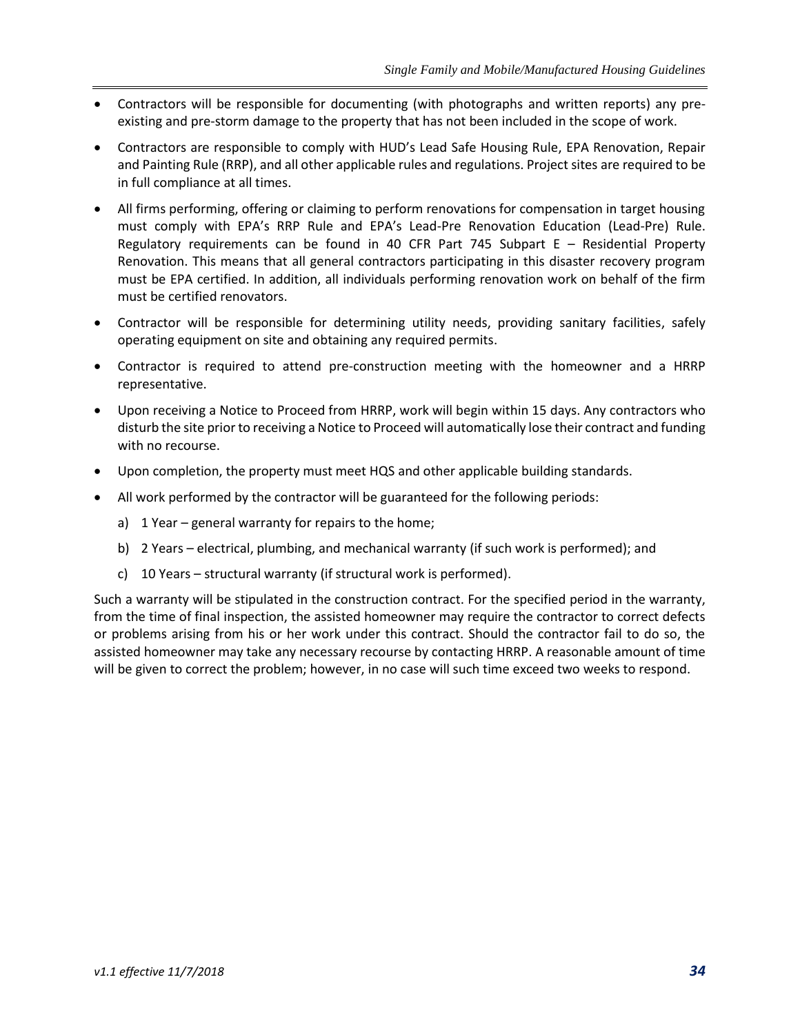- Contractors will be responsible for documenting (with photographs and written reports) any preexisting and pre-storm damage to the property that has not been included in the scope of work.
- Contractors are responsible to comply with HUD's Lead Safe Housing Rule, EPA Renovation, Repair and Painting Rule (RRP), and all other applicable rules and regulations. Project sites are required to be in full compliance at all times.
- All firms performing, offering or claiming to perform renovations for compensation in target housing must comply with EPA's RRP Rule and EPA's Lead-Pre Renovation Education (Lead-Pre) Rule. Regulatory requirements can be found in 40 CFR Part 745 Subpart E – Residential Property Renovation. This means that all general contractors participating in this disaster recovery program must be EPA certified. In addition, all individuals performing renovation work on behalf of the firm must be certified renovators.
- Contractor will be responsible for determining utility needs, providing sanitary facilities, safely operating equipment on site and obtaining any required permits.
- Contractor is required to attend pre-construction meeting with the homeowner and a HRRP representative.
- Upon receiving a Notice to Proceed from HRRP, work will begin within 15 days. Any contractors who disturb the site prior to receiving a Notice to Proceed will automatically lose their contract and funding with no recourse.
- Upon completion, the property must meet HQS and other applicable building standards.
- All work performed by the contractor will be guaranteed for the following periods:
	- a) 1 Year general warranty for repairs to the home;
	- b) 2 Years electrical, plumbing, and mechanical warranty (if such work is performed); and
	- c) 10 Years structural warranty (if structural work is performed).

Such a warranty will be stipulated in the construction contract. For the specified period in the warranty, from the time of final inspection, the assisted homeowner may require the contractor to correct defects or problems arising from his or her work under this contract. Should the contractor fail to do so, the assisted homeowner may take any necessary recourse by contacting HRRP. A reasonable amount of time will be given to correct the problem; however, in no case will such time exceed two weeks to respond.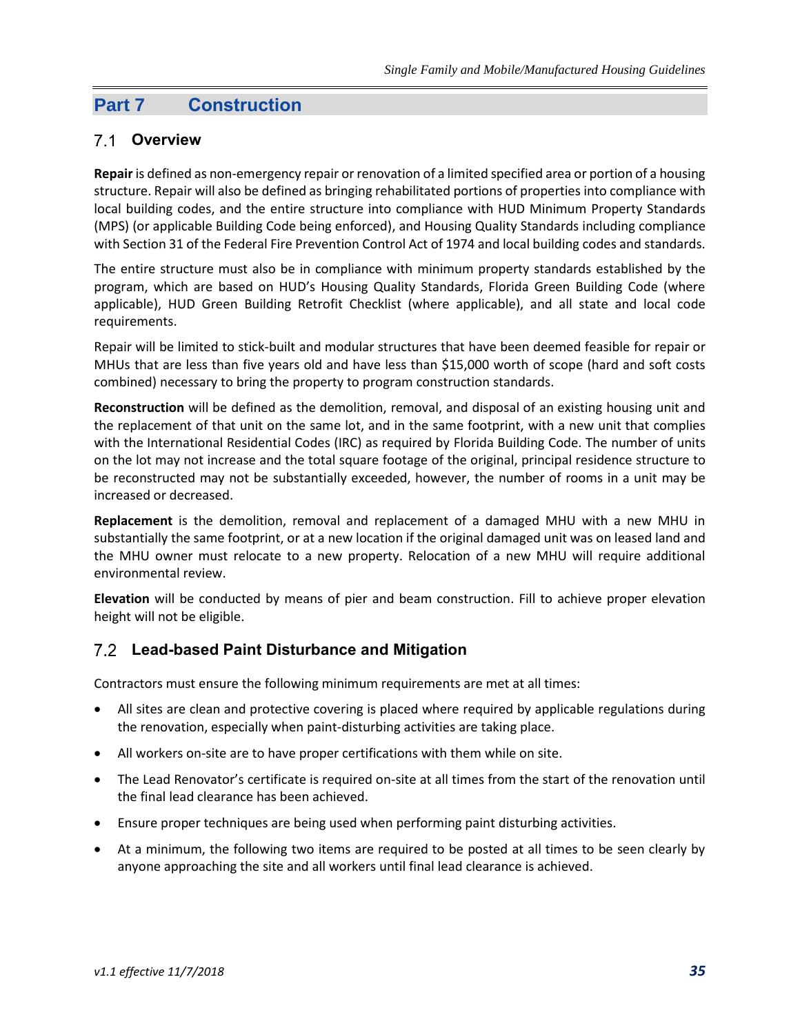## **Part 7 Construction**

#### **Overview**

**Repair** is defined as non-emergency repair or renovation of a limited specified area or portion of a housing structure. Repair will also be defined as bringing rehabilitated portions of properties into compliance with local building codes, and the entire structure into compliance with HUD Minimum Property Standards (MPS) (or applicable Building Code being enforced), and Housing Quality Standards including compliance with Section 31 of the Federal Fire Prevention Control Act of 1974 and local building codes and standards.

The entire structure must also be in compliance with minimum property standards established by the program, which are based on HUD's Housing Quality Standards, Florida Green Building Code (where applicable), HUD Green Building Retrofit Checklist (where applicable), and all state and local code requirements.

Repair will be limited to stick-built and modular structures that have been deemed feasible for repair or MHUs that are less than five years old and have less than \$15,000 worth of scope (hard and soft costs combined) necessary to bring the property to program construction standards.

**Reconstruction** will be defined as the demolition, removal, and disposal of an existing housing unit and the replacement of that unit on the same lot, and in the same footprint, with a new unit that complies with the International Residential Codes (IRC) as required by Florida Building Code. The number of units on the lot may not increase and the total square footage of the original, principal residence structure to be reconstructed may not be substantially exceeded, however, the number of rooms in a unit may be increased or decreased.

**Replacement** is the demolition, removal and replacement of a damaged MHU with a new MHU in substantially the same footprint, or at a new location if the original damaged unit was on leased land and the MHU owner must relocate to a new property. Relocation of a new MHU will require additional environmental review.

**Elevation** will be conducted by means of pier and beam construction. Fill to achieve proper elevation height will not be eligible.

## **Lead-based Paint Disturbance and Mitigation**

Contractors must ensure the following minimum requirements are met at all times:

- All sites are clean and protective covering is placed where required by applicable regulations during the renovation, especially when paint-disturbing activities are taking place.
- All workers on-site are to have proper certifications with them while on site.
- The Lead Renovator's certificate is required on-site at all times from the start of the renovation until the final lead clearance has been achieved.
- Ensure proper techniques are being used when performing paint disturbing activities.
- At a minimum, the following two items are required to be posted at all times to be seen clearly by anyone approaching the site and all workers until final lead clearance is achieved.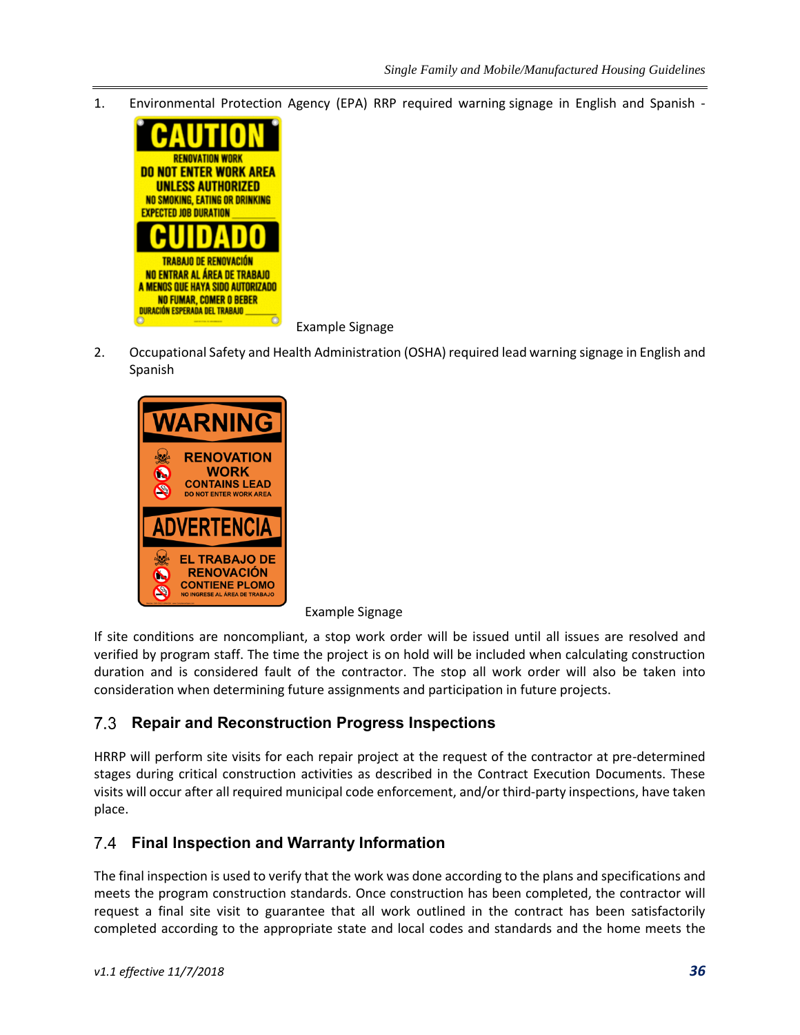1. [Environmental Protection](http://www.google.com/url?sa=i&rct=j&q=&esrc=s&frm=1&source=images&cd=&cad=rja&uact=8&ved=0CAcQjRw&url=http://www.safetycal.com/store/safety_signs_and_labels/lead_abatement_signs/CAUTION_RENOVATION_WORK__BILINGUAL_S2240&ei=JNaeVemQLIaHsAWaxoDYBQ&bvm=bv.96952980,d.cGU&psig=AFQjCNE7GK6A8k-fSRHbIsbqWntd5orrMg&ust=1436559267553458) Agency (EPA) RRP required warning signage in English and Spanish -



Example Signage

2. Occupational Safety and Health Administration (OSHA) required lead warning signage in English and Spanish



Example Signage

If site conditions are noncompliant, a stop work order will be issued until all issues are resolved and verified by program staff. The time the project is on hold will be included when calculating construction duration and is considered fault of the contractor. The stop all work order will also be taken into consideration when determining future assignments and participation in future projects.

#### **Repair and Reconstruction Progress Inspections** 7.3

HRRP will perform site visits for each repair project at the request of the contractor at pre-determined stages during critical construction activities as described in the Contract Execution Documents. These visits will occur after all required municipal code enforcement, and/or third-party inspections, have taken place.

#### **Final Inspection and Warranty Information**

The final inspection is used to verify that the work was done according to the plans and specifications and meets the program construction standards. Once construction has been completed, the contractor will request a final site visit to guarantee that all work outlined in the contract has been satisfactorily completed according to the appropriate state and local codes and standards and the home meets the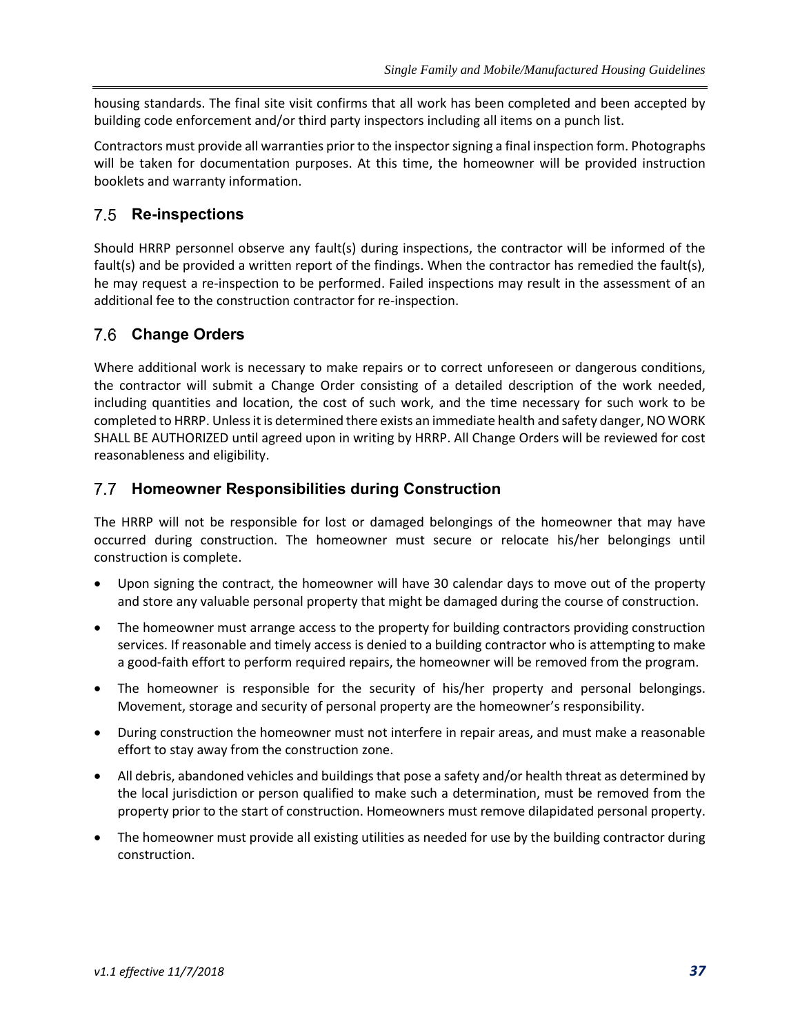housing standards. The final site visit confirms that all work has been completed and been accepted by building code enforcement and/or third party inspectors including all items on a punch list.

Contractors must provide all warranties prior to the inspector signing a final inspection form. Photographs will be taken for documentation purposes. At this time, the homeowner will be provided instruction booklets and warranty information.

## **Re-inspections**

Should HRRP personnel observe any fault(s) during inspections, the contractor will be informed of the fault(s) and be provided a written report of the findings. When the contractor has remedied the fault(s), he may request a re-inspection to be performed. Failed inspections may result in the assessment of an additional fee to the construction contractor for re-inspection.

## **Change Orders**

Where additional work is necessary to make repairs or to correct unforeseen or dangerous conditions, the contractor will submit a Change Order consisting of a detailed description of the work needed, including quantities and location, the cost of such work, and the time necessary for such work to be completed to HRRP. Unless it is determined there exists an immediate health and safety danger, NO WORK SHALL BE AUTHORIZED until agreed upon in writing by HRRP. All Change Orders will be reviewed for cost reasonableness and eligibility.

#### **Homeowner Responsibilities during Construction**

The HRRP will not be responsible for lost or damaged belongings of the homeowner that may have occurred during construction. The homeowner must secure or relocate his/her belongings until construction is complete.

- Upon signing the contract, the homeowner will have 30 calendar days to move out of the property and store any valuable personal property that might be damaged during the course of construction.
- The homeowner must arrange access to the property for building contractors providing construction services. If reasonable and timely access is denied to a building contractor who is attempting to make a good-faith effort to perform required repairs, the homeowner will be removed from the program.
- The homeowner is responsible for the security of his/her property and personal belongings. Movement, storage and security of personal property are the homeowner's responsibility.
- During construction the homeowner must not interfere in repair areas, and must make a reasonable effort to stay away from the construction zone.
- All debris, abandoned vehicles and buildings that pose a safety and/or health threat as determined by the local jurisdiction or person qualified to make such a determination, must be removed from the property prior to the start of construction. Homeowners must remove dilapidated personal property.
- The homeowner must provide all existing utilities as needed for use by the building contractor during construction.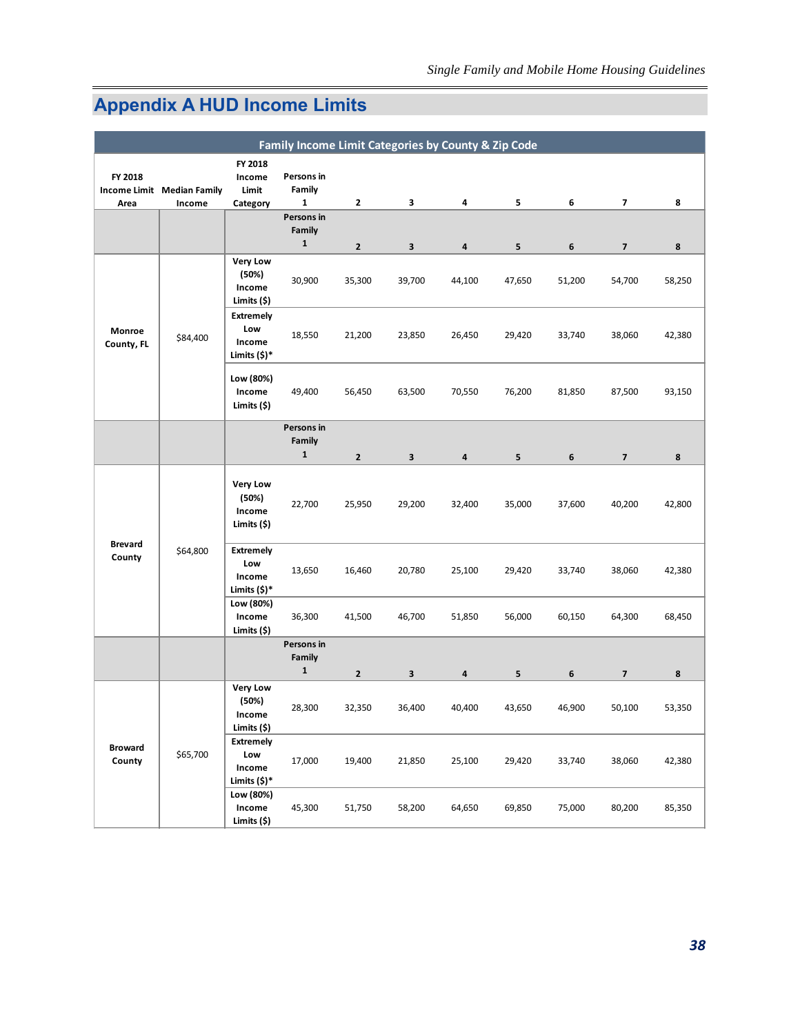## <span id="page-40-0"></span>**Appendix A HUD Income Limits**

|                          |                                      |                                                      | Family Income Limit Categories by County & Zip Code |                |        |        |                 |         |                          |        |
|--------------------------|--------------------------------------|------------------------------------------------------|-----------------------------------------------------|----------------|--------|--------|-----------------|---------|--------------------------|--------|
| FY 2018<br>Area          | Income Limit Median Family<br>Income | FY 2018<br>Income<br>Limit<br>Category               | Persons in<br>Family<br>1                           | 2              | 3      | 4      | 5               | 6       | $\overline{\phantom{a}}$ | 8      |
|                          |                                      |                                                      | Persons in                                          |                |        |        |                 |         |                          |        |
|                          |                                      |                                                      | Family<br>$\mathbf{1}$                              | $\mathbf 2$    | 3      | 4      | $5\phantom{.0}$ | $\bf 6$ | $\overline{\mathbf{z}}$  | 8      |
|                          |                                      | <b>Very Low</b><br>(50%)<br>Income<br>Limits (\$)    | 30,900                                              | 35,300         | 39,700 | 44,100 | 47,650          | 51,200  | 54,700                   | 58,250 |
| Monroe<br>County, FL     | \$84,400                             | <b>Extremely</b><br>Low<br>Income<br>Limits (\$)*    | 18,550                                              | 21,200         | 23,850 | 26,450 | 29,420          | 33,740  | 38,060                   | 42,380 |
|                          |                                      | Low (80%)<br>Income<br>Limits (\$)                   | 49,400                                              | 56,450         | 63,500 | 70,550 | 76,200          | 81,850  | 87,500                   | 93,150 |
|                          |                                      |                                                      | Persons in<br>Family                                |                |        |        |                 |         |                          |        |
|                          |                                      |                                                      | $\mathbf{1}$                                        | $\overline{2}$ | 3      | 4      | 5               | 6       | $\overline{\phantom{a}}$ | 8      |
|                          |                                      | <b>Very Low</b><br>(50%)<br>Income<br>Limits (\$)    | 22,700                                              | 25,950         | 29,200 | 32,400 | 35,000          | 37,600  | 40,200                   | 42,800 |
| <b>Brevard</b><br>County | \$64,800                             | <b>Extremely</b><br>Low<br>Income<br>Limits (\$)*    | 13,650                                              | 16,460         | 20,780 | 25,100 | 29,420          | 33,740  | 38,060                   | 42,380 |
|                          |                                      | Low (80%)<br>Income<br>Limits (\$)                   | 36,300                                              | 41,500         | 46,700 | 51,850 | 56,000          | 60,150  | 64,300                   | 68,450 |
|                          |                                      |                                                      | Persons in<br>Family                                |                |        |        |                 |         |                          |        |
|                          |                                      |                                                      | $\mathbf{1}$                                        | $\mathbf{2}$   | 3      | 4      | 5               | 6       | $\overline{\mathbf{z}}$  | 8      |
|                          |                                      | <b>Very Low</b><br>(50%)<br>Income<br>Limits (\$)    | 28,300                                              | 32,350         | 36,400 | 40,400 | 43,650          | 46,900  | 50,100                   | 53,350 |
| <b>Broward</b><br>County | \$65,700                             | <b>Extremely</b><br>Low<br>Income<br>Limits $(\$)^*$ | 17,000                                              | 19,400         | 21,850 | 25,100 | 29,420          | 33,740  | 38,060                   | 42,380 |
|                          |                                      | Low (80%)<br>Income<br>Limits (\$)                   | 45,300                                              | 51,750         | 58,200 | 64,650 | 69,850          | 75,000  | 80,200                   | 85,350 |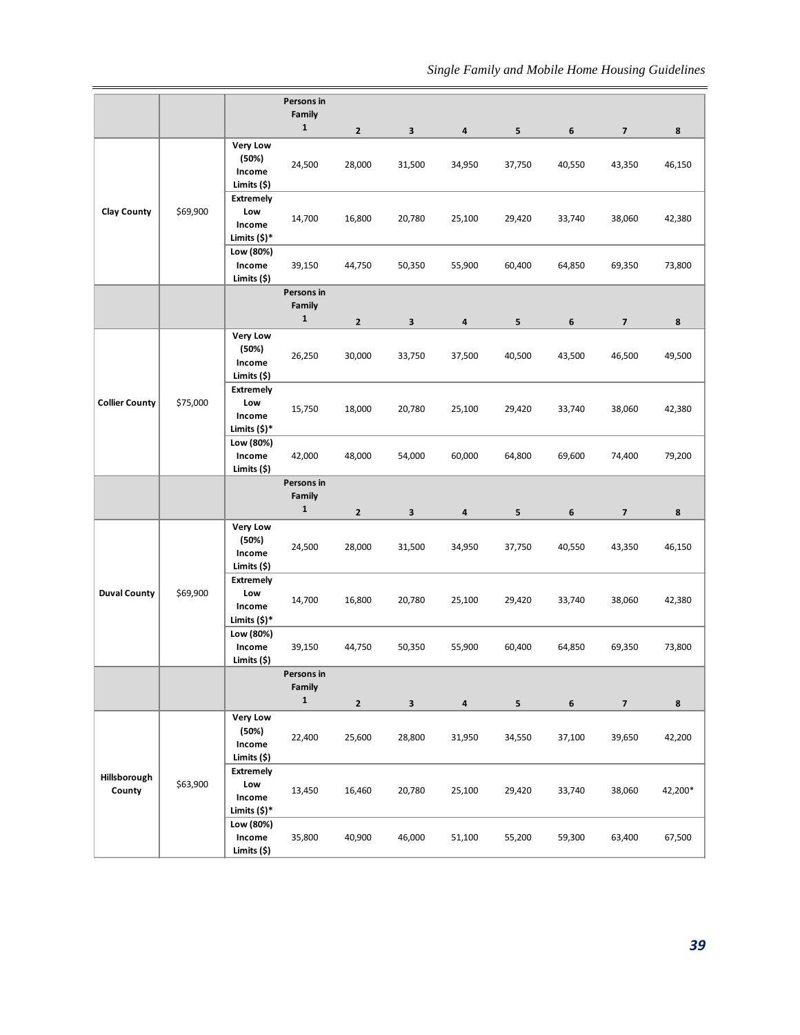|                        |          |                                                   | Persons in                           |                |              |        |        |        |                          |         |
|------------------------|----------|---------------------------------------------------|--------------------------------------|----------------|--------------|--------|--------|--------|--------------------------|---------|
|                        |          |                                                   | Family<br>$\mathbf{1}$               | $\mathbf 2$    | $\mathbf{3}$ | 4      | 5      | 6      | $\overline{\mathbf{z}}$  | 8       |
|                        |          | <b>Very Low</b><br>(50%)<br>Income<br>Limits (\$) | 24,500                               | 28,000         | 31,500       | 34,950 | 37,750 | 40,550 | 43,350                   | 46,150  |
| <b>Clay County</b>     | \$69,900 | <b>Extremely</b><br>Low<br>Income<br>Limits (\$)* | 14,700                               | 16,800         | 20,780       | 25,100 | 29,420 | 33,740 | 38,060                   | 42,380  |
|                        |          | Low (80%)<br>Income<br>Limits (\$)                | 39,150                               | 44,750         | 50,350       | 55,900 | 60,400 | 64,850 | 69,350                   | 73,800  |
|                        |          |                                                   | Persons in<br>Family<br>$\mathbf{1}$ | $\mathbf 2$    | $\mathbf{3}$ |        |        |        | $\overline{\mathbf{z}}$  |         |
|                        |          | <b>Very Low</b>                                   |                                      |                |              | 4      | 5      | 6      |                          | 8       |
|                        |          | (50%)<br>Income<br>Limits (\$)                    | 26,250                               | 30,000         | 33,750       | 37,500 | 40,500 | 43,500 | 46,500                   | 49,500  |
| <b>Collier County</b>  | \$75,000 | <b>Extremely</b><br>Low<br>Income<br>Limits (\$)* | 15,750                               | 18,000         | 20,780       | 25,100 | 29,420 | 33,740 | 38,060                   | 42,380  |
|                        |          | Low (80%)<br>Income<br>Limits (\$)                | 42,000                               | 48,000         | 54,000       | 60,000 | 64,800 | 69,600 | 74,400                   | 79,200  |
|                        |          |                                                   | Persons in<br>Family<br>$\mathbf 1$  | $\mathbf{2}$   | $\mathbf 3$  | 4      | 5      | 6      | $\overline{\phantom{a}}$ | 8       |
|                        | \$69,900 | <b>Very Low</b><br>(50%)<br>Income<br>Limits (\$) | 24,500                               | 28,000         | 31,500       | 34,950 | 37,750 | 40,550 | 43,350                   | 46,150  |
| <b>Duval County</b>    |          | <b>Extremely</b><br>Low<br>Income<br>Limits (\$)* | 14,700                               | 16,800         | 20,780       | 25,100 | 29,420 | 33,740 | 38,060                   | 42,380  |
|                        |          | Low (80%)<br>Income<br>Limits (\$)                | 39,150                               | 44,750         | 50,350       | 55,900 | 60,400 | 64,850 | 69,350                   | 73,800  |
|                        |          |                                                   | Persons in<br>Family<br>$\mathbf 1$  |                |              |        |        |        |                          |         |
|                        |          |                                                   |                                      | $\overline{2}$ | $\mathbf{3}$ | 4      | 5      | 6      | 7                        | 8       |
|                        |          | <b>Very Low</b><br>(50%)<br>Income<br>Limits (\$) | 22,400                               | 25,600         | 28,800       | 31,950 | 34,550 | 37,100 | 39,650                   | 42,200  |
| Hillsborough<br>County | \$63,900 | <b>Extremely</b><br>Low<br>Income<br>Limits (\$)* | 13,450                               | 16,460         | 20,780       | 25,100 | 29,420 | 33,740 | 38,060                   | 42,200* |
|                        |          | Low (80%)<br>Income<br>Limits (\$)                | 35,800                               | 40,900         | 46,000       | 51,100 | 55,200 | 59,300 | 63,400                   | 67,500  |
|                        |          |                                                   |                                      |                |              |        |        |        |                          | 39      |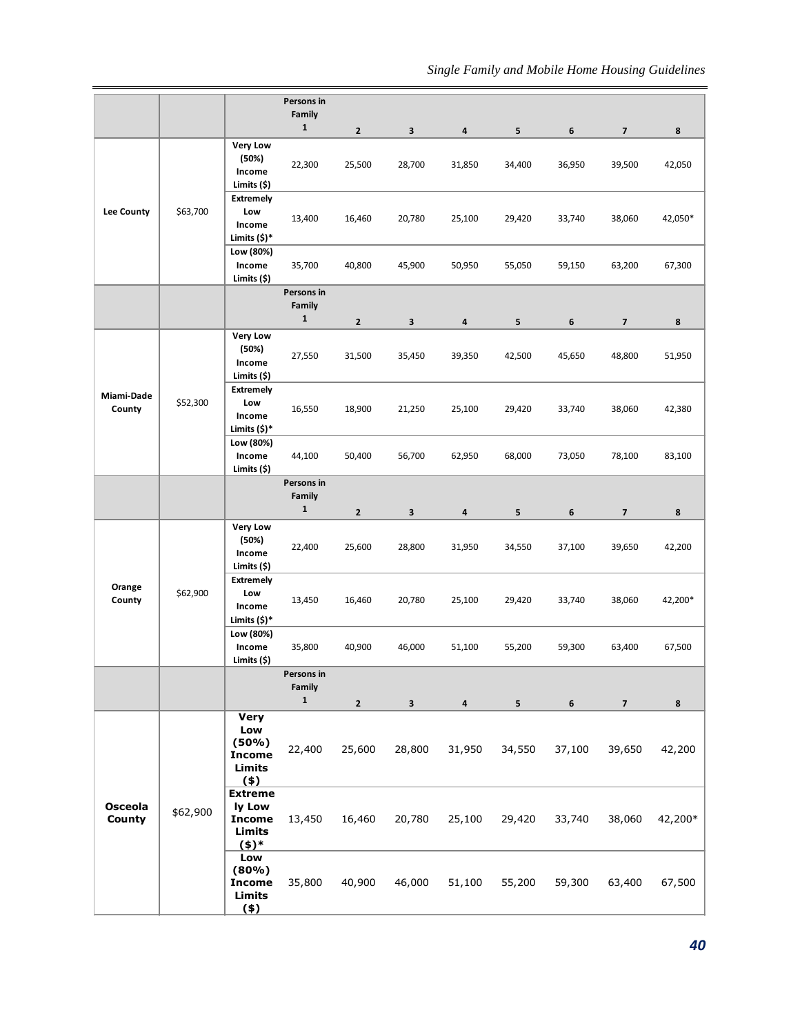|                                 |          |                                                                          | Persons in                           |                        |                        |             |                          |                  |                                   |             |
|---------------------------------|----------|--------------------------------------------------------------------------|--------------------------------------|------------------------|------------------------|-------------|--------------------------|------------------|-----------------------------------|-------------|
|                                 |          |                                                                          | Family<br>$\mathbf{1}$               |                        |                        |             |                          |                  |                                   |             |
|                                 |          | <b>Very Low</b>                                                          |                                      | $\mathbf 2$            | $\mathbf{3}$           | 4           | 5                        | $\boldsymbol{6}$ | $\overline{\mathbf{z}}$           | 8           |
|                                 |          | (50%)<br>Income<br>Limits (\$)                                           | 22,300                               | 25,500                 | 28,700                 | 31,850      | 34,400                   | 36,950           | 39,500                            | 42,050      |
| <b>Lee County</b>               | \$63,700 | <b>Extremely</b><br>Low<br>Income<br>Limits (\$)*                        | 13,400                               | 16,460                 | 20,780                 | 25,100      | 29,420                   | 33,740           | 38,060                            | 42,050*     |
|                                 |          | Low (80%)<br>Income<br>Limits (\$)                                       | 35,700                               | 40,800                 | 45,900                 | 50,950      | 55,050                   | 59,150           | 63,200                            | 67,300      |
|                                 |          |                                                                          | Persons in                           |                        |                        |             |                          |                  |                                   |             |
|                                 |          |                                                                          | Family<br>$\mathbf{1}$               | $\mathbf{2}$           | 3                      | 4           | 5                        | 6                | $\overline{\mathbf{z}}$           | 8           |
|                                 |          | <b>Very Low</b><br>(50%)<br>Income<br>Limits (\$)                        | 27,550                               | 31,500                 | 35,450                 | 39,350      | 42,500                   | 45,650           | 48,800                            | 51,950      |
| Miami-Dade<br>County            | \$52,300 | <b>Extremely</b><br>Low<br>Income<br>Limits (\$)*                        | 16,550                               | 18,900                 | 21,250                 | 25,100      | 29,420                   | 33,740           | 38,060                            | 42,380      |
|                                 |          | Low (80%)<br>Income<br>Limits (\$)                                       | 44,100                               | 50,400                 | 56,700                 | 62,950      | 68,000                   | 73,050           | 78,100                            | 83,100      |
|                                 |          |                                                                          | Persons in<br>Family<br>$\mathbf 1$  | $\mathbf{2}$           | $\mathbf 3$            | 4           | 5                        | 6                | 7                                 | 8           |
|                                 | \$62,900 | <b>Very Low</b><br>(50%)<br>Income<br>Limits (\$)                        | 22,400                               | 25,600                 | 28,800                 | 31,950      | 34,550                   | 37,100           | 39,650                            | 42,200      |
| Orange<br>County                |          | <b>Extremely</b><br>Low<br>Income<br>Limits (\$)*                        | 13,450                               | 16,460                 | 20,780                 | 25,100      | 29,420                   | 33,740           | 38,060                            | 42,200*     |
|                                 |          | Low (80%)<br>Income<br>Limits (\$)                                       | 35,800                               | 40,900                 | 46,000                 | 51,100      | 55,200                   | 59,300           | 63,400                            | 67,500      |
|                                 |          |                                                                          | Persons in<br>Family<br>$\mathbf{1}$ |                        |                        |             |                          |                  |                                   |             |
|                                 |          | <b>Very</b><br>Low<br>(50%)<br><b>Income</b><br><b>Limits</b><br>$($ \$) | 22,400                               | $\mathbf{2}$<br>25,600 | $\mathbf{3}$<br>28,800 | 4<br>31,950 | 5 <sub>1</sub><br>34,550 | 6<br>37,100      | $\overline{\mathbf{z}}$<br>39,650 | 8<br>42,200 |
| <b>Osceola</b><br><b>County</b> | \$62,900 | <b>Extreme</b><br>ly Low<br><b>Income</b><br>Limits<br>(4)               | 13,450                               | 16,460                 | 20,780                 | 25,100      | 29,420                   | 33,740           | 38,060                            | 42,200*     |
|                                 |          | Low<br>(80%)<br><b>Income</b><br><b>Limits</b><br>$(*)$                  | 35,800                               | 40,900                 | 46,000                 | 51,100      | 55,200                   | 59,300           | 63,400                            | 67,500      |
|                                 |          |                                                                          |                                      |                        |                        |             |                          |                  |                                   | 40          |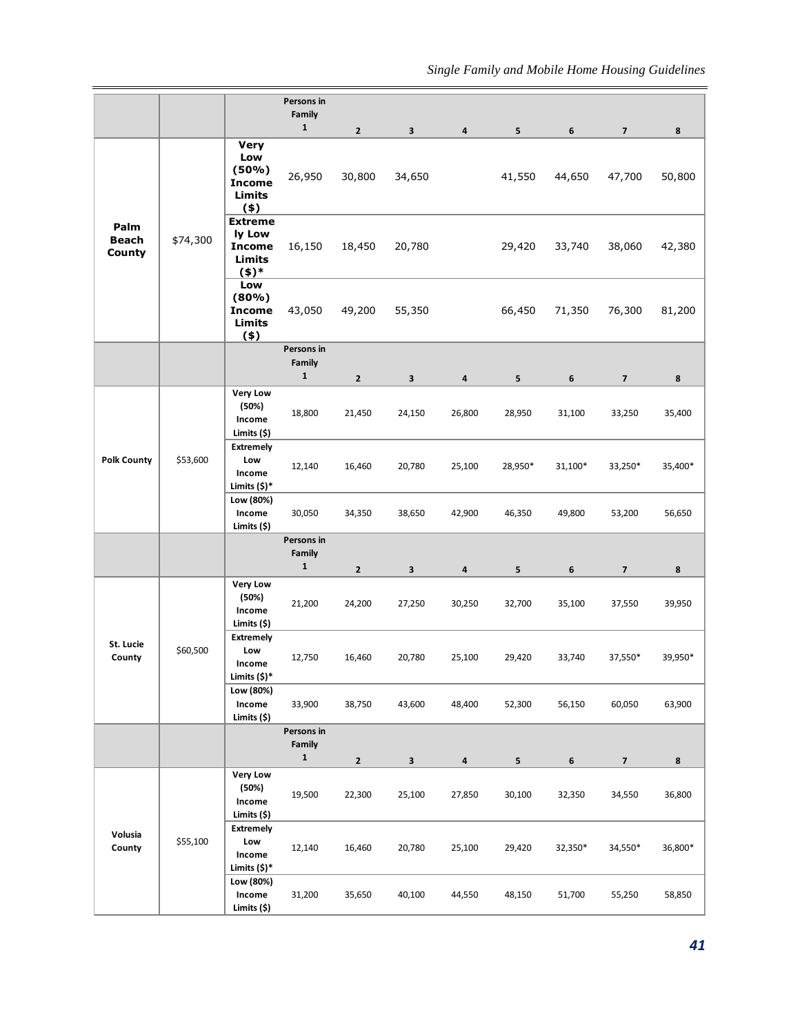|                                |          |                                                                   | Persons in<br>Family<br>$\mathbf{1}$ | $\overline{2}$ | $\mathbf{3}$            | 4                       | 5              | 6       | $\overline{\mathbf{z}}$  | 8       |
|--------------------------------|----------|-------------------------------------------------------------------|--------------------------------------|----------------|-------------------------|-------------------------|----------------|---------|--------------------------|---------|
|                                |          | <b>Very</b><br>Low<br>(50%)<br><b>Income</b><br>Limits<br>$($ \$) | 26,950                               | 30,800         | 34,650                  |                         | 41,550         | 44,650  | 47,700                   | 50,800  |
| Palm<br><b>Beach</b><br>County | \$74,300 | <b>Extreme</b><br>ly Low<br><b>Income</b><br><b>Limits</b><br>(4) | 16,150                               | 18,450         | 20,780                  |                         | 29,420         | 33,740  | 38,060                   | 42,380  |
|                                |          | Low<br>(80%)<br><b>Income</b><br><b>Limits</b><br>$($ \$)         | 43,050                               | 49,200         | 55,350                  |                         | 66,450         | 71,350  | 76,300                   | 81,200  |
|                                |          |                                                                   | Persons in<br>Family<br>$\mathbf{1}$ | $\overline{2}$ | $\mathbf{3}$            | 4                       | 5              | 6       | $\overline{\phantom{a}}$ | 8       |
|                                |          | <b>Very Low</b><br>(50%)<br>Income<br>Limits (\$)                 | 18,800                               | 21,450         | 24,150                  | 26,800                  | 28,950         | 31,100  | 33,250                   | 35,400  |
| <b>Polk County</b>             | \$53,600 | <b>Extremely</b><br>Low<br>Income<br>Limits (\$)*                 | 12,140                               | 16,460         | 20,780                  | 25,100                  | 28,950*        | 31,100* | 33,250*                  | 35,400* |
|                                |          | Low (80%)<br>Income<br>Limits (\$)                                | 30,050                               | 34,350         | 38,650                  | 42,900                  | 46,350         | 49,800  | 53,200                   | 56,650  |
|                                |          |                                                                   | Persons in<br>Family<br>$\mathbf{1}$ | $\overline{2}$ | $\overline{\mathbf{3}}$ | 4                       | 5              | 6       | $\overline{\mathbf{z}}$  | 8       |
|                                |          | <b>Very Low</b><br>(50%)<br>Income<br>Limits (\$)                 | 21,200                               | 24,200         | 27,250                  | 30,250                  | 32,700         | 35,100  | 37,550                   | 39,950  |
| St. Lucie<br>County            | \$60,500 | <b>Extremely</b><br>Low<br>Income<br>Limits (\$)*                 | 12,750                               | 16,460         | 20,780                  | 25,100                  | 29,420         | 33,740  | 37,550*                  | 39,950* |
|                                |          | Low (80%)<br>Income<br>Limits (\$)                                | 33,900                               | 38,750         | 43,600                  | 48,400                  | 52,300         | 56,150  | 60,050                   | 63,900  |
|                                |          |                                                                   | Persons in<br>Family<br>$\mathbf{1}$ | $\mathbf{2}$   | $\mathbf{3}$            | $\overline{\mathbf{4}}$ | 5 <sub>1</sub> | 6       | $\overline{\mathbf{z}}$  | 8       |
|                                |          | <b>Very Low</b><br>(50%)<br>Income<br>Limits (\$)                 | 19,500                               | 22,300         | 25,100                  | 27,850                  | 30,100         | 32,350  | 34,550                   | 36,800  |
| Volusia<br>County              | \$55,100 | <b>Extremely</b><br>Low<br>Income<br>Limits (\$)*                 | 12,140                               | 16,460         | 20,780                  | 25,100                  | 29,420         | 32,350* | 34,550*                  | 36,800* |
|                                |          | Low (80%)<br>Income<br>Limits (\$)                                | 31,200                               | 35,650         | 40,100                  | 44,550                  | 48,150         | 51,700  | 55,250                   | 58,850  |
|                                |          |                                                                   |                                      |                |                         |                         |                |         |                          | 41      |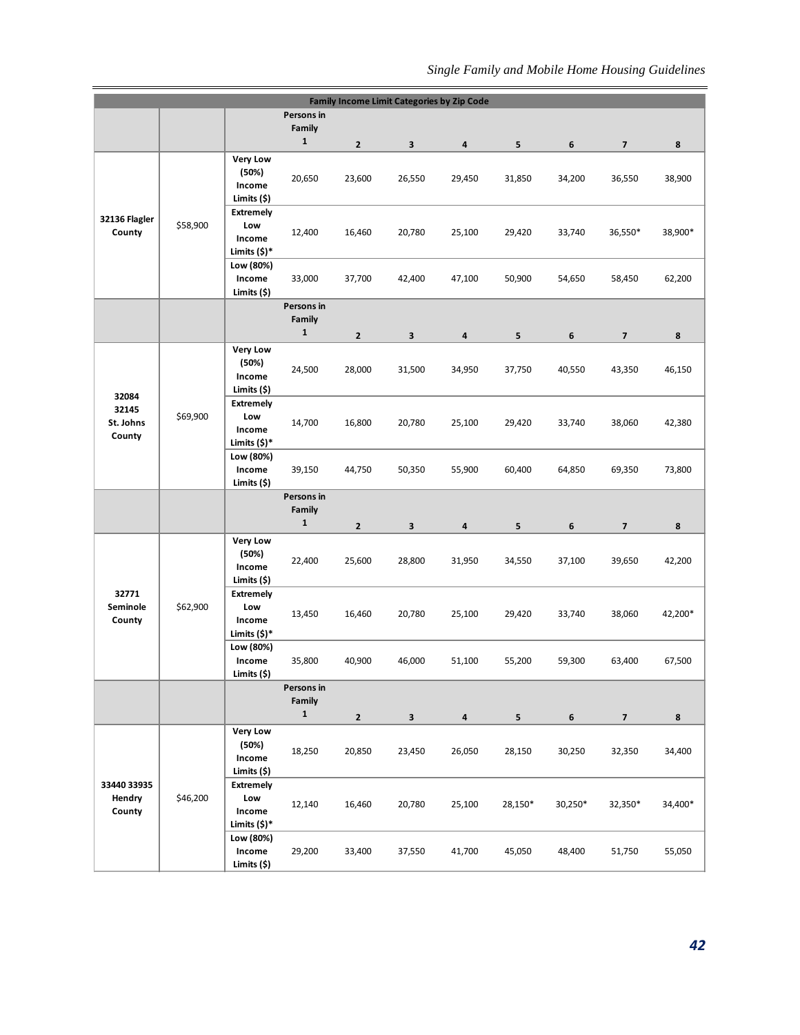|                         |          |                                 |                       |                |        | <b>Family Income Limit Categories by Zip Code</b> |         |         |                          |         |
|-------------------------|----------|---------------------------------|-----------------------|----------------|--------|---------------------------------------------------|---------|---------|--------------------------|---------|
|                         |          |                                 | Persons in<br>Family  |                |        |                                                   |         |         |                          |         |
|                         |          |                                 | $\mathbf{1}$          | $\overline{2}$ | 3      | $\overline{\mathbf{a}}$                           | 5       | 6       | $\overline{\mathbf{z}}$  | 8       |
|                         |          | <b>Very Low</b>                 |                       |                |        |                                                   |         |         |                          |         |
|                         |          | (50%)                           | 20,650                | 23,600         | 26,550 | 29,450                                            | 31,850  | 34,200  | 36,550                   | 38,900  |
|                         |          | Income<br>Limits (\$)           |                       |                |        |                                                   |         |         |                          |         |
|                         |          | <b>Extremely</b>                |                       |                |        |                                                   |         |         |                          |         |
| 32136 Flagler<br>County | \$58,900 | Low                             | 12,400                | 16,460         | 20,780 | 25,100                                            | 29,420  | 33,740  | 36,550*                  | 38,900* |
|                         |          | Income<br>Limits (\$)*          |                       |                |        |                                                   |         |         |                          |         |
|                         |          | Low (80%)                       |                       |                |        |                                                   |         |         |                          |         |
|                         |          | Income                          | 33,000                | 37,700         | 42,400 | 47,100                                            | 50,900  | 54,650  | 58,450                   | 62,200  |
|                         |          | Limits (\$)                     | Persons in            |                |        |                                                   |         |         |                          |         |
|                         |          |                                 | Family                |                |        |                                                   |         |         |                          |         |
|                         |          |                                 | $\mathbf 1$           | $\overline{2}$ | 3      | 4                                                 | 5       | 6       | $\overline{\mathbf{z}}$  | 8       |
|                         |          | <b>Very Low</b>                 |                       |                |        |                                                   |         |         |                          |         |
|                         |          | (50%)<br>Income                 | 24,500                | 28,000         | 31,500 | 34,950                                            | 37,750  | 40,550  | 43,350                   | 46,150  |
|                         |          | Limits (\$)                     |                       |                |        |                                                   |         |         |                          |         |
| 32084<br>32145          |          | <b>Extremely</b>                |                       |                |        |                                                   |         |         |                          |         |
| St. Johns               | \$69,900 | Low<br>Income                   | 14,700                | 16,800         | 20,780 | 25,100                                            | 29,420  | 33,740  | 38,060                   | 42,380  |
| County                  |          | Limits $(\$)^*$                 |                       |                |        |                                                   |         |         |                          |         |
|                         |          | Low (80%)                       |                       |                |        |                                                   |         |         |                          |         |
|                         |          | Income                          | 39,150                | 44,750         | 50,350 | 55,900                                            | 60,400  | 64,850  | 69,350                   | 73,800  |
|                         |          | Limits (\$)                     | Persons in            |                |        |                                                   |         |         |                          |         |
|                         |          |                                 | Family                |                |        |                                                   |         |         |                          |         |
|                         |          |                                 | $\mathbf{1}$          | $\overline{2}$ | 3      | $\pmb{4}$                                         | 5       | 6       | $\overline{\phantom{a}}$ | 8       |
|                         |          | <b>Very Low</b>                 |                       |                |        |                                                   |         |         |                          |         |
|                         |          |                                 |                       |                |        |                                                   |         |         |                          |         |
|                         |          | (50%)<br>Income                 | 22,400                | 25,600         | 28,800 | 31,950                                            | 34,550  | 37,100  | 39,650                   | 42,200  |
|                         |          | Limits (\$)                     |                       |                |        |                                                   |         |         |                          |         |
| 32771                   |          | <b>Extremely</b>                |                       |                |        |                                                   |         |         |                          |         |
| Seminole<br>County      | \$62,900 | Low<br>Income                   | 13,450                | 16,460         | 20,780 | 25,100                                            | 29,420  | 33,740  | 38,060                   | 42,200* |
|                         |          | Limits $(5)^*$                  |                       |                |        |                                                   |         |         |                          |         |
|                         |          | Low (80%)                       |                       |                |        |                                                   |         |         |                          |         |
|                         |          | Income<br>Limits (\$)           | 35,800                | 40,900         | 46,000 | 51,100                                            | 55,200  | 59,300  | 63,400                   | 67,500  |
|                         |          |                                 | Persons in            |                |        |                                                   |         |         |                          |         |
|                         |          |                                 | Family<br>$\mathbf 1$ |                |        |                                                   |         |         |                          |         |
|                         |          | <b>Very Low</b>                 |                       | $\mathbf 2$    | 3      | 4                                                 | 5       | 6       | $\overline{\mathbf{z}}$  | 8       |
|                         |          | (50%)                           |                       |                |        |                                                   |         |         |                          |         |
|                         |          | Income                          | 18,250                | 20,850         | 23,450 | 26,050                                            | 28,150  | 30,250  | 32,350                   | 34,400  |
| 33440 33935             |          | Limits (\$)<br><b>Extremely</b> |                       |                |        |                                                   |         |         |                          |         |
| Hendry                  | \$46,200 | Low                             |                       |                |        |                                                   |         |         |                          |         |
| County                  |          | Income                          | 12,140                | 16,460         | 20,780 | 25,100                                            | 28,150* | 30,250* | 32,350*                  | 34,400* |
|                         |          | Limits (\$)*<br>Low (80%)       |                       |                |        |                                                   |         |         |                          |         |
|                         |          | Income                          | 29,200                | 33,400         | 37,550 | 41,700                                            | 45,050  | 48,400  | 51,750                   | 55,050  |
|                         |          | Limits (\$)                     |                       |                |        |                                                   |         |         |                          |         |
|                         |          |                                 |                       |                |        |                                                   |         |         |                          |         |
|                         |          |                                 |                       |                |        |                                                   |         |         |                          |         |
|                         |          |                                 |                       |                |        |                                                   |         |         |                          |         |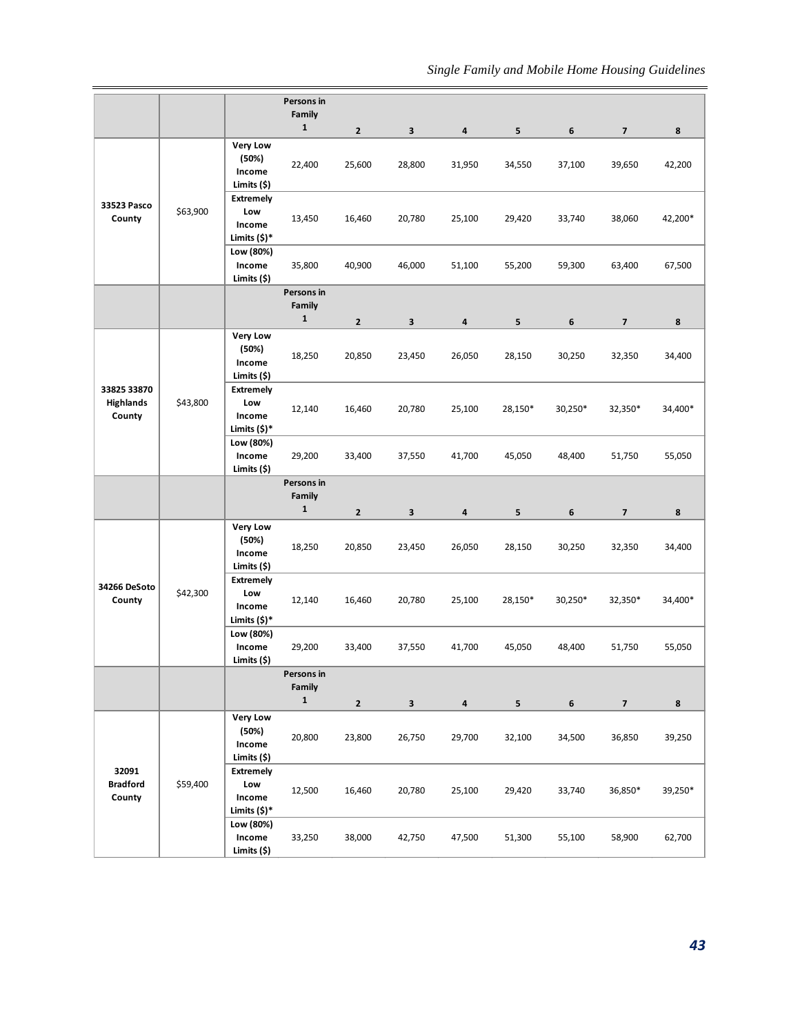|                                           |          |                                                                  | Persons in                           |                          |                        |             |             |                            |                                   |             |
|-------------------------------------------|----------|------------------------------------------------------------------|--------------------------------------|--------------------------|------------------------|-------------|-------------|----------------------------|-----------------------------------|-------------|
|                                           |          |                                                                  | Family<br>$\mathbf 1$                |                          |                        |             |             |                            |                                   |             |
|                                           |          | <b>Very Low</b><br>(50%)<br>Income                               | 22,400                               | $\overline{2}$<br>25,600 | $\mathbf{3}$<br>28,800 | 4<br>31,950 | 5<br>34,550 | $\boldsymbol{6}$<br>37,100 | $\overline{\mathbf{z}}$<br>39,650 | 8<br>42,200 |
| 33523 Pasco<br>County                     | \$63,900 | Limits (\$)<br><b>Extremely</b><br>Low<br>Income<br>Limits (\$)* | 13,450                               | 16,460                   | 20,780                 | 25,100      | 29,420      | 33,740                     | 38,060                            | 42,200*     |
|                                           |          | Low (80%)<br>Income<br>Limits (\$)                               | 35,800                               | 40,900                   | 46,000                 | 51,100      | 55,200      | 59,300                     | 63,400                            | 67,500      |
|                                           |          |                                                                  | Persons in<br>Family<br>$\mathbf{1}$ |                          |                        |             |             |                            |                                   |             |
|                                           |          |                                                                  |                                      | $\mathbf{2}$             | $\mathbf{3}$           | 4           | 5           | 6                          | $\overline{\phantom{a}}$          | 8           |
|                                           |          | <b>Very Low</b><br>(50%)<br>Income<br>Limits (\$)                | 18,250                               | 20,850                   | 23,450                 | 26,050      | 28,150      | 30,250                     | 32,350                            | 34,400      |
| 33825 33870<br><b>Highlands</b><br>County | \$43,800 | <b>Extremely</b><br>Low<br>Income<br>Limits (\$)*                | 12,140                               | 16,460                   | 20,780                 | 25,100      | 28,150*     | 30,250*                    | 32,350*                           | 34,400*     |
|                                           |          | Low (80%)<br>Income<br>Limits (\$)                               | 29,200                               | 33,400                   | 37,550                 | 41,700      | 45,050      | 48,400                     | 51,750                            | 55,050      |
|                                           |          |                                                                  | Persons in<br>Family<br>$\mathbf 1$  | $\mathbf{2}$             | 3                      | 4           | 5           | 6                          | $\overline{\phantom{a}}$          | 8           |
|                                           |          | <b>Very Low</b><br>(50%)<br>Income<br>Limits (\$)                | 18,250                               | 20,850                   | 23,450                 | 26,050      | 28,150      | 30,250                     | 32,350                            | 34,400      |
| 34266 DeSoto<br>County                    | \$42,300 | <b>Extremely</b><br>Low<br>Income<br>Limits (\$)*                | 12,140                               | 16,460                   | 20,780                 | 25,100      | 28,150*     | 30,250*                    | 32,350*                           | 34,400*     |
|                                           |          | Low (80%)<br>Income<br>Limits (\$)                               | 29,200                               | 33,400                   | 37,550                 | 41,700      | 45,050      | 48,400                     | 51,750                            | 55,050      |
|                                           |          |                                                                  | Persons in<br>Family<br>$\mathbf 1$  |                          |                        |             |             |                            |                                   |             |
|                                           |          | <b>Very Low</b>                                                  |                                      | $\overline{2}$           | $\mathbf{3}$           | 4           | 5           | 6                          | $\overline{\mathbf{z}}$           | 8           |
|                                           |          | (50%)<br>Income<br>Limits (\$)                                   | 20,800                               | 23,800                   | 26,750                 | 29,700      | 32,100      | 34,500                     | 36,850                            | 39,250      |
| 32091<br><b>Bradford</b><br>County        | \$59,400 | <b>Extremely</b><br>Low<br>Income<br>Limits (\$)*                | 12,500                               | 16,460                   | 20,780                 | 25,100      | 29,420      | 33,740                     | 36,850*                           | 39,250*     |
|                                           |          | Low (80%)<br>Income<br>Limits (\$)                               | 33,250                               | 38,000                   | 42,750                 | 47,500      | 51,300      | 55,100                     | 58,900                            | 62,700      |
|                                           |          |                                                                  |                                      |                          |                        |             |             |                            |                                   | 43          |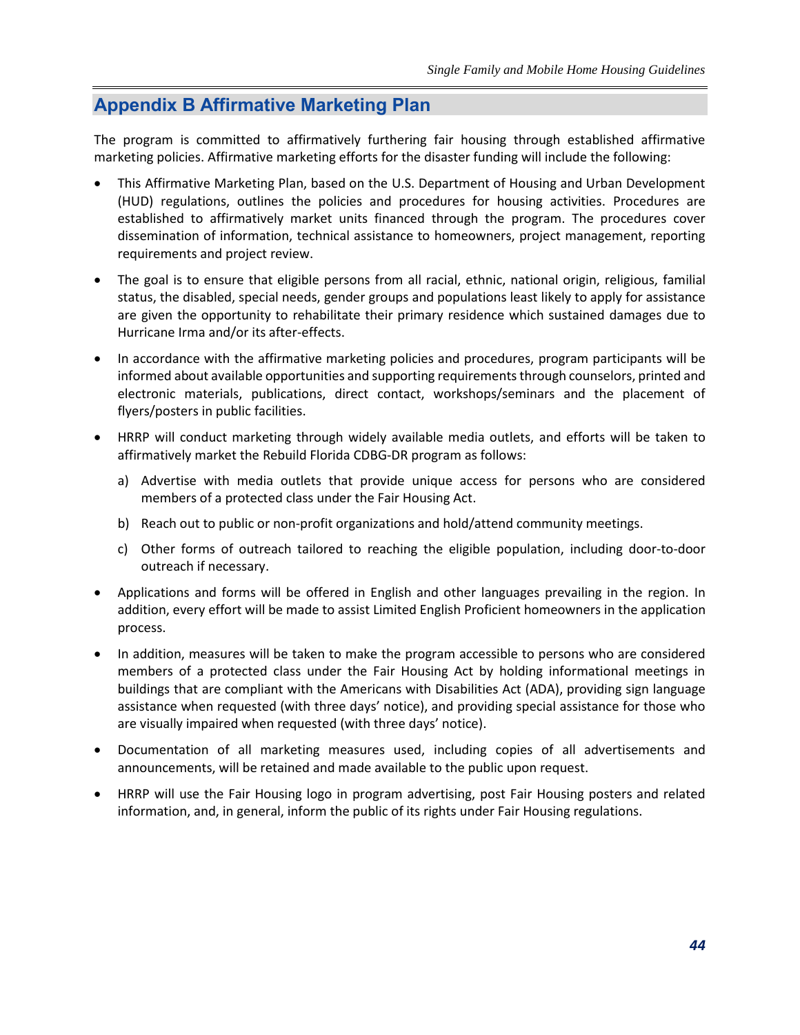## **Appendix B Affirmative Marketing Plan**

The program is committed to affirmatively furthering fair housing through established affirmative marketing policies. Affirmative marketing efforts for the disaster funding will include the following:

- This Affirmative Marketing Plan, based on the U.S. Department of Housing and Urban Development (HUD) regulations, outlines the policies and procedures for housing activities. Procedures are established to affirmatively market units financed through the program. The procedures cover dissemination of information, technical assistance to homeowners, project management, reporting requirements and project review.
- The goal is to ensure that eligible persons from all racial, ethnic, national origin, religious, familial status, the disabled, special needs, gender groups and populations least likely to apply for assistance are given the opportunity to rehabilitate their primary residence which sustained damages due to Hurricane Irma and/or its after-effects.
- In accordance with the affirmative marketing policies and procedures, program participants will be informed about available opportunities and supporting requirements through counselors, printed and electronic materials, publications, direct contact, workshops/seminars and the placement of flyers/posters in public facilities.
- HRRP will conduct marketing through widely available media outlets, and efforts will be taken to affirmatively market the Rebuild Florida CDBG-DR program as follows:
	- a) Advertise with media outlets that provide unique access for persons who are considered members of a protected class under the Fair Housing Act.
	- b) Reach out to public or non-profit organizations and hold/attend community meetings.
	- c) Other forms of outreach tailored to reaching the eligible population, including door-to-door outreach if necessary.
- Applications and forms will be offered in English and other languages prevailing in the region. In addition, every effort will be made to assist Limited English Proficient homeowners in the application process.
- In addition, measures will be taken to make the program accessible to persons who are considered members of a protected class under the Fair Housing Act by holding informational meetings in buildings that are compliant with the Americans with Disabilities Act (ADA), providing sign language assistance when requested (with three days' notice), and providing special assistance for those who are visually impaired when requested (with three days' notice).
- Documentation of all marketing measures used, including copies of all advertisements and announcements, will be retained and made available to the public upon request.
- HRRP will use the Fair Housing logo in program advertising, post Fair Housing posters and related information, and, in general, inform the public of its rights under Fair Housing regulations.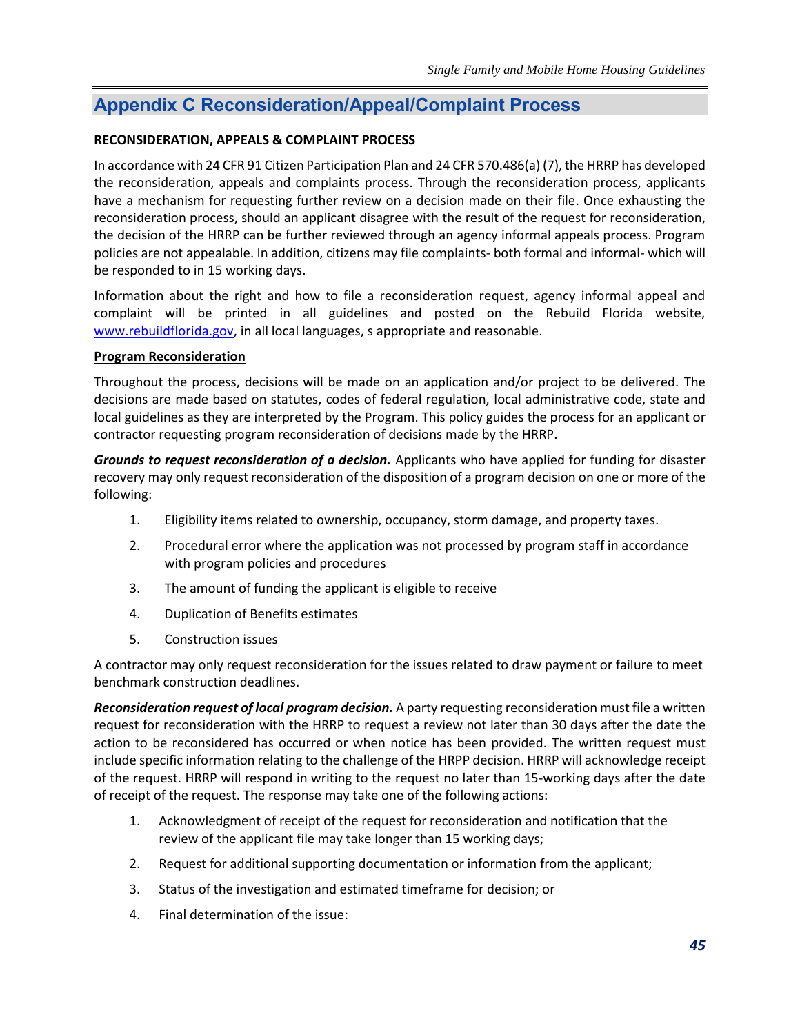## <span id="page-47-0"></span>**Appendix C Reconsideration/Appeal/Complaint Process**

#### **RECONSIDERATION, APPEALS & COMPLAINT PROCESS**

In accordance with 24 CFR 91 Citizen Participation Plan and 24 CFR 570.486(a) (7), the HRRP has developed the reconsideration, appeals and complaints process. Through the reconsideration process, applicants have a mechanism for requesting further review on a decision made on their file. Once exhausting the reconsideration process, should an applicant disagree with the result of the request for reconsideration, the decision of the HRRP can be further reviewed through an agency informal appeals process. Program policies are not appealable. In addition, citizens may file complaints- both formal and informal- which will be responded to in 15 working days.

Information about the right and how to file a reconsideration request, agency informal appeal and complaint will be printed in all guidelines and posted on the Rebuild Florida website, [www.rebuildflorida.gov,](http://www.rebuildflorida.gov/) in all local languages, s appropriate and reasonable.

#### **Program Reconsideration**

Throughout the process, decisions will be made on an application and/or project to be delivered. The decisions are made based on statutes, codes of federal regulation, local administrative code, state and local guidelines as they are interpreted by the Program. This policy guides the process for an applicant or contractor requesting program reconsideration of decisions made by the HRRP.

*Grounds to request reconsideration of a decision.* Applicants who have applied for funding for disaster recovery may only request reconsideration of the disposition of a program decision on one or more of the following:

- 1. Eligibility items related to ownership, occupancy, storm damage, and property taxes.
- 2. Procedural error where the application was not processed by program staff in accordance with program policies and procedures
- 3. The amount of funding the applicant is eligible to receive
- 4. Duplication of Benefits estimates
- 5. Construction issues

A contractor may only request reconsideration for the issues related to draw payment or failure to meet benchmark construction deadlines.

*Reconsideration request of local program decision.* A party requesting reconsideration must file a written request for reconsideration with the HRRP to request a review not later than 30 days after the date the action to be reconsidered has occurred or when notice has been provided. The written request must include specific information relating to the challenge of the HRPP decision. HRRP will acknowledge receipt of the request. HRRP will respond in writing to the request no later than 15-working days after the date of receipt of the request. The response may take one of the following actions:

- 1. Acknowledgment of receipt of the request for reconsideration and notification that the review of the applicant file may take longer than 15 working days;
- 2. Request for additional supporting documentation or information from the applicant;
- 3. Status of the investigation and estimated timeframe for decision; or
- 4. Final determination of the issue: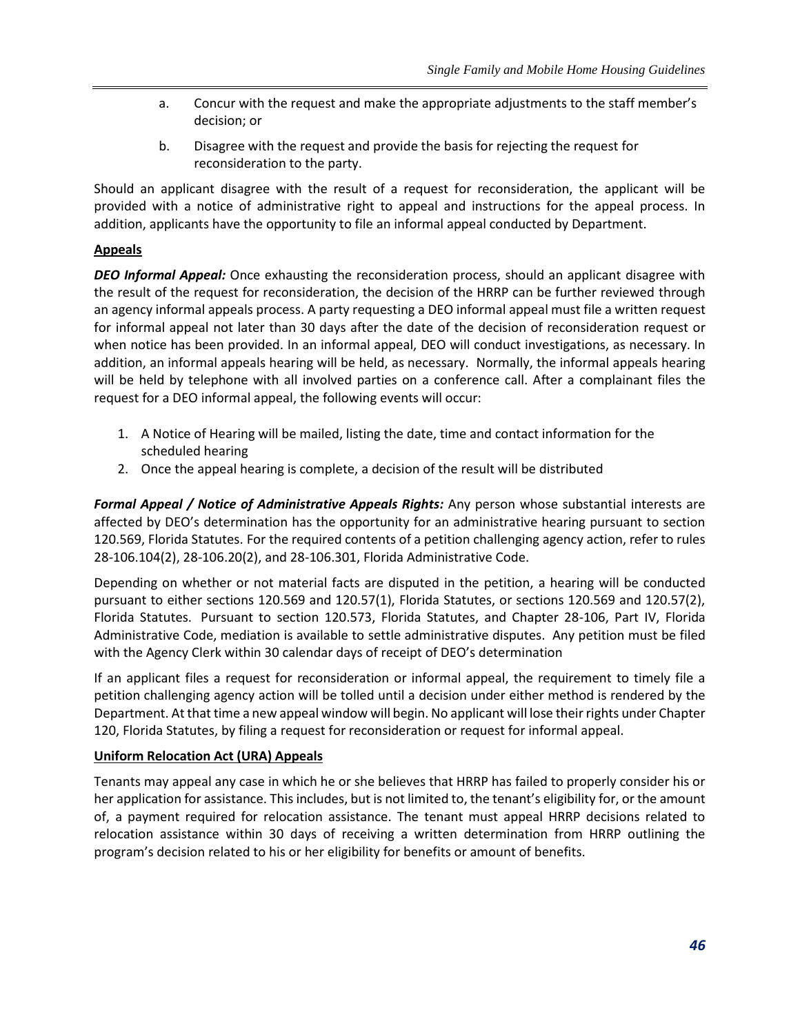- a. Concur with the request and make the appropriate adjustments to the staff member's decision; or
- b. Disagree with the request and provide the basis for rejecting the request for reconsideration to the party.

Should an applicant disagree with the result of a request for reconsideration, the applicant will be provided with a notice of administrative right to appeal and instructions for the appeal process. In addition, applicants have the opportunity to file an informal appeal conducted by Department.

#### **Appeals**

*DEO Informal Appeal:* Once exhausting the reconsideration process, should an applicant disagree with the result of the request for reconsideration, the decision of the HRRP can be further reviewed through an agency informal appeals process. A party requesting a DEO informal appeal must file a written request for informal appeal not later than 30 days after the date of the decision of reconsideration request or when notice has been provided. In an informal appeal, DEO will conduct investigations, as necessary. In addition, an informal appeals hearing will be held, as necessary. Normally, the informal appeals hearing will be held by telephone with all involved parties on a conference call. After a complainant files the request for a DEO informal appeal, the following events will occur:

- 1. A Notice of Hearing will be mailed, listing the date, time and contact information for the scheduled hearing
- 2. Once the appeal hearing is complete, a decision of the result will be distributed

*Formal Appeal / Notice of Administrative Appeals Rights:* Any person whose substantial interests are affected by DEO's determination has the opportunity for an administrative hearing pursuant to section 120.569, Florida Statutes. For the required contents of a petition challenging agency action, refer to rules 28-106.104(2), 28-106.20(2), and 28-106.301, Florida Administrative Code.

Depending on whether or not material facts are disputed in the petition, a hearing will be conducted pursuant to either sections 120.569 and 120.57(1), Florida Statutes, or sections 120.569 and 120.57(2), Florida Statutes. Pursuant to section 120.573, Florida Statutes, and Chapter 28-106, Part IV, Florida Administrative Code, mediation is available to settle administrative disputes. Any petition must be filed with the Agency Clerk within 30 calendar days of receipt of DEO's determination

If an applicant files a request for reconsideration or informal appeal, the requirement to timely file a petition challenging agency action will be tolled until a decision under either method is rendered by the Department. At that time a new appeal window will begin. No applicant will lose their rights under Chapter 120, Florida Statutes, by filing a request for reconsideration or request for informal appeal.

#### **Uniform Relocation Act (URA) Appeals**

Tenants may appeal any case in which he or she believes that HRRP has failed to properly consider his or her application for assistance. This includes, but is not limited to, the tenant's eligibility for, or the amount of, a payment required for relocation assistance. The tenant must appeal HRRP decisions related to relocation assistance within 30 days of receiving a written determination from HRRP outlining the program's decision related to his or her eligibility for benefits or amount of benefits.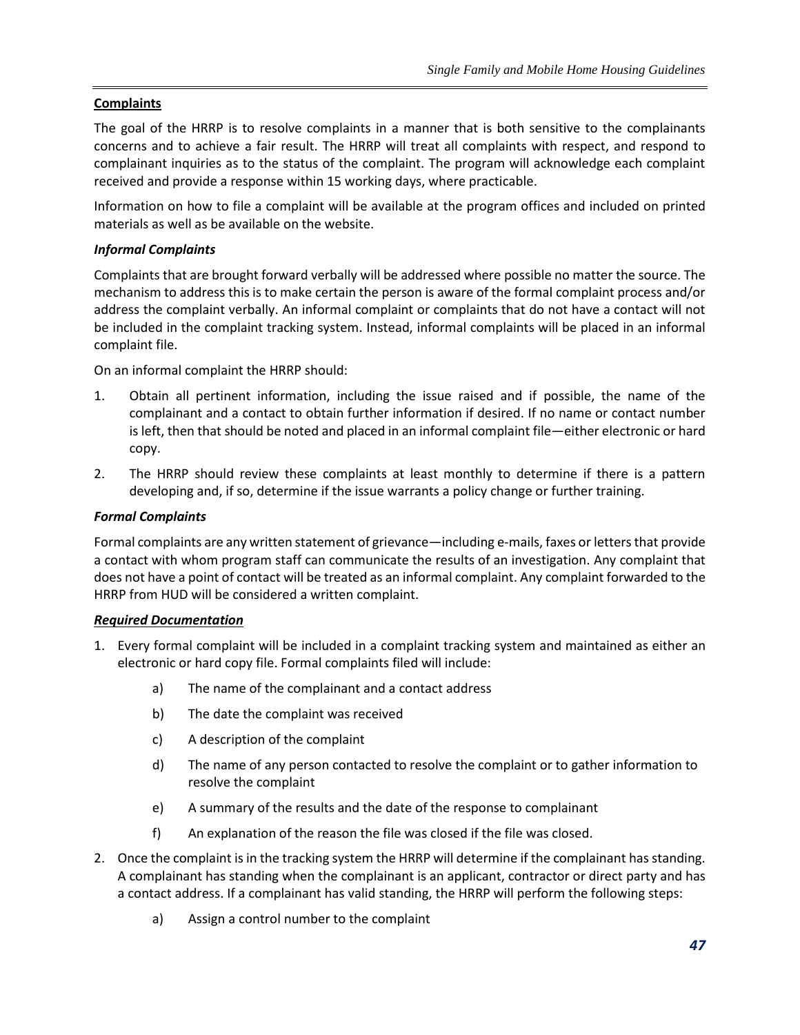#### **Complaints**

The goal of the HRRP is to resolve complaints in a manner that is both sensitive to the complainants concerns and to achieve a fair result. The HRRP will treat all complaints with respect, and respond to complainant inquiries as to the status of the complaint. The program will acknowledge each complaint received and provide a response within 15 working days, where practicable.

Information on how to file a complaint will be available at the program offices and included on printed materials as well as be available on the website.

#### *Informal Complaints*

Complaints that are brought forward verbally will be addressed where possible no matter the source. The mechanism to address this is to make certain the person is aware of the formal complaint process and/or address the complaint verbally. An informal complaint or complaints that do not have a contact will not be included in the complaint tracking system. Instead, informal complaints will be placed in an informal complaint file.

On an informal complaint the HRRP should:

- 1. Obtain all pertinent information, including the issue raised and if possible, the name of the complainant and a contact to obtain further information if desired. If no name or contact number is left, then that should be noted and placed in an informal complaint file—either electronic or hard copy.
- 2. The HRRP should review these complaints at least monthly to determine if there is a pattern developing and, if so, determine if the issue warrants a policy change or further training.

#### *Formal Complaints*

Formal complaints are any written statement of grievance—including e-mails, faxes or letters that provide a contact with whom program staff can communicate the results of an investigation. Any complaint that does not have a point of contact will be treated as an informal complaint. Any complaint forwarded to the HRRP from HUD will be considered a written complaint.

#### *Required Documentation*

- 1. Every formal complaint will be included in a complaint tracking system and maintained as either an electronic or hard copy file. Formal complaints filed will include:
	- a) The name of the complainant and a contact address
	- b) The date the complaint was received
	- c) A description of the complaint
	- d) The name of any person contacted to resolve the complaint or to gather information to resolve the complaint
	- e) A summary of the results and the date of the response to complainant
	- f) An explanation of the reason the file was closed if the file was closed.
- 2. Once the complaint is in the tracking system the HRRP will determine if the complainant has standing. A complainant has standing when the complainant is an applicant, contractor or direct party and has a contact address. If a complainant has valid standing, the HRRP will perform the following steps:
	- a) Assign a control number to the complaint